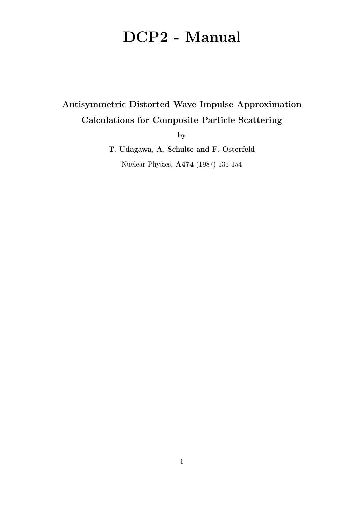# DCP2 - Manual

# Antisymmetric Distorted Wave Impulse Approximation Calculations for Composite Particle Scattering

by

T. Udagawa, A. Schulte and F. Osterfeld Nuclear Physics, A474 (1987) 131-154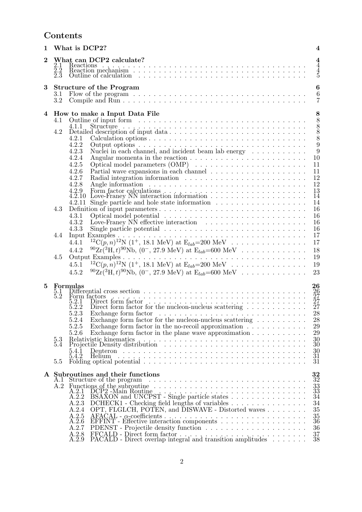### Contents

| $\mathbf{1}$   | What is DCP2?                                                                                                                                                                                                                                       | $\overline{\mathbf{4}}$                         |
|----------------|-----------------------------------------------------------------------------------------------------------------------------------------------------------------------------------------------------------------------------------------------------|-------------------------------------------------|
| $\overline{2}$ | What can DCP2 calculate?<br>$2.1\,$                                                                                                                                                                                                                 | $\frac{4}{4}$                                   |
|                | $\frac{5.2}{2.3}$<br>Outline of calculation entering in the contract of calculation entering in the contract of calculation entering in the contract of the contract of the contract of the contract of the contract of the contract of the contrac | $\frac{4}{5}$                                   |
| 3              | <b>Structure of the Program</b>                                                                                                                                                                                                                     | $\bf{6}$                                        |
|                | Flow of the program $\ldots \ldots \ldots \ldots \ldots \ldots \ldots \ldots \ldots \ldots \ldots \ldots$<br>3.1                                                                                                                                    | $\boldsymbol{6}$                                |
|                | 3.2                                                                                                                                                                                                                                                 | $\overline{7}$                                  |
| 4              | How to make a Input Data File                                                                                                                                                                                                                       | 8                                               |
|                | 4.1                                                                                                                                                                                                                                                 | 8                                               |
|                | 4.2                                                                                                                                                                                                                                                 | $\begin{smallmatrix} 8\\8\\8 \end{smallmatrix}$ |
|                | 4.2.1                                                                                                                                                                                                                                               |                                                 |
|                | 4.2.2                                                                                                                                                                                                                                               | $\overline{9}$                                  |
|                | 4.2.3<br>Nuclei in each channel, and incident beam lab energy $\dots \dots \dots$                                                                                                                                                                   | 9                                               |
|                | Angular momenta in the reaction $\ldots \ldots \ldots \ldots \ldots$<br>4.2.4<br>4.2.5                                                                                                                                                              | 10<br>11                                        |
|                | 4.2.6                                                                                                                                                                                                                                               | 11                                              |
|                | 4.2.7                                                                                                                                                                                                                                               | 12                                              |
|                | 4.2.8                                                                                                                                                                                                                                               | 12                                              |
|                | 4.2.9                                                                                                                                                                                                                                               | 13                                              |
|                | 4.2.10<br>4.2.11                                                                                                                                                                                                                                    | $\overline{1}\overline{4}$<br>14                |
|                | Single particle and hole state information $\ldots \ldots \ldots \ldots \ldots \ldots$<br>4.3                                                                                                                                                       | 16                                              |
|                | 4.3.1                                                                                                                                                                                                                                               | 16                                              |
|                | 4.3.2                                                                                                                                                                                                                                               | 16                                              |
|                | 4.3.3                                                                                                                                                                                                                                               | 16                                              |
|                | 4.4                                                                                                                                                                                                                                                 | 17                                              |
|                | <sup>12</sup> C(p, n) <sup>12</sup> N (1 <sup>+</sup> , 18.1 MeV) at E <sub>lab</sub> =200 MeV<br>4.4.1                                                                                                                                             | 17                                              |
|                | ${}^{90}\text{Zr}({}^{3}\text{H},t){}^{90}\text{Nb}, (0^-, 27.9 \text{ MeV})$ at $\text{E}_{lab}=600 \text{ MeV} \dots \dots \dots \dots \dots$<br>4.4.2                                                                                            | 18                                              |
|                | 4.5                                                                                                                                                                                                                                                 | 19                                              |
|                | <sup>12</sup> C(p, n) <sup>12</sup> N (1 <sup>+</sup> , 18.1 MeV) at E <sub>lab</sub> =200 MeV<br>4.5.1                                                                                                                                             | 19                                              |
|                | ${}^{90}\text{Zr}({}^{3}\text{H}, t){}^{90}\text{Nb}, (0^-, 27.9 \text{ MeV})$ at $\text{E}_{lab}$ =600 MeV<br>4.5.2                                                                                                                                | 23                                              |
| 5              | 26<br>Formulas                                                                                                                                                                                                                                      |                                                 |
|                | Differential cross section $\ldots$ , $\ldots$ , $\ldots$ , $\ldots$ , $\ldots$ , $\ldots$ , $\ldots$ , $\ldots$ , $\ldots$ , $\ldots$ , $\ldots$<br>$\frac{26}{27}$<br>$\frac{27}{27}$<br>$5.1\,$<br>$\check{5}.\bar{2}$                           |                                                 |
|                | Form factors<br>5.2.1                                                                                                                                                                                                                               |                                                 |
|                | 5.2.2                                                                                                                                                                                                                                               |                                                 |
|                | 28<br>5.2.3<br>Exchange form factor $\ldots \ldots \ldots \ldots \ldots \ldots \ldots$<br>Exchange form factor for the nucleon-nucleus scattering $\ldots \ldots \ldots \ldots$                                                                     |                                                 |
|                | 5.2.4<br>5.2.5                                                                                                                                                                                                                                      | 28<br>29                                        |
|                | 5.2.6<br>Exchange form factor in the plane wave approximation $\ldots \ldots \ldots \ldots$                                                                                                                                                         | 29                                              |
|                |                                                                                                                                                                                                                                                     | 30                                              |
|                | $\mathop{5.3}\limits_{5.4}$                                                                                                                                                                                                                         | 30                                              |
|                | 5.4.1<br>5.4.2                                                                                                                                                                                                                                      | $\frac{30}{31}$                                 |
|                | Folding optical potential $\ldots \ldots \ldots \ldots \ldots \ldots \ldots \ldots \ldots \ldots \ldots$<br>5.5                                                                                                                                     | $\overline{3}1$                                 |
|                |                                                                                                                                                                                                                                                     |                                                 |
|                | $\frac{32}{32}$<br>A Subroutines and their functions                                                                                                                                                                                                |                                                 |
|                | A.I<br>A.2                                                                                                                                                                                                                                          |                                                 |
|                | Functions of the subroutine<br>$A \cdot 2 \cdot 1$ DCP2 - Main Routine                                                                                                                                                                              | $\frac{33}{33}$                                 |
|                | A.2.2                                                                                                                                                                                                                                               | $\overline{34}$                                 |
|                | DCHECK1 - Checking field lengths of variables<br>A.2.3<br>OPT, FLGLCH, POTEN, and DISWAVE - Distorted waves<br>A.2.4                                                                                                                                | 34<br>35                                        |
|                | A.2.5                                                                                                                                                                                                                                               |                                                 |
|                | A.2.6                                                                                                                                                                                                                                               | $\frac{35}{36}$                                 |
|                | A.2.7                                                                                                                                                                                                                                               | 36                                              |
|                | A.2.8<br>A.2.9                                                                                                                                                                                                                                      | $\frac{37}{38}$                                 |
|                |                                                                                                                                                                                                                                                     |                                                 |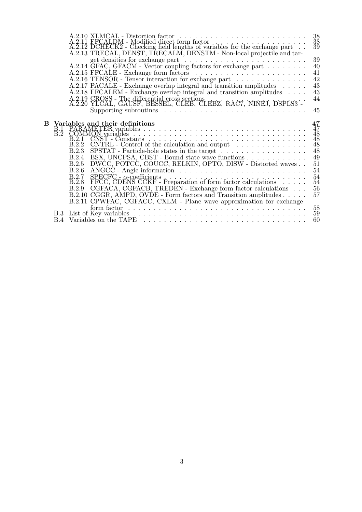|    |     | $\substack{38\\38\\39}$<br>$\begin{tabular}{ll} A.2.10 {\bf XLMCAL-} \end{tabular} \begin{tabular}{l} A.2.11 {\bf FFCALDM-} \end{tabular} \begin{tabular}{l} A.2.11 {\bf FFCALDM-} \end{tabular} \end{tabular} \begin{tabular}{l} A.2.11 {\bf FFCALDM-} \end{tabular} \end{tabular} \begin{tabular}{l} A.2.12 {\bf DCHECK2-} \end{tabular} \end{tabular} \begin{tabular}{l} A.2.12 {\bf DCHECK2-} \end{tabular} \end{tabular} \begin{tabular}{l} A.2.13 {\bf DCHECK$ |  |
|----|-----|----------------------------------------------------------------------------------------------------------------------------------------------------------------------------------------------------------------------------------------------------------------------------------------------------------------------------------------------------------------------------------------------------------------------------------------------------------------------|--|
|    |     | A.2.13 TRECAL, DENST, TRECALM, DENSTM - Non-local projectile and tar-                                                                                                                                                                                                                                                                                                                                                                                                |  |
|    |     | 39                                                                                                                                                                                                                                                                                                                                                                                                                                                                   |  |
|    |     | A.2.14 GFAC, GFACM - Vector coupling factors for exchange part<br>40                                                                                                                                                                                                                                                                                                                                                                                                 |  |
|    |     | 41                                                                                                                                                                                                                                                                                                                                                                                                                                                                   |  |
|    |     | 42<br>A.2.16 TENSOR - Tensor interaction for exchange part                                                                                                                                                                                                                                                                                                                                                                                                           |  |
|    |     | 43<br>A.2.17 PACALE - Exchange overlap integral and transition amplitudes                                                                                                                                                                                                                                                                                                                                                                                            |  |
|    |     | 43<br>A.2.18 FFCALEM - Exchange overlap integral and transition amplitudes                                                                                                                                                                                                                                                                                                                                                                                           |  |
|    |     | 44<br>A.2.19 CROSS - The differential cross sections<br>A.2.20 YLCAL, GAUSF, BESSEL, CLEB, CLEBZ, RAC7, NINEJ, DSPLS3 -                                                                                                                                                                                                                                                                                                                                              |  |
|    |     | 45<br>Supporting subroutines $\ldots \ldots \ldots \ldots \ldots \ldots \ldots \ldots \ldots$                                                                                                                                                                                                                                                                                                                                                                        |  |
| B. |     | 47                                                                                                                                                                                                                                                                                                                                                                                                                                                                   |  |
|    |     | Variables and their definitions<br>B.1 PARAMETER variables<br>B.2 COMMON variables<br>$\overline{47}$                                                                                                                                                                                                                                                                                                                                                                |  |
|    |     | $\frac{48}{48}$<br>$\overline{B.2.1}$                                                                                                                                                                                                                                                                                                                                                                                                                                |  |
|    |     | CNST - Constants<br>CNTRL - Control of the calculation and output<br>$\overline{B}$ :2.2<br>$\bar{4}8$                                                                                                                                                                                                                                                                                                                                                               |  |
|    |     | 48<br>$S\text{PSTAT}$ - Particle-hole states in the target<br>B.2.3                                                                                                                                                                                                                                                                                                                                                                                                  |  |
|    |     | 49<br>BSX, UNCPSA, CBST - Bound state wave functions<br><b>B.2.4</b>                                                                                                                                                                                                                                                                                                                                                                                                 |  |
|    |     | 51<br>DWCC, POTCC, COUCC, RELKIN, OPTO, DISW - Distorted waves<br>B.2.5                                                                                                                                                                                                                                                                                                                                                                                              |  |
|    |     | 54<br>B.2.6                                                                                                                                                                                                                                                                                                                                                                                                                                                          |  |
|    |     | 54<br>SPECFC - $\alpha$ -coefficients<br>FFCC, CDENS CCKF - Preparation of form factor calculations<br>B.2.7<br>$B.2.\dot{8}$<br>54                                                                                                                                                                                                                                                                                                                                  |  |
|    |     | 56<br>CGFACA, CGFACB, TREDEN - Exchange form factor calculations<br>B.2.9                                                                                                                                                                                                                                                                                                                                                                                            |  |
|    |     | 57<br>B.2.10 CGGR, AMPD, OVDE - Form factors and Transition amplitudes                                                                                                                                                                                                                                                                                                                                                                                               |  |
|    |     | B.2.11 CPWFAC, CGFACC, CXLM - Plane wave approximation for exchange                                                                                                                                                                                                                                                                                                                                                                                                  |  |
|    |     | 58<br>form factor $\ldots \ldots \ldots \ldots \ldots \ldots \ldots \ldots \ldots \ldots \ldots \ldots$                                                                                                                                                                                                                                                                                                                                                              |  |
|    | B.3 | 59<br>60                                                                                                                                                                                                                                                                                                                                                                                                                                                             |  |
|    |     |                                                                                                                                                                                                                                                                                                                                                                                                                                                                      |  |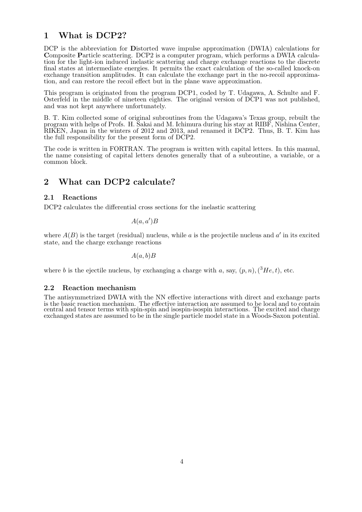### 1 What is DCP2?

DCP is the abbreviation for Distorted wave impulse approximation (DWIA) calculations for Composite Particle scattering. DCP2 is a computer program, which performs a DWIA calculation for the light-ion induced inelastic scattering and charge exchange reactions to the discrete final states at intermediate energies. It permits the exact calculation of the so-called knock-on exchange transition amplitudes. It can calculate the exchange part in the no-recoil approximation, and can restore the recoil effect but in the plane wave approximation.

This program is originated from the program DCP1, coded by T. Udagawa, A. Schulte and F. Osterfeld in the middle of nineteen eighties. The original version of DCP1 was not published, and was not kept anywhere unfortunately.

B. T. Kim collected some of original subroutines from the Udagawa's Texas group, rebuilt the program with helps of Profs. H. Sakai and M. Ichimura during his stay at RIBF, Nishina Center, RIKEN, Japan in the winters of 2012 and 2013, and renamed it DCP2. Thus, B. T. Kim has the full responsibility for the present form of DCP2.

The code is written in FORTRAN. The program is written with capital letters. In this manual, the name consisting of capital letters denotes generally that of a subroutine, a variable, or a common block.

### 2 What can DCP2 calculate?

#### 2.1 Reactions

DCP2 calculates the differential cross sections for the inelastic scattering

$$
A(a,a')B
$$

where  $A(B)$  is the target (residual) nucleus, while a is the projectile nucleus and a' in its excited state, and the charge exchange reactions

 $A(a, b)B$ 

where b is the ejectile nucleus, by exchanging a charge with a, say,  $(p, n)$ ,  $({}^{3}He, t)$ , etc.

#### 2.2 Reaction mechanism

The antisymmetrized DWIA with the NN effective interactions with direct and exchange parts is the basic reaction mechanism. The effective interaction are assumed to be local and to contain central and tensor terms with spin-spin and isospin-isospin interactions. The excited and charge exchanged states are assumed to be in the single particle model state in a Woods-Saxon potential.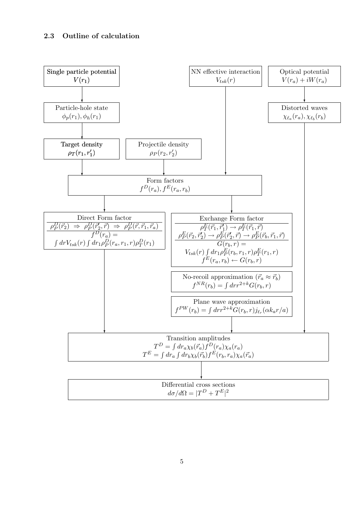#### 2.3 Outline of calculation

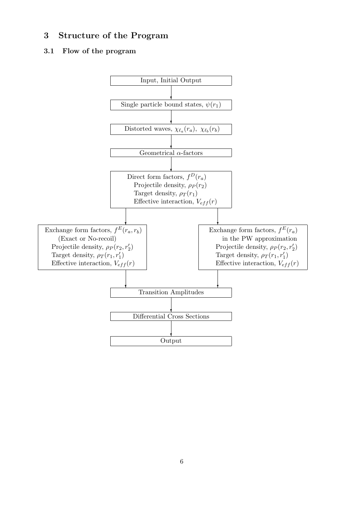### 3 Structure of the Program

#### 3.1 Flow of the program

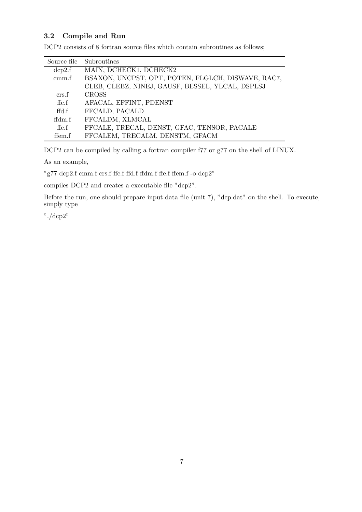#### 3.2 Compile and Run

| Source file    | Subroutines                                        |
|----------------|----------------------------------------------------|
| dep2.f         | MAIN, DCHECK1, DCHECK2                             |
| cmm.f          | BSAXON, UNCPST, OPT, POTEN, FLGLCH, DISWAVE, RAC7, |
|                | CLEB, CLEBZ, NINEJ, GAUSF, BESSEL, YLCAL, DSPLS3   |
| crs f          | <b>CROSS</b>                                       |
| ffc.f          | AFACAL, EFFINT, PDENST                             |
| $\text{ffd.f}$ | FFCALD, PACALD                                     |
| ffdm.f         | FFCALDM, XLMCAL                                    |
| ffe.f          | FFCALE, TRECAL, DENST, GFAC, TENSOR, PACALE        |
| ffem.f         | FFCALEM, TRECALM, DENSTM, GFACM                    |

DCP2 consists of 8 fortran source files which contain subroutines as follows;

DCP2 can be compiled by calling a fortran compiler f77 or g77 on the shell of LINUX.

As an example,

"g77 dcp2.f cmm.f crs.f ffc.f ffd.f ffdm.f ffe.f ffem.f -o dcp2"

compiles DCP2 and creates a executable file "dcp2".

Before the run, one should prepare input data file (unit 7), "dcp.dat" on the shell. To execute, simply type

"./dcp2"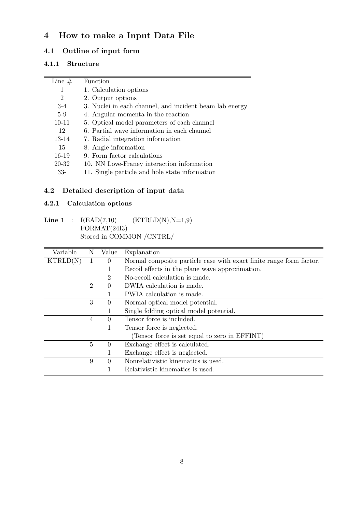### 4 How to make a Input Data File

### 4.1 Outline of input form

#### 4.1.1 Structure

| Line $#$       | <b>Function</b>                                         |
|----------------|---------------------------------------------------------|
| 1              | 1. Calculation options                                  |
| $\overline{2}$ | 2. Output options                                       |
| $3-4$          | 3. Nuclei in each channel, and incident beam lab energy |
| $5-9$          | 4. Angular momenta in the reaction                      |
| $10 - 11$      | 5. Optical model parameters of each channel             |
| 12             | 6. Partial wave information in each channel             |
| $13 - 14$      | 7. Radial integration information                       |
| 15             | 8. Angle information                                    |
| $16-19$        | 9. Form factor calculations                             |
| 20-32          | 10. NN Love-Franey interaction information              |
| $33-$          | 11. Single particle and hole state information          |

### 4.2 Detailed description of input data

#### 4.2.1 Calculation options

### $\textbf{Line 1} \quad : \quad \text{READ}(7,10) \qquad \quad (\text{KTRLD}(\text{N}),\text{N=1,9})$ FORMAT(24I3) Stored in COMMON /CNTRL/

| Variable | N              | Value    | Explanation                                                         |
|----------|----------------|----------|---------------------------------------------------------------------|
| KTRLD(N) | 1              | $\Omega$ | Normal composite particle case with exact finite range form factor. |
|          |                |          | Recoil effects in the plane wave approximation.                     |
|          |                | 2        | No-recoil calculation is made.                                      |
|          | $\overline{2}$ | 0        | DWIA calculation is made.                                           |
|          |                |          | PWIA calculation is made.                                           |
|          | 3              | $\Omega$ | Normal optical model potential.                                     |
|          |                |          | Single folding optical model potential.                             |
|          | 4              | $\Omega$ | Tensor force is included.                                           |
|          |                | 1        | Tensor force is neglected.                                          |
|          |                |          | (Tensor force is set equal to zero in EFFINT)                       |
|          | $\overline{5}$ | 0        | Exchange effect is calculated.                                      |
|          |                |          | Exchange effect is neglected.                                       |
|          | 9              | 0        | Nonrelativistic kinematics is used.                                 |
|          |                |          | Relativistic kinematics is used.                                    |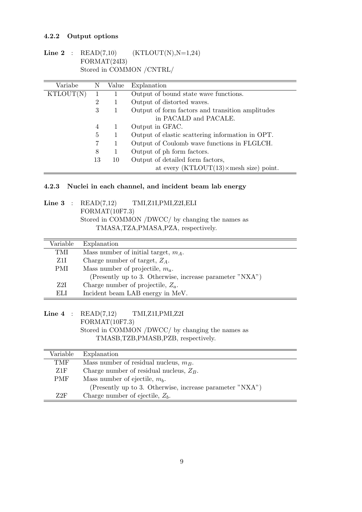### 4.2.2 Output options

Line 2 :  $READ(7,10)$   $(KTLOUT(N),N=1,24)$ FORMAT(24I3) Stored in COMMON /CNTRL/

| Variabe   | N              | Value | Explanation                                            |
|-----------|----------------|-------|--------------------------------------------------------|
| KTLOUT(N) |                |       | Output of bound state wave functions.                  |
|           | $\overline{2}$ |       | Output of distorted waves.                             |
|           | 3              |       | Output of form factors and transition amplitudes       |
|           |                |       | in PACALD and PACALE.                                  |
|           | 4              |       | Output in GFAC.                                        |
|           | 5              |       | Output of elastic scattering information in OPT.       |
|           | $\overline{7}$ |       | Output of Coulomb wave functions in FLGLCH.            |
|           | 8              |       | Output of ph form factors.                             |
|           | 13             | 10    | Output of detailed form factors,                       |
|           |                |       | at every $(KTLOUT(13) \times \text{mesh size})$ point. |

#### 4.2.3 Nuclei in each channel, and incident beam lab energy

|  | Line 3 : $READ(7,12)$ TMI, Z1I, PMI, Z2I, ELI    |
|--|--------------------------------------------------|
|  | FORMAT(10F7.3)                                   |
|  | Stored in COMMON /DWCC/ by changing the names as |
|  | TMASA, TZA, PMASA, PZA, respectively.            |
|  |                                                  |

| Variable | Explanation                                              |
|----------|----------------------------------------------------------|
| TMI      | Mass number of initial target, $m_A$ .                   |
| Z1I      | Charge number of target, $Z_A$ .                         |
| PMI.     | Mass number of projectile, $m_a$ .                       |
|          | (Presently up to 3. Otherwise, increase parameter "NXA") |
| Z2I      | Charge number of projectile, $Z_a$ .                     |
| EЫ       | Incident beam LAB energy in MeV.                         |

Line 4 : READ(7,12) TMI,Z1I,PMI,Z2I FORMAT(10F7.3) Stored in COMMON /DWCC/ by changing the names as TMASB,TZB,PMASB,PZB, respectively.

| Variable   | Explanation                                              |
|------------|----------------------------------------------------------|
| TMF        | Mass number of residual nucleus, $m_B$ .                 |
| Z1F        | Charge number of residual nucleus, $Z_B$ .               |
| <b>PMF</b> | Mass number of ejectile, $m_h$ .                         |
|            | (Presently up to 3. Otherwise, increase parameter "NXA") |
| 72F        | Charge number of ejectile, $Z_b$ .                       |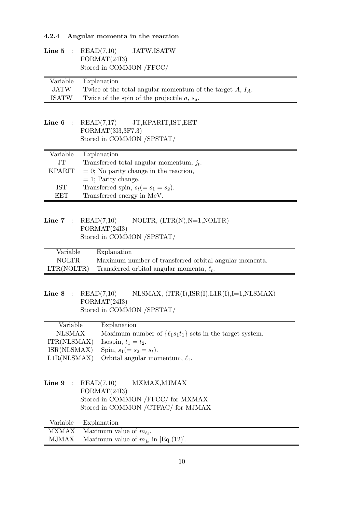#### 4.2.4 Angular momenta in the reaction

|  | Line 5 : $READ(7,10)$   | JATW, ISATW |
|--|-------------------------|-------------|
|  | FORMAT(24I3)            |             |
|  | Stored in COMMON /FFCC/ |             |

|              | Variable Explanation                                         |
|--------------|--------------------------------------------------------------|
| <b>JATW</b>  | Twice of the total angular momentum of the target $A, I_A$ . |
| <b>ISATW</b> | Twice of the spin of the projectile $a, s_a$ .               |

#### Line  $6$  : READ(7,17) JT, KPARIT, IST, EET FORMAT(3I3,3F7.3) Stored in COMMON /SPSTAT/

| Variable   | Explanation                                 |
|------------|---------------------------------------------|
| JT.        | Transferred total angular momentum, $j_t$ . |
| KPARIT     | $= 0$ ; No parity change in the reaction,   |
|            | $= 1$ ; Parity change.                      |
| <b>IST</b> | Transferred spin, $s_t (= s_1 = s_2)$ .     |
| <b>EET</b> | Transferred energy in MeV.                  |

### Line 7 :  $READ(7,10)$  NOLTR,  $(LTR(N),N=1,NOLTR)$ FORMAT(24I3) Stored in COMMON /SPSTAT/

| Variable     | Explanation                                                |
|--------------|------------------------------------------------------------|
| <b>NOLTR</b> | Maximum number of transferred orbital angular momenta.     |
|              | LTR(NOLTR) Transferred orbital angular momenta, $\ell_t$ . |

### Line 8 :  $READ(7,10)$  NLSMAX,  $(ITR(I),ISR(I),L1R(I),I=1,NLSMAX)$ FORMAT(24I3) Stored in COMMON /SPSTAT/

| Variable      | Explanation                                                     |
|---------------|-----------------------------------------------------------------|
| <b>NLSMAX</b> | Maximum number of $\{\ell_1s_1t_1\}$ sets in the target system. |
| ITR(NLSMAX)   | Isospin, $t_1 = t_2$ .                                          |
| ISR(NLSMAX)   | Spin, $s_1 (= s_2 = s_t)$ .                                     |
| L1R(NLSMAX)   | Orbital angular momentum, $\ell_1$ .                            |

Line  $9$  :  $READ(7,10)$  MXMAX, MJMAX FORMAT(24I3) Stored in COMMON /FFCC/ for MXMAX Stored in COMMON /CTFAC/ for MJMAX

| Variable Explanation                           |
|------------------------------------------------|
| MXMAX Maximum value of $m_{\ell_t}$ .          |
| MJMAX Maximum value of $m_{i_t}$ in [Eq.(12)]. |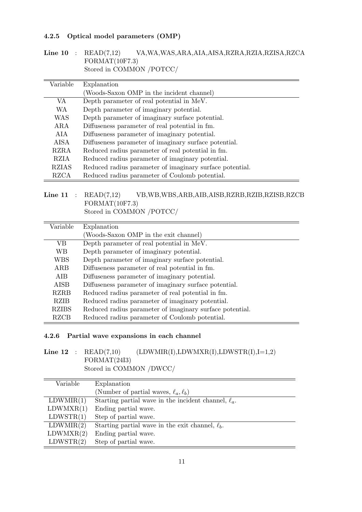#### 4.2.5 Optical model parameters (OMP)

Line 10 : READ(7,12) VA,WA,WAS,ARA,AIA,AISA,RZRA,RZIA,RZISA,RZCA FORMAT(10F7.3) Stored in COMMON /POTCC/

| Variable     | Explanation                                              |  |  |
|--------------|----------------------------------------------------------|--|--|
|              | (Woods-Saxon OMP in the incident channel)                |  |  |
| VA           | Depth parameter of real potential in MeV.                |  |  |
| <b>WA</b>    | Depth parameter of imaginary potential.                  |  |  |
| WAS          | Depth parameter of imaginary surface potential.          |  |  |
| ARA          | Diffuseness parameter of real potential in fm.           |  |  |
| AIA          | Diffuseness parameter of imaginary potential.            |  |  |
| <b>AISA</b>  | Diffuseness parameter of imaginary surface potential.    |  |  |
| RZRA         | Reduced radius parameter of real potential in fm.        |  |  |
| RZIA         | Reduced radius parameter of imaginary potential.         |  |  |
| <b>RZIAS</b> | Reduced radius parameter of imaginary surface potential. |  |  |
| <b>RZCA</b>  | Reduced radius parameter of Coulomb potential.           |  |  |

#### Line 11 : READ(7,12) VB,WB,WBS,ARB,AIB,AISB,RZRB,RZIB,RZISB,RZCB FORMAT(10F7.3) Stored in COMMON /POTCC/

| Variable     | Explanation                                              |  |  |
|--------------|----------------------------------------------------------|--|--|
|              | (Woods-Saxon OMP in the exit channel)                    |  |  |
| VВ           | Depth parameter of real potential in MeV.                |  |  |
| <b>WB</b>    | Depth parameter of imaginary potential.                  |  |  |
| <b>WBS</b>   | Depth parameter of imaginary surface potential.          |  |  |
| ARB          | Diffuseness parameter of real potential in fm.           |  |  |
| <b>AIB</b>   | Diffuseness parameter of imaginary potential.            |  |  |
| <b>AISB</b>  | Diffuseness parameter of imaginary surface potential.    |  |  |
| <b>RZRB</b>  | Reduced radius parameter of real potential in fm.        |  |  |
| RZIB         | Reduced radius parameter of imaginary potential.         |  |  |
| <b>RZIBS</b> | Reduced radius parameter of imaginary surface potential. |  |  |
| <b>RZCB</b>  | Reduced radius parameter of Coulomb potential.           |  |  |

#### 4.2.6 Partial wave expansions in each channel

### Line  $12$  : READ(7,10) (LDWMIR(I),LDWMXR(I),LDWSTR(I),I=1,2) FORMAT(24I3) Stored in COMMON /DWCC/

| Variable  | Explanation                                               |  |
|-----------|-----------------------------------------------------------|--|
|           | (Number of partial waves, $\ell_a, \ell_b$ )              |  |
| LDWMIR(1) | Starting partial wave in the incident channel, $\ell_a$ . |  |
| LDWMXR(1) | Ending partial wave.                                      |  |
| LDWSTR(1) | Step of partial wave.                                     |  |
| LDWMIR(2) | Starting partial wave in the exit channel, $\ell_b$ .     |  |
| LDWMXR(2) | Ending partial wave.                                      |  |
| LDWSTR(2) | Step of partial wave.                                     |  |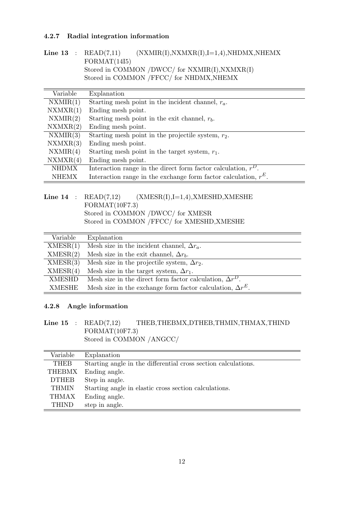#### 4.2.7 Radial integration information

### Line 13 :  $READ(7,11)$  (NXMIR(I),NXMXR(I),I=1,4),NHDMX,NHEMX FORMAT(14I5) Stored in COMMON /DWCC/ for NXMIR(I),NXMXR(I) Stored in COMMON /FFCC/ for NHDMX, NHEMX

| Variable     | Explanation                                                        |
|--------------|--------------------------------------------------------------------|
| NXMIR(1)     | Starting mesh point in the incident channel, $r_a$ .               |
| NXMXR(1)     | Ending mesh point.                                                 |
| NXMIR(2)     | Starting mesh point in the exit channel, $r_b$ .                   |
| NXMXR(2)     | Ending mesh point.                                                 |
| NXMIR(3)     | Starting mesh point in the projectile system, $r_2$ .              |
| NXMXR(3)     | Ending mesh point.                                                 |
| NXMIR(4)     | Starting mesh point in the target system, $r_1$ .                  |
| NXMXR(4)     | Ending mesh point.                                                 |
| <b>NHDMX</b> | Interaction range in the direct form factor calculation, $r^D$ .   |
| <b>NHEMX</b> | Interaction range in the exchange form factor calculation, $r^E$ . |

|  | Line $14$ : READ(7,12) (XMESR(I), I=1,4), XMESHD, XMESHE |
|--|----------------------------------------------------------|
|  | FORMAT(10F7.3)                                           |
|  | Stored in COMMON /DWCC/ for XMESR                        |
|  | Stored in COMMON /FFCC/ for XMESHD, XMESHE               |

| Variable      | Explanation                                                       |
|---------------|-------------------------------------------------------------------|
| XMESR(1)      | Mesh size in the incident channel, $\Delta r_a$ .                 |
| XMESR(2)      | Mesh size in the exit channel, $\Delta r_b$ .                     |
| XMESR(3)      | Mesh size in the projectile system, $\Delta r_2$ .                |
| XMESR(4)      | Mesh size in the target system, $\Delta r_1$ .                    |
| <b>XMESHD</b> | Mesh size in the direct form factor calculation, $\Delta r^{D}$ . |
| <b>XMESHE</b> | Mesh size in the exchange form factor calculation, $\Delta r^E$ . |

#### 4.2.8 Angle information

Line 15 : READ(7,12) THEB, THEBMX, DTHEB, THMIN, THMAX, THIND FORMAT(10F7.3) Stored in COMMON /ANGCC/

| Variable     | Explanation                                                    |  |  |
|--------------|----------------------------------------------------------------|--|--|
| <b>THEB</b>  | Starting angle in the differential cross section calculations. |  |  |
| THEBMX       | Ending angle.                                                  |  |  |
| <b>DTHEB</b> | Step in angle.                                                 |  |  |
| <b>THMIN</b> | Starting angle in elastic cross section calculations.          |  |  |
| THMAX        | Ending angle.                                                  |  |  |
| <b>THIND</b> | step in angle.                                                 |  |  |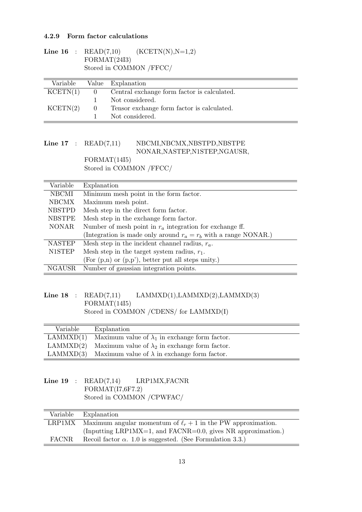#### 4.2.9 Form factor calculations

|  | <b>Line 16</b> : $READ(7,10)$ | $(KCETN(N),N=1,2)$ |
|--|-------------------------------|--------------------|
|  | FORMAT(24I3)                  |                    |
|  | Stored in COMMON /FFCC/       |                    |

| Variable  |        | Value Explanation                             |
|-----------|--------|-----------------------------------------------|
| KCENTN(1) |        | 0 Central exchange form factor is calculated. |
|           |        | Not considered.                               |
| KCENT(2)  | $\Box$ | Tensor exchange form factor is calculated.    |
|           |        | Not considered.                               |

### Line 17 : READ(7,11) NBCMI,NBCMX,NBSTPD,NBSTPE NONAR,NASTEP,N1STEP,NGAUSR,

FORMAT(14I5) Stored in COMMON /FFCC/

| Variable      | Explanation                                                       |  |  |
|---------------|-------------------------------------------------------------------|--|--|
| NBCMI         | Minimum mesh point in the form factor.                            |  |  |
| <b>NBCMX</b>  | Maximum mesh point.                                               |  |  |
| <b>NBSTPD</b> | Mesh step in the direct form factor.                              |  |  |
| <b>NBSTPE</b> | Mesh step in the exchange form factor.                            |  |  |
| <b>NONAR</b>  | Number of mesh point in $r_a$ integration for exchange ff.        |  |  |
|               | (Integration is made only around $r_a = r_b$ with a range NONAR.) |  |  |
| <b>NASTEP</b> | Mesh step in the incident channel radius, $r_a$ .                 |  |  |
| <b>N1STEP</b> | Mesh step in the target system radius, $r_1$ .                    |  |  |
|               | $(For (p,n) or (p,p'), better put all steps unity.)$              |  |  |
| <b>NGAUSR</b> | Number of gaussian integration points.                            |  |  |

#### Line 18 :  $READ(7,11)$  LAMMXD(1),LAMMXD(2),LAMMXD(3) FORMAT(14I5) Stored in COMMON /CDENS/ for LAMMXD(I)

| Variable  | Explanation                                                   |
|-----------|---------------------------------------------------------------|
| LAMMXD(1) | Maximum value of $\lambda_1$ in exchange form factor.         |
| LAMMXD(2) | Maximum value of $\lambda_2$ in exchange form factor.         |
|           | LAMMXD(3) Maximum value of $\lambda$ in exchange form factor. |

#### Line 19 : READ(7,14) LRP1MX, FACNR FORMAT(I7,6F7.2) Stored in COMMON /CPWFAC/

|              | Variable Explanation                                                     |
|--------------|--------------------------------------------------------------------------|
|              | LRP1MX Maximum angular momentum of $\ell_r + 1$ in the PW approximation. |
|              | (Inputting LRP1MX=1, and FACNR=0.0, gives NR approximation.)             |
| <b>FACNR</b> | Recoil factor $\alpha$ . 1.0 is suggested. (See Formulation 3.3.)        |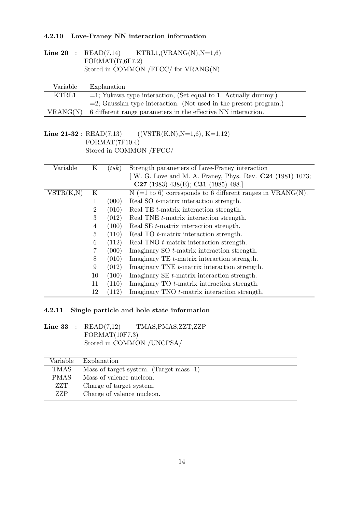#### 4.2.10 Love-Franey NN interaction information

Line 20 :  $READ(7,14)$  KTRL1,(VRANG(N),N=1,6) FORMAT(I7,6F7.2) Stored in COMMON /FFCC/ for VRANG(N)

| Variable | Explanation                                                          |
|----------|----------------------------------------------------------------------|
| KTRL1    | $=$ 1; Yukawa type interaction, (Set equal to 1. Actually dummy.)    |
|          | $=$ 2; Gaussian type interaction. (Not used in the present program.) |
| VRANG(N) | 6 different range parameters in the effective NN interaction.        |

#### Line 21-32 :  $READ(7,13)$  ((VSTR(K,N),N=1,6), K=1,12) FORMAT(7F10.4) Stored in COMMON /FFCC/

| Variable  | Κ              | (tsk) | Strength parameters of Love-Franey interaction               |
|-----------|----------------|-------|--------------------------------------------------------------|
|           |                |       | [W. G. Love and M. A. Franey, Phys. Rev. $C24$ (1981) 1073;  |
|           |                |       | C27 (1983) 438(E); C31 (1985) 488.                           |
| VSTR(K,N) | K              |       | $N (=1 to 6)$ corresponds to 6 different ranges in VRANG(N). |
|           | 1              | (000) | Real SO <i>t</i> -matrix interaction strength.               |
|           | 2              | (010) | Real TE t-matrix interaction strength.                       |
|           | 3              | (012) | Real TNE <i>t</i> -matrix interaction strength.              |
|           | 4              | (100) | Real SE t-matrix interaction strength.                       |
|           | $\overline{5}$ | (110) | Real TO <i>t</i> -matrix interaction strength.               |
|           | 6              | (112) | Real TNO <i>t</i> -matrix interaction strength.              |
|           |                | (000) | Imaginary SO t-matrix interaction strength.                  |
|           | 8              | (010) | Imaginary TE t-matrix interaction strength.                  |
|           | 9              | (012) | Imaginary TNE t-matrix interaction strength.                 |
|           | 10             | (100) | Imaginary SE t-matrix interaction strength.                  |
|           | 11             | (110) | Imaginary $TO$ t-matrix interaction strength.                |
|           | 12             | (112) | Imaginary TNO <i>t</i> -matrix interaction strength.         |

#### 4.2.11 Single particle and hole state information

#### Line 33 : READ(7,12) TMAS, PMAS, ZZT, ZZP FORMAT(10F7.3) Stored in COMMON /UNCPSA/

| Variable    | Explanation                             |
|-------------|-----------------------------------------|
| <b>TMAS</b> | Mass of target system. (Target mass -1) |
| PMAS.       | Mass of valence nucleon.                |
| ZZT         | Charge of target system.                |
| ZZP         | Charge of valence nucleon.              |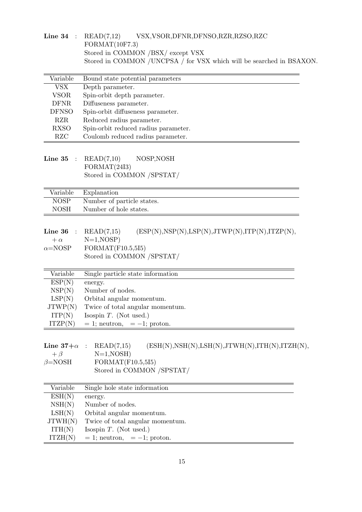| Line 34 : $READ(7,12)$ | VSX, VSOR, DFNR, DFNSO, RZR, RZSO, RZC                               |
|------------------------|----------------------------------------------------------------------|
| FORMAT(10F7.3)         |                                                                      |
|                        | Stored in COMMON /BSX/ except VSX                                    |
|                        | Stored in COMMON /UNCPSA / for VSX which will be searched in BSAXON. |
|                        |                                                                      |

| Variable     | Bound state potential parameters     |
|--------------|--------------------------------------|
| VSX          | Depth parameter.                     |
| <b>VSOR</b>  | Spin-orbit depth parameter.          |
| DFNR.        | Diffuseness parameter.               |
| <b>DFNSO</b> | Spin-orbit diffuseness parameter.    |
| RZR.         | Reduced radius parameter.            |
| <b>RXSO</b>  | Spin-orbit reduced radius parameter. |
| RZC          | Coulomb reduced radius parameter.    |

Line  $35$  :  $READ(7,10)$  NOSP, NOSH  $FORMAT(24I3)$ Stored in COMMON /SPSTAT/

|      | Variable Explanation       |
|------|----------------------------|
| NOSP | Number of particle states. |
| NOSH | Number of hole states.     |

| $(ESP(N),NSP(N),LSP(N),JTWP(N),ITP(N),ITZP(N),$ |
|-------------------------------------------------|
|                                                 |
|                                                 |
|                                                 |
|                                                 |

| Variable | Single particle state information |
|----------|-----------------------------------|
| ESP(N)   | energy.                           |
| NSP(N)   | Number of nodes.                  |
| LSP(N)   | Orbital angular momentum.         |
| JTWP(N)  | Twice of total angular momentum.  |
| ITP(N)   | Isospin $T$ . (Not used.)         |
| ITZP(N)  | $= 1$ ; neutron, $= -1$ ; proton. |

| Line $37+\alpha$ : READ(7,15) |                   |              | $(ESH(N), NSH(N), LSH(N), JTWH(N), ITH(N), ITZH(N),$ |
|-------------------------------|-------------------|--------------|------------------------------------------------------|
| $+ \beta$                     |                   | $N=1, NOSH)$ |                                                      |
| $\beta = NOSH$                | FORMAT(F10.5,5I5) |              |                                                      |
|                               |                   |              | Stored in COMMON /SPSTAT/                            |

| Variable | Single hole state information     |
|----------|-----------------------------------|
| ESH(N)   | energy.                           |
| NSH(N)   | Number of nodes.                  |
| LSH(N)   | Orbital angular momentum.         |
| JTWH(N)  | Twice of total angular momentum.  |
| ITH(N)   | Isospin $T$ . (Not used.)         |
| ITZH(N)  | $= 1$ ; neutron, $= -1$ ; proton. |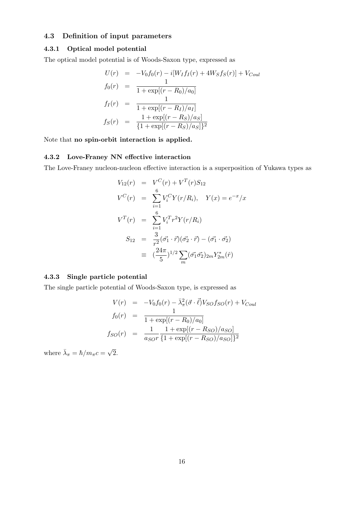#### 4.3 Definition of input parameters

#### 4.3.1 Optical model potential

The optical model potential is of Woods-Saxon type, expressed as

$$
U(r) = -V_0 f_0(r) - i[W_I f_I(r) + 4W_S f_S(r)] + V_{Coul}
$$
  
\n
$$
f_0(r) = \frac{1}{1 + \exp[(r - R_0)/a_0]}
$$
  
\n
$$
f_I(r) = \frac{1}{1 + \exp[(r - R_I)/a_I]}
$$
  
\n
$$
f_S(r) = \frac{1 + \exp[(r - R_S)/a_S]}{\{1 + \exp[(r - R_S)/a_S]\}^2}
$$

Note that no spin-orbit interaction is applied.

#### 4.3.2 Love-Franey NN effective interaction

The Love-Franey nucleon-nucleon effective interaction is a superposition of Yukawa types as

$$
V_{12}(r) = V^{C}(r) + V^{T}(r)S_{12}
$$
  
\n
$$
V^{C}(r) = \sum_{i=1}^{6} V_{i}^{C}Y(r/R_{i}), \quad Y(x) = e^{-x}/x
$$
  
\n
$$
V^{T}(r) = \sum_{i=1}^{6} V_{i}^{T}r^{2}Y(r/R_{i})
$$
  
\n
$$
S_{12} = \frac{3}{r^{2}}(\vec{\sigma_{1}} \cdot \vec{r})(\vec{\sigma_{2}} \cdot \vec{r}) - (\vec{\sigma_{1}} \cdot \vec{\sigma_{2}})
$$
  
\n
$$
\equiv (\frac{24\pi}{5})^{1/2} \sum_{m} (\vec{\sigma_{1}} \vec{\sigma_{2}})_{2m} Y_{2m}^{*}(\hat{r})
$$

#### 4.3.3 Single particle potential

The single particle potential of Woods-Saxon type, is expressed as

$$
V(r) = -V_0 f_0(r) - \bar{\lambda}_{\pi}^2 (\vec{\sigma} \cdot \vec{\ell}) V_{SO} f_{SO}(r) + V_{Coul}
$$
  
\n
$$
f_0(r) = \frac{1}{1 + \exp[(r - R_0)/a_0]}
$$
  
\n
$$
f_{SO}(r) = \frac{1}{a_{SO}r} \frac{1 + \exp[(r - R_{SO})/a_{SO}]}{1 + \exp[(r - R_{SO})/a_{SO}]^2}
$$

where  $\bar{\lambda}_{\pi} = \hbar / m_{\pi} c =$ √ 2.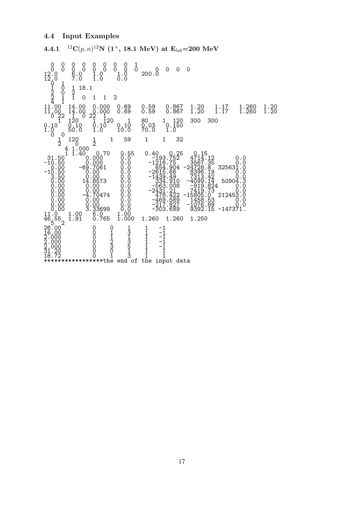#### 4.4 Input Examples

 $\,$  4.4.1  $^{-12}{\rm C}(p,n){\rm ^{12}N}$   $(1^+,$   $18.1~{\rm MeV})$  at  ${\rm E}_{lab}$ =200  ${\rm MeV}$ 0 0 0 0 0 0 0 0 1 0 0 0 0 0 0 0 0 0 0 0<br>12.0 g.0 1.0 1.0 200.0 12.0 7.0 1.0 0.0  $\dot{0}$  1  $\begin{bmatrix} 1 & 1 & 0 \\ 0 & 1 & 18 & 1 \\ 0 & 2 & 0 \\ 1 & 1 & 0 \end{bmatrix}$ 2 0 2 2 1 1 0 1 1 2  $\tilde{4}$   $\tilde{1}$ 11.00 14.00 0.000 0.69 0.59 0.867 1.20 1.17 1.260 1.20 11.00 14.00 0.000 0.69 0.59 0.867 1.20 1.17 1.260 1.20  $\begin{bmatrix} 1 & 0 & 2 & 1 \\ 0 & 2 & 2 & 1 \\ 1 & 1 & 2 & 1 \\ 0 & 1 & 1 & 2 & 1 \\ 0 & 1 & 1 & 2 & 1 \\ 0 & 0 & 1 & 0 & 0 \\ 0 & 0 & 0 & 0 & 0 \end{bmatrix}$   $\begin{bmatrix} 1 & 0 & 0 & 0 & 0 \\ 0 & 1 & 0 & 0 & 0 \\ 0 & 0 & 1 & 1 & 2 \\ 0 & 0 & 0 & 0 & 0 \\ 0 & 0 & 0 & 0 & 0 \\ 0 & 0 & 0 & 0 & 0 \\ 0 & 0 & 0 & 0 & 0$ 1.0 50.0 1.0 10.0 70.0 1.0 0 0  $\begin{array}{cccccccc} 1 & 120 & 1 & 1 & 59 & 1 & 1 & 32 \\ 2 & 4 & 0.000 & 2 & 0.15 & 0.15 \\ 31.50 & 0.000 & 0.05 & 0.40 & 0.25 & 0.15 \\ -10.50 & 0.000 & 0.0 & -193.752 & 4714.12 & 0.0 \\ -694.708 & -69.7061 & 0.00 & -2615.66 & 3267.35 & 325631.0 \\ -10.00 & -694.7061 & 0.00 & -$ 0.00 0.00 0.0 -469.589 1458.53 0.0 0.00 0.00 0.0 -217.827 -1076.89 0.0 0.00 3.33699 0.0 -303.689 9392.15 -147371. 11.0<sup>2</sup> 1.00 6.0<sup>2</sup> 1.00  $\begin{array}{cccc} 1\ 1.000\ 1\ 1.40\ 0.000\ 0.000\ 0.00\ 0.000\ 0.00\ -1216.75\ 3567.35\ -69.7061\ 0.000\ 0.00\ -264.904\ -24728.8\ 0.000\ 0.00\ -2654.904\ -24728.8\ 0.000\ 0.00\ -1439.49\ 7313.42\ 14.8573\ 0.00\ 0.00\ -1439.49\ 7313.42\$  $\begin{array}{ccccccc}\n 1.5 & 2 & 1.5 & 0 & 0 & 0 & 1 & 1 & -1 \\
 26.00 & & 0 & 0 & 1 & 1 & -1 & -1 \\
 2.000 & & 0 & 1 & 1 & 1 & -1 \\
 2.000 & & 0 & 2 & 1 & 1 & -1 \\
 2.000 & & 0 & 3 & 5 & 1 & -1 \\
 31.20 & & 0 & 2 & 1 & 1 & 1\n \end{array}$ 18.72 0 1 3 1 1 \*\*\*\*\*\*\*\*\*\*\*\*\*\*\*\*\*the end of the input data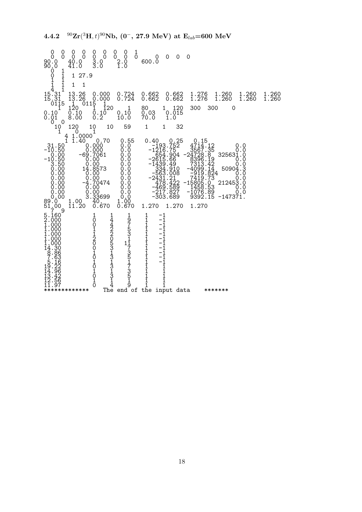0 0 0 0 0 0 0 0 1 0 0 0 0 0 0 0 0 0 0 0 0 0 90.0 40.0 3.0 2.0 600.0 90.0 41.0 3.0 1.0  $\dot{\S}$  1  $\begin{bmatrix} 1 & 1 & 27.9 \\ 1 & 1 & 1 \\ 1 & 1 & 1 \end{bmatrix}$  $\begin{bmatrix} 1 & 1 & 1 \\ 1 & 1 & 1 \\ 4 & 1 & 1 \end{bmatrix}$ 15.31 13.26 0.000 0.724 0.662 0.662 1.276 1.260 1.260 1.260 15.31 13.26 0.000 0.724 0.662 0.662 1.276 1.260 1.260 1.260 0115 1 0115 1 1 120 1 120 1 80 1 120 300 300 0 0.10 0.10 0.10 0.10 0.03 0.015 0.01 8.00 0.2 10.0 70.0 1.0  $0.10$ <br>0.01<br>0.01<br>0<br>10<br>1  $\begin{array}{cccccccc} 10&120&10&10&59&1&1&32\\ 1&4&1.0000&1&&&&&&&&\\ 4&1.0000&0.70&0.55&0.40&0.25&0.15\\ -31.50&0.000&0.00&-193.752&4714.12&0.0\\ -10.50&0.000&0.0&-1216.75&3567.35&0.0\\ -69.7061&0.0&-654.904&-24728.8&325631.0\\ -10.50&0.00&0.0&-2$ 0.00 -4.70474 0.0 478.422 -15805.0 212453.0 0.00 0.00 0.0 -469.589 1458.53 0.0 0.00 0.00 0.0 -217.827 -1076.89 0.0 0.00 3.33699 0.0 -303.689 9392.15 -147371.  $\begin{smallmatrix} 89.0^\circ\ 1\cdot 00& 40.^\circ\ 1\cdot 00& 0.670& 1.200& 0.901\cdot 0.000\ 51\cdot 00& 1\cdot 200& 0.670& 1.270& 1.270& 1.270\ 5.160& 1\cdot 200& 0& 4& 9& 1& -1\ 5.1600& 0& 4& 9& 1& -1\ 1\cdot 000& 0& 1& 2& 5& 1& -1\ 1\cdot 000& 0& 1& 2& 5& 1& -1\$ \*\*\*\*\*\*\*\*\*\*\*\*\* The end of the input data \*\*\*\*\*\*\*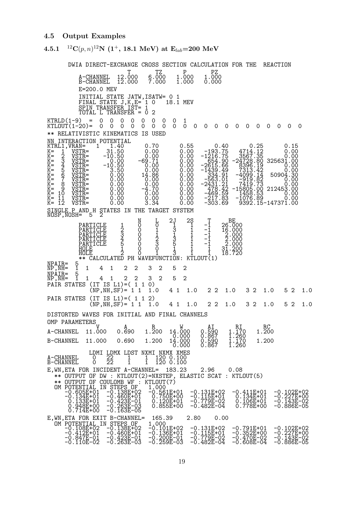#### 4.5 Output Examples

#### $\,$  4.5.1  $^{-12}{\rm C}(p,n){\rm ^{12}N}$   $(1^+,$   $18.1~{\rm MeV})$  at  ${\rm E}_{lab}$ =200  ${\rm MeV}$

DWIA DIRECT-EXCHANGE CROSS SECTION CALCULATION FOR THE REACTION  $\begin{array}{ccccc} T & TZ & P & PZ \ 12.000 & 6.000 & 1.000 & 1.000 \ 12.000 & 7.000 & 1.000 & 0.000 \end{array}$ A-CHANNEL 12.000 6.000 1.000 1.000<br>B-CHANNEL 12.000 7.000 1.000 0.000 E=200.0 MEV INITIAL STATE JATW, ISATW= 0 1<br>FINAL STATE J, K, E= 1 0 18.1 MEV FINAL STATE  $J,K,E=$  1 0  $-$  18.1 MEV SPIN TRANSFERÍIST= 1<br>TOTAL L TRANSFER = 0 2  $KTRLD(1-9) = 0 0 0 0 0$ <br> $KTLOUT(1-20) = 0 0 0 0 0$ KTLOUT(1-20)= 0 0 0 0 0 0 0 0 0 0 0 0 0 0 0 0 0 0 0 0 \*\* RELATIVISTIC KINEMATICS IS USED NN INTERACTION POTENTIAL<br>
KTRL1, VRAN= 1 1.40<br>
K= 1 VSTR= 31.50<br>
K= 2 VSTR= -10.50<br>
K= 3 VSTR= -10.50<br>
K= 4 VSTR= -10.50<br>
K= 4 VSTR= 0.00<br>
K= 7 VSTR= 0.000<br>
K= 9 VSTR= 0.000<br>
K= 10 VSTR= 0.000<br>
K= 11 VSTR= 0.000<br>
K= 11 VST KTRL1,VRAN= 1 1.40 0.70 0.55 0.40 0.25 0.15 K= 1 VSTR= 31.50 0.00 0.00 -193.75 4714.12 0.00 K= 2 VSTR= -10.50 0.00 0.00 -1216.75 3567.35 0.00 K= 3 VSTR= 0.00 -69.71 0.00 654.90 -24728.80 325631.00 K= 4 VSTR= -10.50 0.00 0.00 -2615.66 8396.19 0.00 K= 5 VSTR= 3.50 0.00 0.00 -1439.49 7313.42 0.00 K= 6 VSTR= 0.00 14.86 0.00 334.91 -4099.14 50904.30 K= 7 VSTR= 0.00 0.00 0.00 -563.01 -919.82 0.00 K= 8 VSTR= 0.00 0.00 0.00 -2431.21 7419.73 0.00 K= 9 VSTR= 0.00 -4.70 0.00 478.42 -15805.00 212453.00 K= 10 VSTR= 0.00 0.00 0.00 -469.59 1458.53 0.00 K= 11 VSTR= 0.00 0.00 0.00 -217.83 -1076.89 0.00 K= 12 VSTR= 0.00 3.34 0.00 -303.69 9392.15-147371.00 SINGLE P AND H STATES IN THE TARGET SYSTEM NOSP,NOSH= 5 2 N L 2J 2S T BE<br>
0 0 1 3 1 -1 26.000<br>
0 1 3 1 -1 16.000<br>
0 2 3 1 -1 2:000<br>
0 2 3 1 -1 2:000<br>
0 3 5 1 -1 2:000 PARTICLE 1 0 0 1 1 -1 26.000<br>PARTICLE 2 0 1 3 1 -1 16.000<br>PARTICLE 3 0 1 1 1 -1 2.000<br>PARTICLE 4 0 2 3 1 -1 2.000 PARTICLE 5 0 3 5 1 -1 2.000<br>HOLE 1 0 0 1 1 1 31.200<br>HOLE 2 2 0 1 3 1 1 1 18.720 \*\* CALCULATED PH WAVEFUNCTION: KTLOUT(1) NPAIR= 5 NP,NH= 1 1 4 1 2 2 3 2 5 2 NPAIR= 5<br>NP,NH= 1<br>NPAIR= 5<br>NP,NH= 1 NP,NH= 1 1 4 1 2 2 3 2 5 2 PAIR STATES (IT IS L1)=( 1 1 0)  $(NP,NH, SF) = 1 1 1.0 4 1 1.0 2 2 1.0 3 2 1.0 5 2 1.0$ PAIR STATES (IT IS L1)=(112) (NP, NH, SF) = 1 1 1.0 4 1 1.0 2 2 1.0 3 2 1.0 5 2 1.0 DISTORTED WAVES FOR INITIAL AND FINAL CHANNELS OMP PARAMETERS  $V$  A R  $W$  AI RI RC 0-11 ARA-EFIERR V A R W AI RI RC<br>A-CHANNEL 11.000 0.690 1.200 14.000 0.590 1.170 1.200<br>B-CHANNEL 11.000 0.690 1.200 14.000 0.590 1.170 1.200 0.000 0.867 1.260 B-CHANNEL 11.000 0.690 1.200 14.000 0.590 1.170 1.200 0.000 0.867 1.260 LDMI LDMX LDST NXMI NXMX XMES A-CHANNEL 0 22 1 1 120 0.100 B-CHANNEL 0 22 1 1 120 0.100 E,WN,ETA FOR INCIDENT A-CHANNEL= 183.23 2.96 0.08 \*\* OUTPUT OF DW : KTLOUT(2)=NXSTEP, ELASTIC SCAT : KTLOUT(5) \*\* OUTPUT OF COULOMB WF : KTLOUT(7) 0M POTENTIAL IN STEPS OF 1.000<br>
-0.605E+01 -0.138E+02 -0.561E+01 -0.131E+02 -0.411E+01 -0.102E+02<br>
-0.134E+01 -0.460E+01 0.750E+00 -0.175E-02 0.134E+01 -0.143E-02<br>
0.133E+01 -0.423E-01 0.720E+01 -0.779E-02 0.106E+01 -0.143 E, WN, ETA FOR EXIT B-CHANNEL= 165.39 2.80 0.00<br>
OM POTENTIAL IN STEPS OF 1.000<br>
-0.108E+02 -0.138E+02 -0.101E+02 -0.131E+02<br>
-0.412E+01 -0.460E+01 -0.136E+01 -0.115E+01<br>
-0.847E-01 -0.423E-01 -0.200E-01 -0.779E-02<br>
-0.110 0M POTENTIAL IN STEPS OF 1.000<br>-0.108E+02 -0.138E+02 -0.101E+02 -0.131E+02 -0.791E+01 -0.102E+02<br>-0.412E+01 -0.423E-01 -0.136E+01 -0.115E+01 -0.352E+00 -0.227E+00<br>0.847E-01 -0.423E-01 -0.200E-01 -0.779E-02 -0.470E-02 -0.14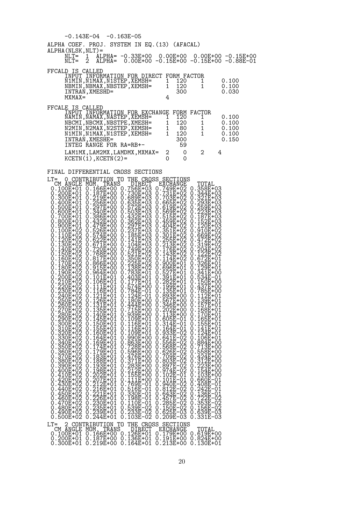|                                                                         | $-0.143E-04$ $-0.163E-05$                                                                                                                                                                                                                                                                                     |                                                              |                                                                                                                                                                                                                                                                                           |                                                                                          |                                                                                                                                                                                                                                                                                                                                                                             |                     |                                                                                                                                                                                                                                                                                                 |                                                                                                                                                                                                                                                                                                                             |   |                                           |  |
|-------------------------------------------------------------------------|---------------------------------------------------------------------------------------------------------------------------------------------------------------------------------------------------------------------------------------------------------------------------------------------------------------|--------------------------------------------------------------|-------------------------------------------------------------------------------------------------------------------------------------------------------------------------------------------------------------------------------------------------------------------------------------------|------------------------------------------------------------------------------------------|-----------------------------------------------------------------------------------------------------------------------------------------------------------------------------------------------------------------------------------------------------------------------------------------------------------------------------------------------------------------------------|---------------------|-------------------------------------------------------------------------------------------------------------------------------------------------------------------------------------------------------------------------------------------------------------------------------------------------|-----------------------------------------------------------------------------------------------------------------------------------------------------------------------------------------------------------------------------------------------------------------------------------------------------------------------------|---|-------------------------------------------|--|
|                                                                         | ALPHA COEF. PROJ. SYSTEM IN EQ. (13) (AFACAL)<br>ALPHA (NLSK, NLT) =                                                                                                                                                                                                                                          |                                                              |                                                                                                                                                                                                                                                                                           |                                                                                          |                                                                                                                                                                                                                                                                                                                                                                             |                     |                                                                                                                                                                                                                                                                                                 |                                                                                                                                                                                                                                                                                                                             |   |                                           |  |
|                                                                         | $NLT = 1$<br>$NLT=$                                                                                                                                                                                                                                                                                           |                                                              |                                                                                                                                                                                                                                                                                           |                                                                                          |                                                                                                                                                                                                                                                                                                                                                                             |                     |                                                                                                                                                                                                                                                                                                 | ALPHA= -0.33E+00 0.00E+00 0.00E+00 -0.15E+00<br>ALPHA= 0.00E+00 -0.15E+00 -0.15E+00 -0.88E-01                                                                                                                                                                                                                               |   |                                           |  |
|                                                                         | FFCALD IS CALLED<br>INTRAN, XMESHD=<br>$MXMAX =$                                                                                                                                                                                                                                                              |                                                              |                                                                                                                                                                                                                                                                                           |                                                                                          | ĨNPŨT ĨNFÖŘMATION FOR DIRECT FORM FACTOR<br>N1MIN,N1MAX,N1STEP,XEMSH= 1 120 1<br>NBMIN, NBMAX, NBSTEP, XEMSH= 1                                                                                                                                                                                                                                                             | 4                   | 120<br>120<br>300                                                                                                                                                                                                                                                                               | 1<br>$\mathbf{1}$                                                                                                                                                                                                                                                                                                           |   | 0.100<br>0.100<br>0.030                   |  |
|                                                                         | FFCALE IS CALLED<br>INTRAN, XMESHE=<br>INTEG RANGE FOR RA=RB+-<br>$KCFTN(1)$ , $KCFTN(2) =$                                                                                                                                                                                                                   |                                                              |                                                                                                                                                                                                                                                                                           |                                                                                          | NAMIN, NAMAX, NASTEP, XEMSH="""1<br>NBCMI, NBCMX, NBSTPE, XMESH=<br>NBCMI, NBCMX, NBSTPE, XMESH=<br>N2MIN, N2MAX, N2STEP, XEMSH=<br>1<br>N1MIN, NMESHF=<br>1<br>NTEPAN_YMESHF=<br>1<br>LAM1MX,LAM2MX,LAMDMX,MXMAX=                                                                                                                                                          | 0                   | 120<br>$2\qquad 0$<br>0                                                                                                                                                                                                                                                                         | INPUT INFORMATION FOR EXCHANGE FORM FACTOR<br>1<br>$\begin{array}{ccc} 120 & 1 \ 120 & 1 \ 80 & 1 \ 120 & 1 \ 300 & 59 \end{array}$<br>$2 \quad \blacksquare$                                                                                                                                                               | 4 | 0.100<br>0.100<br>0.100<br>0.100<br>0.150 |  |
| $LT =$<br>0<br>0<br>0<br>O<br>0<br>0<br>0<br>0<br>0<br>0<br>0<br>0<br>0 | FINAL DIFFERENTIAL CROSS SECTIONS<br>270E+02<br>280E+02<br>. 290E+02<br>. 300E+02<br>310E+02<br>320E+02<br>330E+02<br>330E+02<br>350E+02<br>350E+02<br>.360E+02<br>.370E+02<br>0.380E+02<br>0.390E+02<br>0.400E+02<br>0.410E+02<br>Ŏ.42ŎĒ+Ŏ2<br>430E+02<br>440E+02<br>0.450E+02<br>0.460E+02<br>$0.470E + 02$ | 0<br>$\ddot{\phantom{a}}$<br>0<br>0<br>0<br>0<br>0<br>0<br>0 | $0.135E + 01$<br>0.140E+01<br>$145E + 01$<br>Ŏ.15ŎĒ+ŎĪ<br>0.155E+01<br>.160E+01<br>164E+01<br>0.169E+01<br>0.174E+01<br>$.179E + 01$<br>$.183E + 01$<br>$.188E + 01$<br>$193E + 01$<br>198E+01<br>0.1981+01<br>0.202E+01<br>0.212E+01<br>0.216E+01<br>0.221E+01<br>0.226E+01<br>0.226E+01 | 0.<br>0<br>O<br>0<br>0<br>0<br>0<br>0<br>0<br>0<br>0<br>0<br>0<br>0<br>$\mathbf{1}$<br>0 | O CONTRIBUTION TO THE CROSS SECTIONS<br>715E+00<br>0.939E+00<br>$109E + 01$<br>.116E+01<br>116E+01<br>109E+01<br>.990E+00<br><u>.863E+00</u><br>728E+00<br>.596E+00<br>.476E+00<br>$\frac{3}{2}$ $\frac{7}{1}$ $\frac{1}{2}$ $\frac{1}{2}$ $\frac{1}{2}$<br>:283E+00<br>:212E+00<br>:155E+00<br>$11E+00$<br>Ŏ.769E-ŎĬ<br>O.516E-O1<br>Ŏ.33ŎĒ-ŎĪ<br>Q.198E-Q1<br>$0.110E-01$ | 0.<br>О.<br>0.<br>0 | 0.202E+00<br>0.113E+00<br>Q.605E-Q1<br>Ŏ.314E-ŎI<br>164E-01<br>933E-02<br>641E-02<br>556E-02<br>0.568E-02<br>0.626E-02<br>0.709E-02<br>Ŏ.8ŎŜĒ-ŎŹ<br>Q.897E-Q2<br>$0.\overline{974E} - \overline{02}$<br>Ŏ.ĭóŹĒ-ŎĨ<br>O.1O1E-Q1<br>Ŏ.94ŌĒ-Ŏ2<br>Q.812E-Q2<br>0.643E-02<br>0.457E-02<br>0.285E-02 | 0.168E+01<br>0.170E+01<br>0.165E+01<br>0.155E+01<br>$.141E+01$<br>0<br>.124E+01<br>0<br>106E+01<br>0<br>$: \frac{564}{57}$<br>0<br>713E+00<br>О.<br>558E+00.<br>424E+00.<br>0<br>0<br>Ŏ:312E+ŎŎ<br>O:223E+OO<br>Q:154E+QQ<br>$0.103E + 00$<br>Ŏ.ē̃6ŎE-Ŏľ<br>Ŏ:4ŎŠĒ-ŎĪ<br>Q:242E-Q1<br>Ŏ.Ī36E-01<br>Q.722E-02<br>$0.353E-02$ |   |                                           |  |

|                                          |  | V.IOVI'VZ V.ZZIL'VI V.OOVI VI V.VIOL VZ V.IOVI VI<br>0.480E+02  0.235E+01  0.539E-02  0.150E-02  0.156E-02<br>0.500E+02  0.244E+01  0.103E-02  0.209E-03  0.331E-03                                            |        |
|------------------------------------------|--|----------------------------------------------------------------------------------------------------------------------------------------------------------------------------------------------------------------|--------|
| LT= 2 CONTRIBUTION TO THE CROSS SECTIONS |  | CM ANGLE MOM. TRANS DIRECT EXCHANGE<br>0.100E+01  0.166E+00  0.126E+01  0.179E+00  0.619E+00<br>0.200E+01  0.187E+00  0.136E+01  0.191E+00  0.824E+00<br>0.300E+01  0.219E+00  0.164E+01  0.213E+00  0.130E+01 | TOTAL. |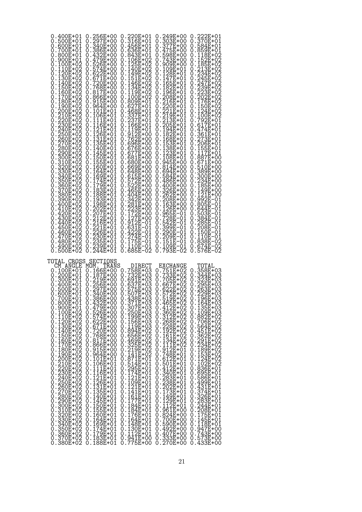| 0.400E+01<br>0.500E+01<br>O<br>.600E+01<br>0.<br>.700E+01<br>O<br>O<br>0.800E+01<br>.900E+01<br>O<br>.100E+02<br>O.<br>.īĭŏĒ+ŏŹ<br>.120E+O2<br>O<br>О.<br>O<br>.130E+02<br>.ī4ŏĒ+ŏŹ<br>.150E+02<br>.1 <u>6</u> 0E+02<br>O<br>Ő<br>.170E+02<br>0<br>.180E+02<br>.190E+02<br>O<br>0<br>О.<br>.200E+02<br>.210E+02<br>0<br>.220E+02<br>.230E+02<br>.230E+02<br>.250E+02<br>0<br>0<br>0<br>O<br>0<br>0<br>O<br>O<br>260E+02<br>270E+02<br>280E+02<br>O<br>Q.<br>. 290E+02<br>. 300E+02<br>0<br>0<br>310E+02<br>320E+02<br>О.<br>O<br>. 330E+02<br>. 330E+02<br>. 340E+02<br>0<br>0<br>0.<br>.350E+02<br>0<br>.360E+02<br>.370E+02<br>O<br>0<br>0<br>Ο.<br>.380E+02<br>.390E+02<br>0<br>0.<br>0<br>0<br>400E+02.<br>410E+02.<br>0<br>O<br>.420E+02<br>0<br>Ŏ.43ŎĒ+Ŏ2<br>O.44QE+Q2<br>0.450E+02<br>0.460E+02<br>0.470E+02<br>0.480E+02<br>490E+02.<br>500E+02.<br>Ő<br>0<br>O | 256E+00<br>297E+00<br>340E+00<br>386E+00<br>Ŏ.432E+ŎŎ<br>O.479E+OO<br>Q.526E+QQ<br>574E+00<br>0.622E+00<br>Ŏ.Ğ7ĪĒ+ŎŎ<br>Q. <u>720E+</u> QQ<br>0.768E+00<br>0.817E+00<br>$.866E+00$<br>.915E+00<br>.964E+00<br>0.101E+01<br>0.106E+01<br>111E+01<br>116E+01<br>:121E+01<br>:126E+01<br>:131E+01<br>Ŏ:ĬŠĖĖ+ŎĨ<br>Q:14OE+O1<br>0.145E+01<br>0.150E+01<br>$155E + 01$<br>.īĕŏĒ+ŏī<br>Ŏ.īč4E+Ŏī<br>169E+01<br>.174E+01<br>.179E+01<br>.183E+01<br>.188E+01<br>.193E+01<br>0.193E+01<br>0.202E+01<br>0.207E+01<br>0.212E+01<br>0.212E+01<br>0.2230E+01<br>0.233E+01<br>0.233E+01<br>0.233E+01<br>239E+01<br>244E+01 | 0.220E+01<br>0.316E+01<br>$.456E + 01$<br>O<br>.636E+01<br>O<br>.843E+01<br>O<br>.106E+02<br>0<br>.125E+02<br>O)<br>.140E+02<br>0<br>149E+02<br>O<br>.ī51E+ŏ2<br>.146E+O2<br>O<br>O<br>.134E+02<br>0<br>119E+02<br>O<br>$.100E + 02$<br>O<br>809E+01<br>627E+01<br>O<br>0<br>.468E+01<br>.337E+01<br>O<br>0<br>.237E+01<br>.166E+01<br>0<br>O<br>.īĭ9Ē+ŎĪ<br>.912E+OO<br>0<br>O)<br>.762E+00<br>.696E+00<br>.6 <u>76E</u> +00<br>0<br>O<br>O<br>.677E+00<br>O<br>.681E+00<br>O<br>$.680E + 00$<br>O<br>.669E+00<br>O<br>.648E+00<br>0<br>.615E+00<br>O<br>.572E+00<br>.522E+00<br>.465E+00<br>O<br>0<br>0<br>$.404E + 00$<br>O<br>342E+00<br>0<br>$22311+00$<br>$22311+00$<br>$17211+00$<br>$12711+00$<br>$1271-01$<br>0<br>0<br>0<br>O<br>0<br>.631E-01<br>0<br>.422E-01<br>0<br>.274E-01<br>175E-01<br>O<br>O<br>110E-01<br>685E-02<br>O<br>O | 249E+00<br>303E+00<br>O)<br>.377E+00<br>O<br>.475E+00<br>O)<br>.598E+00<br>O<br>.743E+00<br>O<br>909E+00<br>O)<br>$.109E + 01$<br>O<br>0.128E+01<br>$.147E + 01$<br>.165E+01<br>0.<br>$182E + 01$<br>0.<br>.196E+01<br>O<br>$0.208E+01 \ 0.216E+01 \ 0.220E+01 \ 0.211E+01 \ 0.213E+01 \ 0.213E+01 \ 0.205E+01 \ 0.205E+01$<br>194E+01<br>0.<br>.182E+01<br>168E+01<br>0.<br>.153E+01<br>.138E+01<br>O<br>O<br>123E+01<br>О.<br>108E+01<br>0<br>945E+00<br>0.<br>$.814E + 00$<br>O<br>$0.694E + 00$<br>0.584E+00<br>0.486E+00<br>400E+00.<br>326E+00.<br>O<br>О.<br>0.262E+00<br>0.208E+00<br>$\overline{163E} + \overline{00}$<br>0.<br>126E+00<br>O<br>965E-01<br>0.<br>.720E-ŎĪ<br>542E-01<br>О.<br>0.399E-01<br>0.290E-01<br>ŽŎŠĒ-01<br>151E-01<br>0.<br>O<br>109E-01<br>793E-02<br>Ő<br>O | 222E+01<br>370E+01<br>O)<br>584E+01<br>0<br>.859E+01<br>O)<br>0<br>0<br>0<br>0<br>O<br>0<br>O<br>0<br>O<br>0<br>0<br>.124E+02<br>100E+02<br>0<br>O<br>.792E+01<br>0<br>$.617E + 01$<br>Ő<br>.474E+01<br>.361E+01<br>0<br>O<br>273E+01<br>206E+01<br>155E+01<br>0<br>0<br>0<br>:117E+01<br>:887E+00<br>O<br>0<br>.671E+00<br>0<br>.510E+00<br>.389E+00<br>Ő<br>0<br>$.300E + 00$<br>$.234E + 00$<br>$.185E + 00$<br>$.149E + 00$<br>O<br>0<br>O<br>O<br>.121E+00<br>.992E-01<br>0<br>O<br>$.805E - 01$<br>0<br>.644E-01<br>0<br>$.503E-01$<br>0<br>:384E-01<br>:285E-01<br>O<br>0<br>208E-01<br>150E-01<br>0<br>$110E - 01$<br>O<br>$\ddot{\phantom{0}}$<br>:š3šË-ŏ2<br>Ő<br>.674E-02<br>.576E-02<br>Ő<br>O |
|-------------------------------------------------------------------------------------------------------------------------------------------------------------------------------------------------------------------------------------------------------------------------------------------------------------------------------------------------------------------------------------------------------------------------------------------------------------------------------------------------------------------------------------------------------------------------------------------------------------------------------------------------------------------------------------------------------------------------------------------------------------------------------------------------------------------------------------------------------------------------|---------------------------------------------------------------------------------------------------------------------------------------------------------------------------------------------------------------------------------------------------------------------------------------------------------------------------------------------------------------------------------------------------------------------------------------------------------------------------------------------------------------------------------------------------------------------------------------------------------------|-------------------------------------------------------------------------------------------------------------------------------------------------------------------------------------------------------------------------------------------------------------------------------------------------------------------------------------------------------------------------------------------------------------------------------------------------------------------------------------------------------------------------------------------------------------------------------------------------------------------------------------------------------------------------------------------------------------------------------------------------------------------------------------------------------------------------------------------------|------------------------------------------------------------------------------------------------------------------------------------------------------------------------------------------------------------------------------------------------------------------------------------------------------------------------------------------------------------------------------------------------------------------------------------------------------------------------------------------------------------------------------------------------------------------------------------------------------------------------------------------------------------------------------------------------------------------------------------------------------------------------------------------------|------------------------------------------------------------------------------------------------------------------------------------------------------------------------------------------------------------------------------------------------------------------------------------------------------------------------------------------------------------------------------------------------------------------------------------------------------------------------------------------------------------------------------------------------------------------------------------------------------------------------------------------------------------------------------------------------------------|
| TOTAL CROSS<br>CM ANGLE<br>MOM.<br>0.100E+01<br>:ŽŎŎĒ+ŎĪ<br>:300E+O1<br>O<br>.400E+01<br>0<br>.500E+01<br>O<br>0.600E+01<br>0.700E+01<br>0.800E+01<br>0.900E+01<br>0.100E+02<br>Ŏ.Ī1ŎĒ+Ŏ2<br>Q.12OE+O2<br>0.120E+02<br>0.130E+02<br>0.140E+02<br>0.160E+02<br>0.170E+02<br>0.180E+02<br>0.180E+02<br>0<br>0<br>Ó.<br>$190E+02$<br>$2200E+02$<br>$2200E+02$<br>$2200E+02$<br>$2200E+02$<br>$2200E+02$<br>$22500E+02$<br>$22500E+02$<br>$2200E+02$<br>$2200E+02$<br>$2200E+02$<br>$2300E+02$<br>$2300E+02$<br>$3300E+02$<br>$3300E+02$<br>$3300E+02$<br>$3300E+02$<br>Õ<br>0<br>0<br>0<br>$^{\circ}_{\rm o}$<br>0<br>0<br>0<br>0<br>Ŏ<br>Q<br>0<br>0<br>Q.<br>$\begin{smallmatrix} 0 \\ 0 \end{smallmatrix}$<br>0<br>O<br>0<br>0<br>0.<br>: 350E+02<br>: 360E+02<br>: 370E+02<br>0<br>0<br>0<br>$.380E + 02$<br>0                                                         | SECTIONS<br>TRANS<br>0.166E+00<br>0.187E+00<br>0.219E+00<br>0.256E+00<br>0.257E+00<br>0.340E+00<br>0.386E+00<br>0.432E+00<br>0.479E+00<br>0.526E+00<br>0.574E+00<br>0.622E+00<br>0.671E+00<br>0.720E+00<br>0.76 <u>8</u> E+ŎŎ<br>0.817E+00<br>.866E+00<br>.915E+00<br>.964E+00<br>.101E+01<br>.106E+01<br>0.111E+01<br>0.111E+01<br>0.121E+01<br>0.126E+01<br>0.135E+01<br>0.140E+01<br>0.140E+101<br>$.145E+01$<br>.150E+01<br>.155E+01<br>.160E+01<br>Q.ĪĞ4E+ŎĪ<br>169E+01<br>0.174E+01<br>0.179E+01<br>0.183E+01<br>0.188E+01                                                                              | DIRECT<br>758E+03<br>0.<br>732E+03.<br>691E+03.<br>0<br>Ő<br>.637E+03<br>575E+03.<br>507E+03.<br>0<br>O<br>O<br>Ŏ.438Ē+Ŏ3<br>Q.371E+Q3<br>.307E+03<br>.250E+03<br>0<br>0.199E+03<br>0.156E+03<br>.īĭ9Ē+Ŏ3<br>.894E+O2<br>0<br>O<br>$.656E+02$<br>.469E+02<br>.325E+02<br>.325E+02<br>.141E+02<br>0<br>0<br>0<br>0<br>0<br>: 871E+01<br>.514E+01<br>.514E+01<br>.295E+01<br>.174E+01<br>.121E+01<br>.109E+01<br>0<br>0<br>0<br>0<br>0<br>O<br>$.121E+01$<br>0<br>.141E+01<br>.1 <u>61</u> E+01<br>0<br>0<br>.ī77E+ŏī<br>.184E+01<br>0<br>O<br>.184E+01<br>.176E+01<br>0<br>O<br>$.164E + 01$<br>0<br>.148E+01<br>0<br>$.130E + 01$<br>0<br>.112E+01<br>.941E+00<br>0<br>O<br>0.775E+00                                                                                                                                                           | EXCHANGE<br>0.751E+02<br>Ŏ.733E+ŎŹ<br>Q.7Q5E+Q2<br>0.667E+02<br>0.622E+02<br>0.572E+02<br>0.519E+02<br>$0.465E + 02$<br>.412E+02<br>.360E+02<br>0<br>$1312E+02$<br>$1268E+02$<br>$192E+02$<br>$192E+02$<br>$161E+02$<br>$144E+02$<br>Q.<br>0<br>0<br>O<br>0<br>0<br>:111E+02<br>:912E+01<br>:748E+01<br>0<br>0<br>0<br>0.612E+01<br>0.501E+01<br>$.412E + 01$<br>0<br>$1.340E+01$<br>$0.283E+01$<br>$0.238E+01$<br>$0.202E+01$<br>$0.173E+01$<br>$0.149E+01$<br>O<br>0<br>0<br>0<br>0<br>0<br>129E+01<br>112E+01<br>0<br>$\ddot{\phantom{0}}$<br>0<br>.961E+00<br>.824E+00<br>О.<br>O<br>700E+00<br>0<br>590E+00<br>0<br>$.492E+00$<br>0<br>.407E+00<br>.333E+00<br>O<br>O<br>$0.270E + 00$                                                                                                    | TUTAL.<br>358E+03<br>O<br>0.344E+03<br>0.323E+03<br>0.295E+03<br>0.263E+03<br>0.229E+03<br>0.196E+03<br>0.164E+03<br>$0$ .<br>0.135E+03<br>0.109E+03<br>$1.109E+032E+025$<br>$1.862E+025$<br>$1.564E+025$<br>$1.451E+025$<br>$1.362E+025$<br>$1.2234E+025$<br>$1.183E+025$<br>$1.162E+025$<br>$1.836E+01$<br>$1.695E+01$<br>0<br>O<br>0<br>O<br>0<br>0<br>0<br>0<br>0<br>Q.<br>O<br>0<br>$336E+01$<br>$586E+01$<br>$499E+01$<br>$431E+01$<br>$431E+01$<br>$437E+01$<br>$326E+01$<br>$326E+01$<br>$224E+01$<br>$226E+01$<br>$175E+01$<br>$148E+01$<br>O<br>0<br>0<br>0<br>0<br>0<br>0<br>0<br>0<br>Ő<br>0<br>.īíšĒ+ŏī<br>.947E+00<br>0<br>0<br>0.743E+ŎŎ<br>Q.573E+OO<br>0.433E+00                          |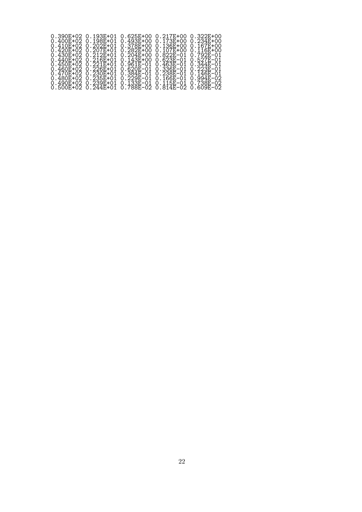| $0.390E+02$ 0.193F+01<br>$0.410F + 020.202F + 01$ | $0.625E + 00$                                                                                                  | 0.217E+00 0.322E+00<br>$0.378E + 000.136E + 000.167E + 00$ |  |
|---------------------------------------------------|----------------------------------------------------------------------------------------------------------------|------------------------------------------------------------|--|
| $0.420E+02$ 0.207E+01                             |                                                                                                                | 0.282E+00  0.107E+00  0.116E+00                            |  |
| $0.430F + 020.212F + 01$                          |                                                                                                                | $0.204E + 000.822E - 010.792E - 01$                        |  |
|                                                   | 0.450E+02  0.221E+01  0.961E-01  0.463E-01  0.344E-01<br>0.460E+02  0.226E+01  0.620E-01  0.336E-01  0.223E-01 |                                                            |  |
| 0.470E+02 0.230E+01                               |                                                                                                                | 0.384E-01  0.238E-01  0.146E-01                            |  |
| $0.480F + 020.235F + 01$                          | 0.490E+02  0.239E+01  0.133E-01  0.115E-01  0.738E-02                                                          | $0.229F - 01$ 0.166F-01 0.994F-02                          |  |
|                                                   |                                                                                                                |                                                            |  |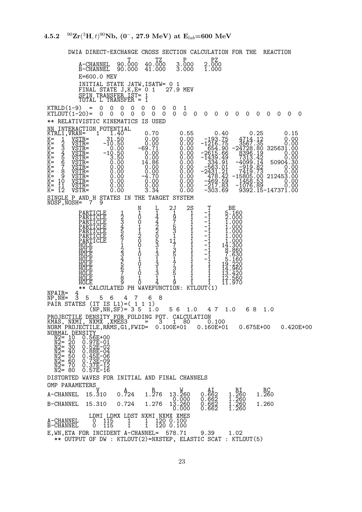DWIA DIRECT-EXCHANGE CROSS SECTION CALCULATION FOR THE REACTION T TZ P PZ A-CHANNEL 90.000 40.000 3.000 2.000 B-CHANNEL 90.000 41.000 3.000 1.000 E=600.0 MEV INITIAL STATE JATW,ISATW= 0 1 FINAL STATE  $J,K,E=$  0 1  $-$  27.9 MEV SPIN TRANSFER IST= 1 TOTAL L'TRANSFER = 1  $KTRLD(1-9) = 0 0 0 0 0 0 0 0 1$ KTLOUT(1-20)= 0 0 0 0 0 0 0 0 0 0 0 0 0 0 0 0 0 0 0 0 \*\* RELATIVISTIC KINEMATICS IS USED NN INTERACTION POTENTIAL KTRL1,VRAN= 1 1.40 0.70 0.55 0.40 0.25 0.15  $\begin{array}{cccccc} \texttt{K=} & 1 & \texttt{VSTR=} & 31.50 & 0.00 & 0.00 & -193.75 & 4714.12 & 0.00 \\ \texttt{K=} & 2 & \texttt{VSTR=} & -10.50 & 0.00 & 0.00 & -1216.75 & 3567.35 & 3567.35 \\ \texttt{K=} & 3 & \texttt{VSTR=} & 0.00 & -69.71 & 0.00 & -654.90 & -24728.80 & 325631.00 \\ \texttt{K=} & 4 & \texttt{V$ K= 12 VSTR= 0.00 3.34 0.00 -303.69 9392.15-147371.00 SINGLE P AND H STATES IN THE TARGET SYSTEM NOSP,NOSH= 7 9 N L 2J 2S T BE PARTICLE 1 1 1 1 2 1 -1 5.160<br>PARTICLE 2 0 4 9 1 -1 2.000<br>PARTICLE 4 1 2 5 1 -1 1.000<br>PARTICLE 5 1 2 3 1 -1 1.000<br>PARTICLE 6 2 0 1 1 -1 1.000<br>PARTICLE 7 0 5 11 1 -1 1.000 HOLE 3 1 0 3 <sup>-7</sup><br>HOLE 3 1 3 1 -1 8.860<br>HOLE 4 1 3 5 1 -1 7.630<br>HOLE 4 0 3 7 1 -1 5.160<br>HOLE 6 0 3 7 1 1 19.220<br>HOLE 7 0 3 5 1 1 14.960<br>HOLE 7 0 3 5 1 1 14.960<br>HOLE 9 1 11.970 FARITULE<br>
HOLE 1 0 5 1<br>
HOLE 3 0 3 5 1 -1<br>
HOLE 4 1 3 1 1 -1<br>
HOLE 4 1 3 1 1 -1<br>
HOLE 5 0 3 1 1 1 -1<br>
HOLE 5 0 3 1 1 1<br>
HOLE 6 0 3 1 1 1<br>
HOLE 6 0 3 1 1 1<br>
HOLE 8 0 4 1 1 1 1<br>
HOLE 8 0 4 1 0 1 1 1<br>
HOLE 8 0 4 1 0 1 1 1 1<br> NPAIR=<br>NP,NH= NP,NH= 3 5 5 6 4 7 6 8 PAIR STATES (IT IS L1)=( 1 1 1)  $(NP,NH, SF) = 35 1.0 56 1.0 47 1.0 68 1.0$ PROJECTILE DENSITY FOR FOLDING POT. CALCULATION KMAS, NXMI, NXMX ,XMES3 = 3 1 80 0.100 NORM PROJECTILE,RRMS,G1,FWID= 0.100E+01 0.160E+01 0.675E+00 0.420E+00 NORMAL DENSITY<br>
N2= 10 0.56E+00<br>
N2= 20 0.97E-01<br>
N2= 30 0.88E-04<br>
N2= 40 0.88E-04<br>
N2= 50 0.45E-06<br>
N2= 60 0.73E-12<br>
N2= 60 0.73E-12<br>
N2= 80 0.57E-16<br> DISTORTED WAVES FOR INITIAL AND FINAL CHANNELS OMP PARAMETERS<br>A-CHANNEL 15.310  $V$ ,  $A$ ,  $R$ ,  $\sqrt{M}$ ,  $A$ ,  $R$ ,  $R$ A-CHANNEL 15.310 0.724 1.276 13.260 0.662 1.260 1.260  $\begin{array}{c} \text{A1} \\ 0.662 \\ 0.662 \\ 0.662 \end{array}$ B-CHANNEL 15.310 0.724 1.276 13.200 0.000 0.002 1.200 0.000 0.662 1.260 LDMI LDMX LDST NXMI NXMX XMES A-CHANNEL 0 115 1 1 120 0.100 B-CHANNEL 0 115 1 1 120 0.100 E,WN,ETA FOR INCIDENT A-CHANNEL= 578.71 9.39 1.02 \*\* OUTPUT OF DW : KTLOUT(2)=NXSTEP, ELASTIC SCAT : KTLOUT(5)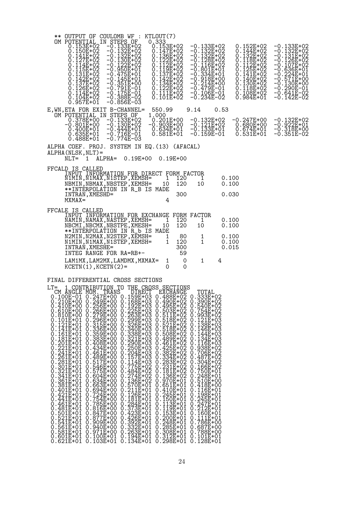|        |                                                                                                                                                                                                                                               |                                                                                                                                                                                                                                                                                  |          | ** OUTPUT OF COULOMB WF :                                                                                                                                                                                                                                                                                                                                                                                                                                                                                                           |        | KTLOUT(7)       |                                                                                                                                                                                                                                                                                                                                                                                                                                                                                                                                       |              |                        |                                                                                                                                                                                                                                                     |      |                                           |                                                                                                                                                                      |  |                                                                                                                                                                                                                 |  |
|--------|-----------------------------------------------------------------------------------------------------------------------------------------------------------------------------------------------------------------------------------------------|----------------------------------------------------------------------------------------------------------------------------------------------------------------------------------------------------------------------------------------------------------------------------------|----------|-------------------------------------------------------------------------------------------------------------------------------------------------------------------------------------------------------------------------------------------------------------------------------------------------------------------------------------------------------------------------------------------------------------------------------------------------------------------------------------------------------------------------------------|--------|-----------------|---------------------------------------------------------------------------------------------------------------------------------------------------------------------------------------------------------------------------------------------------------------------------------------------------------------------------------------------------------------------------------------------------------------------------------------------------------------------------------------------------------------------------------------|--------------|------------------------|-----------------------------------------------------------------------------------------------------------------------------------------------------------------------------------------------------------------------------------------------------|------|-------------------------------------------|----------------------------------------------------------------------------------------------------------------------------------------------------------------------|--|-----------------------------------------------------------------------------------------------------------------------------------------------------------------------------------------------------------------|--|
|        |                                                                                                                                                                                                                                               | 0.150E+02<br>0.141E+02<br>$0.127E + 0.2$<br>$0.114E + 02$<br>0.115E+02<br>0.131E+02<br>0.142E+02<br>$0.137E + 02$<br>$0.126E + 0.2$<br>0.114E+02<br>0.104E+02<br>0.957E+01                                                                                                       |          | OM POTENTIAL IN STEPS OF<br>0.153E+02 -0.133E+02<br>–Ŏ.Ĩ32E+Ŏ2<br>–O.132E+O2<br>$-0.130E+02$<br>$-0.122E+02$<br>$-0.950E+01$<br>-0.475E+01<br>$-0.145E + 01$<br>$-0.351E+00$<br>-0.791E-01<br>-0.175E-01<br>-0.388E-02<br>-0.856E-03                                                                                                                                                                                                                                                                                                |        | 0.333           | 0.153E+02<br>$0.147E+02$<br>$0.136E+02$<br>$\overline{1}\overline{2}\overline{2}\overline{E} + \overline{0}\overline{2}$<br>0.112E+02<br>$0.119E + 02$<br>0.137E+02<br>0.142E+02<br>0.134E+02<br>0.122E+02<br>$0.\overline{111E} + \overline{02}$<br>0.101E+02                                                                                                                                                                                                                                                                        |              |                        | -0.133E+02<br>–0.132E+02<br>–0.132E+02<br>–0.128E+02<br>-0.116E+02<br>$-0.801E+01$<br>-0.334E+01<br>-0.918E+00<br>-0.214E+00<br>-0.479E-01<br>$-0.106E-01$<br>-0.234E-02                                                                            |      |                                           | 0.152E+02<br>Ŏ.Ī44Ē+Ŏ2<br>Q.132E+Q2<br>118E+02<br>0.<br>0.112E+02<br>0.125E+02<br>0.141E+02<br>0.140E+02<br>0.130E+02<br>0.118E+02<br>$0.108E + 02$<br>$0.984E + 01$ |  | $-0.133E+02$<br>$-0.132E + 02$<br>-0.131E+02<br>-Ŏ.ĪŽ6Ē+Ŏ2<br>-0.107E+02<br>$-{\rm \breve{o}}$ .636 $\bar{\rm E}$ +01<br>-0.224E+01<br>-Ŏ.571E+ŎŌ<br>$-0.130E+00$<br>-0.290E-01<br>$-0.641E-02$<br>$-0.142E-02$ |  |
|        | -0.801E+00                                                                                                                                                                                                                                    | OM POTENTIAL IN STEPS OF<br>0.378E+00<br>0.400E+01<br>$0.635E + 01$<br>0.488E+01                                                                                                                                                                                                 |          | E, WN, ETA FOR EXIT B-CHANNEL=<br>-Ō.Ī33E∓O2<br>-O.13OE+O2<br>-0.444E+01<br>-0.716E-01<br>-0.774E-03                                                                                                                                                                                                                                                                                                                                                                                                                                |        | 550.99<br>1.000 | $0.201E + 00$<br>-0.903E+00<br>$0.634E + 01$<br>0.581E+01                                                                                                                                                                                                                                                                                                                                                                                                                                                                             |              | 9.14                   | $-0.132E+02$<br>$-0.121E+02$<br>$-0.133E+01$<br>$-0.159E-01$                                                                                                                                                                                        | 0.53 |                                           | $-0.247E+00$<br>$0.680E + 00$<br>$0.674E + 01$<br>0.531E+01                                                                                                          |  | -0.132E+02<br>$-0.922E+01$<br>$-0.318E+00$<br>-0.351E-02                                                                                                                                                        |  |
|        | NLT=                                                                                                                                                                                                                                          | $ALPHA(NLSK, NLT) =$<br>1                                                                                                                                                                                                                                                        | $ALPHA=$ | ALPHA COEF. PROJ. SYSTEM IN EQ. (13) (AFACAL)<br>$0.19E + 00$                                                                                                                                                                                                                                                                                                                                                                                                                                                                       |        |                 | $0.19E + 00$                                                                                                                                                                                                                                                                                                                                                                                                                                                                                                                          |              |                        |                                                                                                                                                                                                                                                     |      |                                           |                                                                                                                                                                      |  |                                                                                                                                                                                                                 |  |
|        | $MXMAX=$                                                                                                                                                                                                                                      | FFCALD IS CALLED<br>INTRAN, XMESHD=                                                                                                                                                                                                                                              |          | INPUT INFORMATION FOR DIRECT FORM FACTOR<br>N1MIN, N1MAX, N1STEP, XEMSH=<br>NBMIN, NBMAX, NBSTEP, XEMSH=<br>**INTERPOLATION IN R_B IS MADE                                                                                                                                                                                                                                                                                                                                                                                          |        | 10              | 1<br>120<br>120<br>300<br>4                                                                                                                                                                                                                                                                                                                                                                                                                                                                                                           |              | 1<br>10                |                                                                                                                                                                                                                                                     |      | 0.100<br>0.100<br>0.030                   |                                                                                                                                                                      |  |                                                                                                                                                                                                                 |  |
|        |                                                                                                                                                                                                                                               | FFCALE IS CALLED<br>INTRAN, XMESHE=<br>$KCFTN(1)$ , $KCFTN(2) =$                                                                                                                                                                                                                 |          | INPUT INFORMATION FOR EXCHANGE FORM FACTOR<br>NAMIN, NAMAX, NASTEP, XEMSH=<br>NBCMI, NBCMX, NBSTPE, XMESH=<br>**INTERPOLATION IN R_b IS MADE<br>N2MIN, N2MAX, N2STEP, XEMSH=<br>N1MIN, N1MAX, N1STEP, XEMSH=<br>INTEG RANGE FOR RA=RB+-<br>LAM1MX, LAM2MX, LAMDMX, MXMAX=                                                                                                                                                                                                                                                           |        | 10              | 1<br>120<br>120<br>1<br>$\mathbf{1}$<br>120<br>300<br>59<br>1<br>0                                                                                                                                                                                                                                                                                                                                                                                                                                                                    | 80<br>0<br>0 | 1<br>10<br>1<br>1<br>1 |                                                                                                                                                                                                                                                     | 4    | 0.100<br>0.100<br>0.100<br>0.100<br>0.015 |                                                                                                                                                                      |  |                                                                                                                                                                                                                 |  |
| $LT =$ | CM ANGLE MOM.<br>Ŏ.3ŎĨĒ+ŎĨ<br>0.321E+01<br>0.341E+01<br>0.361E+01<br>Ŏ.381E+ŎI<br>0.401E+01<br>$0.421E + 01$<br>0.441E+01<br>$0.461E + 01$<br>0.481E+01<br>0.501E+01<br>$0.521E + 01$<br>$0.541E + 01$<br>0.561E+01<br>0.581E+01<br>0.601E+01 | 1 CONTRIBUTION TO<br>$0.546E + 00$<br>$0.575E + 00$<br>$0.604E + 00$<br>0.634E+00<br>0.663E+00<br>$0.694E+00$<br>0.724E+00<br>0.754E+00<br>0.795E+00<br>$0.816E + 00$<br>Ŏ.Š47E+ŎŎ<br>Q.S77E+QQ<br>Ŏ.ŠÓ9Ē+ŌŎ<br>O.940E+QQ<br>$0.971E + 00$<br>0.100E+01<br>$0.621E+01$ 0.103E+01 | TRANS    | FINAL DIFFERENTIAL CROSS SECTIONS<br>$\begin{smallmatrix} 0.210E+00&0.249E+00&0.168E+03&0.490E+02&0.390E+02\\ 0.410E+00&0.256E+00&0.192E+03&0.495E+02&0.540E+02\\ 0.610E+00&0.266E+00&0.225E+03&0.511E+02&0.794E+02\\ 0.810E+00&0.279E+00&0.263E+03&0.511E+02&0.993E+02\\ 0.101E+01$<br>0.775E+02<br>0.484E+02<br>0.274E+02<br>$0.136E+02$<br>0.570E+01<br>0.211E+01<br>0.126E+01<br>0.181E+01<br>0.284E+01<br>0.373E+01<br>$0.428E+01$<br>$0.426E+01$<br>$0.392E+01$<br>$0.332E+01$<br>$0.263E+01$<br>$0.194E+01$<br>$0.134E + 01$ | DIRECT |                 | THE CROSS SECTIONS<br>EXCHANGE<br>0.503E+02<br>0.511E+02<br>0.521E+02<br>0.521E+02<br>0.521E+02<br>0.518E+02<br>0.5489E+02<br>0.4425E+02<br>0.425E+02<br>0.425E+02<br>0.1336E+02<br>0.2331E+02<br>0.1336E+02<br>0.1336E+02<br>0.1336E+02<br>0.1336E+02<br>0.1336E+02<br>$0.970E+01$<br>0.651E+01<br>0.410E+01<br>0.245E+01<br>$0.150E + 01$<br>$0.\overline{1}\overline{1}\overline{2}\overline{E} + 0\overline{1}$<br>$0.119E+01$<br>$0.153E+01$<br>$0.200E+01$<br>$0.248E+01$<br>$0.285E+01$<br>0.308E+01<br>0.312E+01<br>0.298E+01 | 0            |                        | TOTAL<br>0.166E+02<br>0.750E+01<br>0.248E+01<br>Ŏ.51ŎĒ+ŎŌ<br>Q.418E+QQ<br>0.116E+01<br>$0.198E + 01$<br>0.245E+01<br>0.247E+01<br>0.212E+01<br>$0.160E + 01$<br>$.111E+01$<br>0.786E+00<br>0.687E+00<br>0.788E+00<br>$0.101E + 01$<br>$0.128E + 01$ |      |                                           |                                                                                                                                                                      |  |                                                                                                                                                                                                                 |  |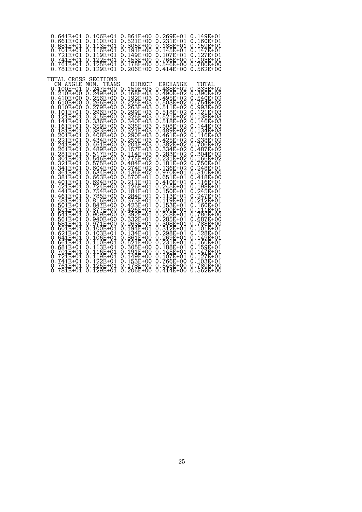| 0.641E+01<br>0.661E+01<br>$.681E + 01$<br>Ω<br>.701E+01<br>0<br>721E+01<br>741E+01 .<br>0<br>0<br>761E+01.<br>781E+01.<br>0<br>O)                                                                                                                                                                                                                                                                                                                                                                                                                                                                                                                                                                                               | 0.106E+01<br>110E+01<br>0.<br>Ŏ.ĪĪŠĒ+ŎĪ<br>O.116E+O1<br>О.<br>Ŏ.119E+Ŏ1<br>O.122E+O1<br>125E+01<br>129E+01<br>O<br>$\ddot{\phantom{0}}$<br>O                                                                                                                                                                                                                                                                                                                                                                                                                                                                                                                                       | 0.861E+00<br>521E+00<br>0<br>$.305E + 00$<br>Ω<br>191E+00<br>0<br>$\ddot{\phantom{a}}$<br>.149E+00<br>0<br>153E+00<br>0<br>$\ddot{\phantom{a}}$<br>178E+00<br>206E+00<br>0<br>$\ddot{\phantom{0}}$<br>O                                                                                                                                                                                                                                                                                                                                                                                                                                                                                                                                                                        | 0.269E+01<br>0.231E+01<br>0.188E+01<br>0.145E+01<br>$0.107E + 01$<br>0.766E+00<br>546E+00<br>414E+00<br>0<br>$\ddot{\phantom{0}}$                                                                                                                                                                                                                                                                                                                                                                                                                                                                                                                                                                                                                           | 0.149E+01<br>160E+01<br>Ω<br>.ī59E+01<br>.147E+01<br>Ω<br>0<br>.127E+01<br>.103E+01<br>0<br>0<br>.780E+00<br>562E+00<br>0<br>O                                                                                                                                                                                                                                                                                                                                                                                                                                                                                                                                                                                                                                                                                     |
|---------------------------------------------------------------------------------------------------------------------------------------------------------------------------------------------------------------------------------------------------------------------------------------------------------------------------------------------------------------------------------------------------------------------------------------------------------------------------------------------------------------------------------------------------------------------------------------------------------------------------------------------------------------------------------------------------------------------------------|------------------------------------------------------------------------------------------------------------------------------------------------------------------------------------------------------------------------------------------------------------------------------------------------------------------------------------------------------------------------------------------------------------------------------------------------------------------------------------------------------------------------------------------------------------------------------------------------------------------------------------------------------------------------------------|--------------------------------------------------------------------------------------------------------------------------------------------------------------------------------------------------------------------------------------------------------------------------------------------------------------------------------------------------------------------------------------------------------------------------------------------------------------------------------------------------------------------------------------------------------------------------------------------------------------------------------------------------------------------------------------------------------------------------------------------------------------------------------|-------------------------------------------------------------------------------------------------------------------------------------------------------------------------------------------------------------------------------------------------------------------------------------------------------------------------------------------------------------------------------------------------------------------------------------------------------------------------------------------------------------------------------------------------------------------------------------------------------------------------------------------------------------------------------------------------------------------------------------------------------------|--------------------------------------------------------------------------------------------------------------------------------------------------------------------------------------------------------------------------------------------------------------------------------------------------------------------------------------------------------------------------------------------------------------------------------------------------------------------------------------------------------------------------------------------------------------------------------------------------------------------------------------------------------------------------------------------------------------------------------------------------------------------------------------------------------------------|
| TOTAL CROSS<br>CM ANGLE<br>0.100E-01<br>Ŏ.ŽĬŎĒ+ŎŌ<br>Q.410E+OO<br>Ŏ.ĞĪŎĒ+ŎŎ<br>:ĕīŏĒ+ŎŎ<br>0<br>0.101E+01<br>.121E+01<br>.141E+01<br>0<br>0<br>.161E+01<br>.181E+01<br>0<br>Ω<br>.201E+01<br>.221E+01<br>0<br>Ŏ<br>:241E+01<br>:261E+01<br>:281E+01<br>:281E+01<br>0<br>Ŏ<br>0<br>:301E+01<br>:321E+01<br>0<br>0<br>.341E+01<br>.361E+01<br>0<br>0<br>.381E+01<br>.401E+01<br>O<br>0<br>$.421E+01$<br>Ω<br>.441E+ŏ1<br>.461E+01<br>Ω<br>0<br>.481E+01<br>.501E+01<br>0<br>0<br>.521E+01<br>.541E+01<br>O<br>0<br>.561E+01<br>.581E+01<br>0<br>0<br>$.601E + 01$<br>0<br>:ĕŽĪĒ+ŎĪ<br>:641E+O1<br>0<br>0<br>.661E+01<br>.681E+01<br>.701E+01<br>0<br>O)<br>0<br>.721E+01<br>0<br>Ŏ.741E+Ŏ1<br>. <u>761E+</u> 01<br>0<br>0.781E+01 | SECTIONS<br>TRANS<br>MOM.<br>$0.247E + 00$<br>$0.249E+000$<br>$0.256E+000$<br>$0.279E+00$<br>$0.279E+00$<br>$0.315E+00$<br>$0.336E+00$<br>$0.336E+00$<br>359E+00<br>383E+00<br>Q.<br>0<br>0.408E+00<br>0.434E+00<br>$0.461E+00$<br>489E+00<br>0.<br>517E+00<br>0.<br>546E+00<br>575E+00<br>Q.<br>0.<br>0.604E+ŎŎ<br>0.634E+OO<br>$0.663E + 00$<br>$.694E + 00$<br>0<br>0.724E+00<br>Q.754E+QQ<br>0.785E+00<br>0.816E+ŎŎ<br>0.847E+OO<br>0.877E+00<br>$.909E + 00$<br>0<br>Ŏ.94ŎĒ+ŎŎ<br>0.971E+00<br>100E+01<br>0.<br>103E+01<br>0<br>106E+01<br>0<br>$\ddot{\phantom{0}}$<br>110E+01<br>113E+01<br>116E+01<br>119E+01<br>Q.<br>Ω<br>Q.<br>0<br>0.122E+01<br>0.125E+01<br>0.129E+01 | DIRECT<br>$0.159E + 03$<br>.168E+03<br>O<br>$192E+03$<br>$1225E+03$<br>$263E+03$<br>$269E+03$<br>$2326E+03$<br>$326E+03$<br>$326E+03$<br>0<br>0<br>0<br>0<br>0<br>0<br>338E+03<br>321E+03<br>$\begin{smallmatrix}0\0\0\end{smallmatrix}$<br>290E+03<br>250E+03<br>204E+03<br>157E+03<br>0<br>Ŏ<br>0<br>0<br>114E+03<br>0<br>.775E+02<br>.484E+02<br>0<br>0<br>.274E+02<br>136E+02<br>0<br>0<br>570E+01<br>211E+01<br>126E+01<br>0<br>Ŏ<br>0<br>:181E+01<br>:284E+01<br>0<br>0<br>373E+01<br>423E+01<br>0<br>$\ddot{\phantom{0}}$<br>Ŏ<br>$.426E+01$<br>$.392E+01$<br>$.332E+01$<br>$.263E+01$<br>0<br>Ŏ<br>0<br>0<br>$194E + 01$<br>0<br>134E+01<br>861E+00<br>0<br>0<br>521E+00<br>305E+00<br>0<br>Õ<br>.191E+00<br>0<br>:149E+ŏŏ<br>0<br>0.153E+00<br>0.178E+00<br>0.206E+00 | EXCHANGE<br>0.488E+02<br>.490E+02<br>O<br>$495E+02$<br>0<br>503E+02<br>511E+02<br>0<br>518E+02<br>521E+02<br>518E+02<br>Ω<br>0<br>0<br>508E+02<br>489E+02<br>0<br>0<br>$1461E + 02$<br>$-425E + 022$<br>$-382E + 022$<br>$-3334E + 022$<br>$-2831E + 022$<br>$-231E + 022$<br>$-122E + 022$<br>8<br>0<br>Õ<br>0<br>0<br>0<br>:136E+02<br>:970E+01<br>:651E+01<br>0<br>Ò<br>0<br>$.410E + 01$<br>0<br>0.245E+01<br>0.150E+01<br>0.113E+01<br>119E+01<br>153E+01<br>$_{0}^{0}$ :<br>0.200E+01<br>0.248E+01<br>0.285E+01<br>0.308E+01<br>31<br>$2E+01$<br>0<br>$: 298E + 01$<br>$: 269E + 01$<br>$: 231E + 01$<br>$: 128E + 01$<br>$: 125E + 01$<br>0<br>О.<br>0<br>Ω<br>$.145E + 01$<br>0<br>.īō7E+ŏī<br>ი<br>$.766E + 00$<br>0<br>0.546E+00<br>$0.414E + 00$ | TOTAL<br>333E+02<br>0.<br>.390E+02<br>.540E+02<br>O<br>O<br>$.754E+02$<br>.993E+02<br>.993E+03<br>.121E+03<br>.138E+03<br>.146E+03<br>0<br>Õ<br>0<br>Ó<br>0<br>$.144E + 03$<br>$.134E + 03$<br>$.136E + 03$<br>$.938E + 02$<br>$.938E + 02$<br>0<br>Ō<br>8<br>.706E+02<br>.487E+02<br>0<br>Ō<br>:304E+02<br>:304E+02<br>:750E+01<br>0<br>0<br>Ò<br>$1248E+01$<br>$1548E+00$<br>$116E+00$<br>$116E+01$<br>$198E+01$<br>$1245E+01$<br>$247E+01$<br>$247E+01$<br>0<br>Ò<br>0<br>Ò<br>0<br>0<br>0<br>$.247E+01$<br>$.160E+01$<br>$.11E+01$<br>$.786E+00$<br>$.687E+00$<br>0<br>0<br>0<br>0<br>0<br>.788E+ŏŏ<br>0<br>$101E + 01$<br>0<br>$:128E+01$<br>$:149E+01$<br>$:160E+01$<br>$:159E+01$<br>$:159E+01$<br>0<br>0<br>0<br>Ω<br>: 147E+01<br>: 127E+01<br>: 103E+01<br>0<br>0<br>0<br>.780E+ŏō<br>0<br>$0.562E + 00$ |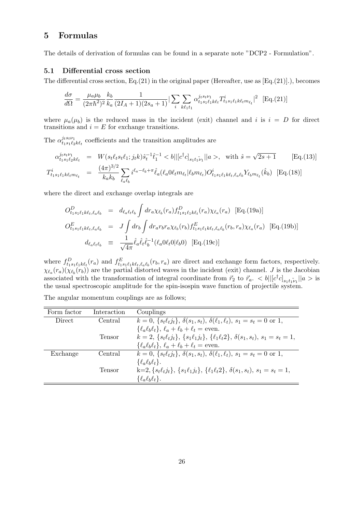### 5 Formulas

The details of derivation of formulas can be found in a separate note "DCP2 - Formulation".

#### 5.1 Differential cross section

The differential cross section,  $Eq.(21)$  in the original paper (Hereafter, use as  $[Eq.(21)]$ .), becomes

$$
\frac{d\sigma}{d\Omega} = \frac{\mu_a \mu_b}{(2\pi\hbar^2)^2} \frac{k_b}{k_a} \frac{1}{(2I_A + 1)(2s_a + 1)} \left| \sum_i \sum_{k\ell_1 t_1} \alpha_{t_1 s_1 \ell_1 k \ell_t}^{j_t s_t \nu_1} T_{t_1 s_1 \ell_1 k \ell_t m_{\ell_t}}^i \right|^2 \quad \text{[Eq. (21)]}
$$

where  $\mu_a(\mu_b)$  is the reduced mass in the incident (exit) channel and i is  $i = D$  for direct transitions and  $i = E$  for exchange transitions.

The  $\alpha_{t,s}^{j_{t} s_{t} \nu_{1}}$  $u_1^{j_t s_t \nu_1}$  coefficients and the transition amplitudes are

$$
\alpha_{t_1 s_1 \ell_2 k \ell_t}^{j_t s_t \nu_1} = W(s_t \ell_t s_t \ell_1; j_t k) \hat{s}_t^{-1} \hat{t}_1^{-1} < b || [c^\dagger c]_{s_1 t_1 \nu_1} ||a\rangle, \quad \text{with } \hat{s} = \sqrt{2s+1} \qquad \text{[Eq. (13)]}
$$
\n
$$
T_{t_1 s_1 \ell_1 k \ell_t m_{\ell_t}}^i = \frac{(4\pi)^{3/2}}{k_a k_b} \sum_{\ell_a \ell_b} i^{\ell_a - \ell_b + \pi} \hat{\ell}_a (\ell_a 0 \ell_t m_{\ell_t} | \ell_b m_{\ell_t}) O_{t_1 s_1 \ell_1 k \ell_t, \ell_a \ell_b}^i Y_{\ell_b m_{\ell_t}}(\hat{k}_b) \quad \text{[Eq. (18)]}
$$

where the direct and exchange overlap integrals are

$$
O_{t_1s_1\ell_1k\ell_t,\ell_a\ell_b}^D = d_{\ell_a\ell_t\ell_b} \int dr_a \chi_{\ell_b}(r_a) f_{t_1s_1\ell_1k\ell_t}^D(r_a) \chi_{\ell_a}(r_a) \text{ [Eq. (19a)]}
$$
  
\n
$$
O_{t_1s_1\ell_1k\ell_t,\ell_a\ell_b}^E = J \int dr_b \int dr_a r_b r_a \chi_{\ell_b}(r_b) f_{t_1s_1\ell_1k\ell_t,\ell_a\ell_b}^E(r_b, r_a) \chi_{\ell_a}(r_a) \text{ [Eq. (19b)]}
$$
  
\n
$$
d_{\ell_a\ell_t\ell_b} = \frac{1}{\sqrt{4\pi}} \hat{\ell}_a \hat{\ell}_t \hat{\ell}_b^{-1} (\ell_a 0 \ell_t 0 | \ell_b 0) \text{ [Eq. (19c)]}
$$

where  $f_{t_1s_1\ell_1k\ell_t}^D(r_a)$  and  $f_{t_1s_1\ell_1k\ell_t,\ell_a\ell_b}^E(r_b,r_a)$  are direct and exchange form factors, respectively.  $\chi_{\ell_a}(r_a)(\chi_{\ell_b}(r_b))$  are the partial distorted waves in the incident (exit) channel. J is the Jacobian associated with the transformation of integral coordinate from  $\vec{r}_2$  to  $\vec{r}_a$ .  $\langle b \rangle | [c^{\dagger}c]_{s_1 t_1 \nu_1} | |a \rangle$  is the usual spectroscopic amplitude for the spin-isospin wave function of projectile system.

| Form factor | Interaction | Couplings                                                                                               |
|-------------|-------------|---------------------------------------------------------------------------------------------------------|
| Direct      | Central     | $k = 0, \{s_t \ell_t j_t\}, \delta(s_1, s_t), \delta(\ell_1, \ell_t), s_1 = s_t = 0 \text{ or } 1,$     |
|             |             | $\{\ell_a\ell_b\ell_t\},\ell_a+\ell_b+\ell_t=\text{even}.$                                              |
|             | Tensor      | $k = 2, \{s_t \ell_t j_t\}, \{s_1 \ell_1 j_t\}, \{ \ell_1 \ell_t 2\}, \delta(s_1, s_t), s_1 = s_t = 1,$ |
|             |             | $\{\ell_a\ell_b\ell_t\},\ell_a+\ell_b+\ell_t =$ even.                                                   |
| Exchange    | Central     | $k = 0, \{s_t \ell_t j_t\}, \delta(s_1, s_t), \delta(\ell_1, \ell_t), s_1 = s_t = 0 \text{ or } 1,$     |
|             |             | $\{\ell_a\ell_b\ell_t\}.$                                                                               |
|             | Tensor      | $k=2, \{s_t\ell_t j_t\}, \{s_1\ell_1 j_t\}, \{\ell_1\ell_t 2\}, \delta(s_1, s_t), s_1 = s_t = 1,$       |
|             |             | $\{\ell_a\ell_b\ell_t\}.$                                                                               |

The angular momentum couplings are as follows;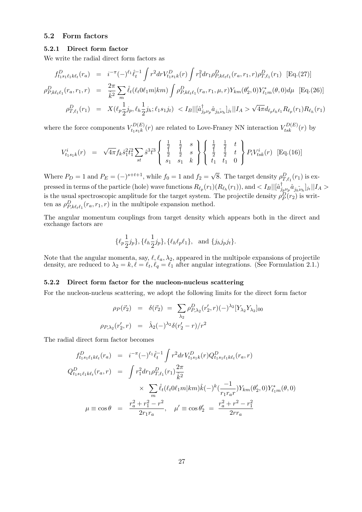#### 5.2 Form factors

#### 5.2.1 Direct form factor

We write the radial direct form factors as

$$
f_{t_1s_1\ell_1k\ell_t}^D(r_a) = i^{-\pi}(-)^{\ell_1} \hat{\ell}_t^{-1} \int r^2 dr V_{t_1s_1k}^D(r) \int r_1^2 dr_1 \rho_{P,k\ell_t\ell_1}^D(r_a, r_1, r) \rho_{T,\ell_1}^D(r_1) \text{ [Eq. (27)]}
$$

$$
\rho_{P,k\ell_t\ell_1}^D(r_a, r_1, r) = \frac{2\pi}{\hat{k}^2} \sum_m \hat{\ell}_t(\ell_t 0 \ell_1 m | km) \int \rho_{P,k\ell_t\ell_1}^D(r_a, r_1, \mu, r) Y_{km}(\theta_2', 0) Y_{\ell_1m}^*(\theta, 0) d\mu \text{ [Eq. (26)]}
$$

$$
\rho_{T,\ell_1}^D(r_1) = X(\ell_p \frac{1}{2} j_p, \ell_h \frac{1}{2} j_h; \ell_1 s_1 j_t) < I_B ||[\hat{a}_{j_p \nu_p}^{\dagger} \hat{a}_{j_h \nu_h}]_{j_t} || I_A > \sqrt{4\pi} d_{\ell_p \ell_h \ell_1} R_{\ell_p}(r_1) R_{\ell_h}(r_1)
$$

where the force components  $V_{t,s,k}^{D(E)}$  $t_{tsk}^{D(E)}(r)$  are related to Love-Franey NN interaction  $V_{tsk}^{D(E)}(r)$  by

$$
V_{t_1s_1k}^i(r) = \sqrt{4\pi} f_k \hat{s}_1^2 \hat{t}_1^2 \sum_{st} \hat{s}^3 \hat{t}^3 \left\{ \begin{array}{ccc} \frac{1}{2} & \frac{1}{2} & s \\ \frac{1}{2} & \frac{1}{2} & s \\ s_1 & s_1 & k \end{array} \right\} \left\{ \begin{array}{ccc} \frac{1}{2} & \frac{1}{2} & t \\ \frac{1}{2} & \frac{1}{2} & t \\ t_1 & t_1 & 0 \end{array} \right\} P_i V_{tsk}^i(r) \quad \text{[Eq.(16)]}
$$

Where  $P_D = 1$  and  $P_E = (-)^{s+t+1}$ , while  $f_0 = 1$  and  $f_2 = \sqrt{ }$ 8. The target density  $\rho_{T,\ell_1}^D(r_1)$  is expressed in terms of the particle (hole) wave functions  $R_{\ell_p}(r_1)(R_{\ell_h}(r_1))$ , and  $\lt I_B||[\hat{a}_j^{\dagger}]$  $\int_{j_{p}\nu_{p}}\hat{a}_{j_{h}\nu_{h}}|_{j_{t}}||I_{A}>$ is the usual spectroscopic amplitude for the target system. The projectile density  $\rho_P^D(r_2)$  is written as  $\rho_{P,k\ell_{t}\ell_{1}}^{D}(r_{a},r_{1},r)$  in the multipole expansion method.

The angular momentum couplings from target density which appears both in the direct and exchange factors are

$$
\{\ell_p \frac{1}{2} j_p\}, \{\ell_h \frac{1}{2} j_p\}, \{\ell_h \ell_p \ell_1\}, \text{ and } \{j_h j_p j_t\}.
$$

Note that the angular momenta, say,  $\ell, \ell_a, \lambda_2$ , appeared in the multipole expansions of projectile density, are reduced to  $\lambda_2 = k, \ell = \ell_t, \ell_q = \ell_1$  after angular integrations. (See Formulation 2.1.)

#### 5.2.2 Direct form factor for the nucleon-nucleus scattering

For the nucleon-nucleus scattering, we adopt the following limits for the direct form factor

$$
\rho_P(\vec{r}_2) = \delta(\vec{r}_2) = \sum_{\lambda_2} \rho_{P,\lambda_2}^D(r'_2, r)(-\lambda_2^2 [Y_{\lambda_2} Y_{\lambda_2}]_{00}
$$
  

$$
\rho_{P,\lambda_2}(r'_2, r) = \hat{\lambda}_2(-\lambda_2^2 \delta(r'_2 - r)/r^2)
$$

The radial direct form factor becomes

$$
f_{t_1s_1\ell_1k\ell_t}^D(r_a) = i^{-\pi}(-)^{\ell_1}\hat{\ell}_t^{-1} \int r^2 dr V_{t_1s_1k}^D(r) Q_{t_1s_1\ell_1k\ell_t}^D(r_a, r)
$$
  
\n
$$
Q_{t_1s_1\ell_1k\ell_t}^D(r_a, r) = \int r_1^2 dr_1 \rho_{T,\ell_1}^D(r_1) \frac{2\pi}{\hat{k}^2}
$$
  
\n
$$
\times \sum_m \hat{\ell}_t(\ell_t 0\ell_1 m | km) \hat{k}(-)^k (\frac{-1}{r_1r_a r}) Y_{km}(\theta_2', 0) Y_{\ell_1m}^*(\theta, 0)
$$
  
\n
$$
\mu \equiv \cos \theta = \frac{r_a^2 + r_1^2 - r^2}{2r_1r_a}, \quad \mu' \equiv \cos \theta_2' = \frac{r_a^2 + r^2 - r_1^2}{2rr_a}
$$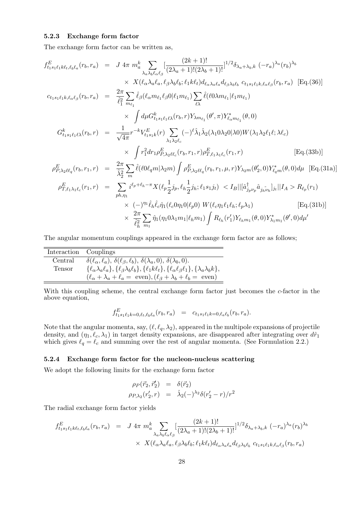#### 5.2.3 Exchange form factor

The exchange form factor can be written as,

$$
f_{t_{1}s_{1}\ell_{1}k\ell_{t},\ell_{b}\ell_{a}}^{E}(r_{b},r_{a}) = J 4\pi m_{a}^{k} \sum_{\lambda_{a}\lambda_{b}\ell_{\alpha}\ell_{\beta}} [\frac{(2k+1)!}{(2\lambda_{a}+1)!(2\lambda_{b}+1)!}]^{1/2} \delta_{\lambda_{a}+\lambda_{b},k} (-r_{a})^{\lambda_{a}}(r_{b})^{\lambda_{b}}
$$
  
\n
$$
\times X(\ell_{\alpha}\lambda_{a}\ell_{a},\ell_{\beta}\lambda_{b}\ell_{b};\ell_{1}k\ell_{t})d_{\ell_{\alpha}\lambda_{a}\ell_{a}}d_{\ell_{\beta}\lambda_{b}\ell_{b}} c_{t_{1}s_{1}\ell_{1}k,\ell_{\alpha}\ell_{\beta}}(r_{b},r_{a}) [Eq.(36)]
$$
  
\n
$$
c_{t_{1}s_{1}\ell_{1}k,\ell_{a}\ell_{\beta}}(r_{b},r_{a}) = \frac{2\pi}{\ell_{1}^{2}} \sum_{m_{\ell_{1}}} \hat{\ell}_{\beta}(\ell_{\alpha}m_{\ell_{1}}\ell_{\beta}0|\ell_{1}m_{\ell_{1}}) \sum_{\ell\lambda} (\ell_{0}\lambda m_{\ell_{1}}|\ell_{1}m_{\ell_{1}})
$$
  
\n
$$
\times \int d\mu G_{t_{1}s_{1}\ell_{1}\ell}^{k}(r_{b},r) Y_{\lambda m_{\ell_{1}}}(\theta',\pi) Y_{\ell_{\alpha}m_{\ell_{1}}}^{*}(\theta,0)
$$
  
\n
$$
G_{t_{1}s_{1}\ell_{1}\ell}^{k}(r_{b},r) = \frac{1}{\sqrt{4\pi}} r^{-k} V_{t_{1}s_{1}k}^{E}(r) \sum_{\lambda_{1}\lambda_{2}\ell_{c}} (-)^{\ell} \hat{\lambda}_{1} \hat{\lambda}_{2}(\lambda_{1}0\lambda_{2}0|\lambda_{0}) W(\lambda_{1}\lambda_{2}\ell_{1}\ell;\lambda\ell_{c})
$$
  
\n
$$
\times \int r_{1}^{2} dr_{1} \rho_{\ell_{\lambda}\lambda_{2}\ell_{c}}^{E}(r_{b},r_{1},r) \rho_{T,\ell_{1}\lambda_{1}\ell_{c}}^{E}(r_{1},r) [Eq.(33b)]
$$
  
\n
$$
\rho_{\ell_{\lambda}\lambda_{2}\ell\ell_{q}}^{
$$

The angular momentum couplings appeared in the exchange form factor are as follows;

| Interaction Couplings |                                                                                                                                                    |
|-----------------------|----------------------------------------------------------------------------------------------------------------------------------------------------|
| Central               | $\delta(\ell_{\alpha}, \ell_a), \delta(\ell_{\beta}, \ell_b), \delta(\lambda_a, 0), \delta(\lambda_b, 0).$                                         |
| Tensor                | $\{\ell_{\alpha}\lambda_a\ell_a\},\{\ell_{\beta}\lambda_b\ell_b\},\{\ell_1k\ell_t\},\{\ell_{\alpha}\ell_{\beta}\ell_1\},\{\lambda_a\lambda_bk\},\$ |
|                       | $(\ell_{\alpha} + \lambda_a + \ell_a = \text{even}), (\ell_{\beta} + \lambda_b + \ell_b = \text{even})$                                            |

With this coupling scheme, the central exchange form factor just becomes the  $c$ -factor in the above equation,

$$
f^E_{t_1s_1\ell_1k=0,\ell_t,\ell_b\ell_a}(r_b,r_a) \quad = \quad c_{t_1s_1\ell_1k=0,\ell_a\ell_b}(r_b,r_a).
$$

Note that the angular momenta, say,  $(\ell, \ell_q, \lambda_2)$ , appeared in the multipole expansions of projectile density, and  $(\eta_1, \ell_c, \lambda_1)$  in target density expansions, are disappeared after integrating over  $d\hat{r}_1$ which gives  $\ell_q = \ell_c$  and summing over the rest of angular momenta. (See Formulation 2.2.)

#### 5.2.4 Exchange form factor for the nucleon-nucleus scattering

We adopt the following limits for the exchange form factor

$$
\rho_P(\vec{r}_2, \vec{r}'_2) = \delta(\vec{r}_2)
$$
  
\n
$$
\rho_{P, \lambda_2}(r'_2, r) = \hat{\lambda}_2(-)^{\lambda_2} \delta(r'_2 - r)/r^2
$$

The radial exchange form factor yields

$$
f_{t_1s_1\ell_1k\ell_t,\ell_b\ell_a}^E(r_b,r_a) = J 4\pi m_a^k \sum_{\lambda_a\lambda_b\ell_\alpha\ell_\beta} \left[ \frac{(2k+1)!}{(2\lambda_a+1)!(2\lambda_b+1)!} \right]^{1/2} \delta_{\lambda_a+\lambda_b,k} (-r_a)^{\lambda_a} (r_b)^{\lambda_b}
$$
  
 
$$
\times X(\ell_\alpha\lambda_a\ell_a,\ell_\beta\lambda_b\ell_b;\ell_1k\ell_t) d_{\ell_\alpha\lambda_a\ell_a} d_{\ell_\beta\lambda_b\ell_b} c_{t_1s_1\ell_1k,\ell_\alpha\ell_\beta}(r_b,r_a)
$$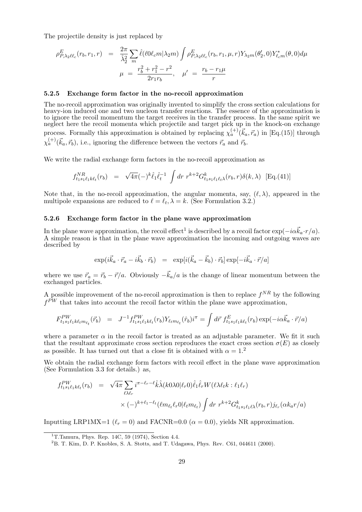The projectile density is just replaced by

$$
\rho_{P,\lambda_2\ell\ell_c}^E(r_b,r_1,r) = \frac{2\pi}{\hat{\lambda}_2^2} \sum_m \hat{\ell}(\ell 0 \ell_c m | \lambda_2 m) \int \rho_{P,\lambda_2\ell\ell_c}^E(r_b,r_1,\mu,r) Y_{\lambda_2m}(\theta_2',0) Y_{\ell_c m}^*(\theta,0) d\mu
$$

$$
\mu = \frac{r_b^2 + r_1^2 - r^2}{2r_1r_b}, \quad \mu' = \frac{r_b - r_1\mu}{r}
$$

#### 5.2.5 Exchange form factor in the no-recoil approximation

The no-recoil approximation was originally invented to simplify the cross section calculations for heavy-ion induced one and two nucleon transfer reactions. The essence of the approximation is to ignore the recoil momentum the target receives in the transfer process. In the same spirit we neglect here the recoil momenta which projectile and target pick up in the knock-on exchange process. Formally this approximation is obtained by replacing  $\chi_a^{(+)}(\vec{k}_a, \vec{r}_a)$  in [Eq.(15)] through  $\chi_a^{(+)}(\vec{k}_a, \vec{r}_b)$ , i.e., ignoring the difference between the vectors  $\vec{r}_a$  and  $\vec{r}_b$ .

We write the radial exchange form factors in the no-recoil approximation as

$$
f_{t_1 s_1 \ell_1 k \ell_t}^{NR}(r_b) = \sqrt{4\pi} (-)^k \hat{\ell}_1 \hat{\ell}_t^{-1} \int dr \ r^{k+2} G_{t_1 s_1 \ell_1 \ell_t \lambda}^{k}(r_b, r) \delta(k, \lambda) \ [\text{Eq}.(41)]
$$

Note that, in the no-recoil approximation, the angular momenta, say,  $(\ell, \lambda)$ , appeared in the multipole expansions are reduced to  $\ell = \ell_t, \lambda = k$ . (See Formulation 3.2.)

#### 5.2.6 Exchange form factor in the plane wave approximation

In the plane wave approximation, the recoil effect<sup>1</sup> is described by a recoil factor  $\exp(-i\alpha \vec{k}_a \cdot r/a)$ . A simple reason is that in the plane wave approximation the incoming and outgoing waves are described by

$$
\exp(i\vec{k}_a\cdot\vec{r}_a-i\vec{k}_b\cdot\vec{r}_b) = \exp[i(\vec{k}_a-\vec{k}_b)\cdot\vec{r}_b]\exp[-i\vec{k}_a\cdot\vec{r}/a]
$$

where we use  $\vec{r}_a = \vec{r}_b - \vec{r}/a$ . Obviously  $-\vec{k}_a/a$  is the change of linear momentum between the exchanged particles.

A possible improvement of the no-recoil approximation is then to replace  $f^{NR}$  by the following  $f^{PW}$  that takes into account the recoil factor within the plane wave approximation,

$$
F_{t_1s_1\ell_1k\ell_t m_{\ell_t}}^{PW}(\vec{r}_b) = J^{-1} f_{t_1s_1\ell_1k\ell_t}^{PW}(r_b) Y_{\ell_t m_{\ell_t}}(\hat{r}_b) i^{\pi} = \int d\vec{r} \; f_{t_1s_1\ell_1k\ell_t}^{E}(r_b) \exp(-i\alpha \vec{k}_a \cdot \vec{r}/a)
$$

where a parameter  $\alpha$  in the recoil factor is treated as an adjustable parameter. We fit it such that the resultant approximate cross section reproduces the exact cross section  $\sigma(E)$  as closely as possible. It has turned out that a close fit is obtained with  $\alpha = 1.2$ 

We obtain the radial exchange form factors with recoil effect in the plane wave approximation (See Formulation 3.3 for details.) as,

$$
f_{t_1s_1\ell_1k\ell_t}^{PW}(r_b) = \sqrt{4\pi} \sum_{\ell\lambda\ell_r} i^{\pi-\ell_r-\ell} \hat{k}\hat{\lambda}(k0\lambda0|\ell_r0)\hat{\ell}_1\hat{\ell}_r W(\ell\lambda\ell_t k : \ell_1\ell_r) \times (-)^{k+\ell_1-\ell_t} (\ell m_{\ell_t}\ell_r0|\ell_t m_{\ell_t}) \int dr \ r^{k+2} G_{t_1s_1\ell_1\ell\lambda}^k(r_b, r) j_{\ell_r}(\alpha k_a r/a)
$$

Inputting LRP1MX=1 ( $\ell_r = 0$ ) and FACNR=0.0 ( $\alpha = 0.0$ ), yields NR approximation.

<sup>&</sup>lt;sup>1</sup>T.Tamura, Phys. Rep. 14C, 59 (1974), Section 4.4.

<sup>2</sup>B. T. Kim, D. P. Knobles, S. A. Stotts, and T. Udagawa, Phys. Rev. C61, 044611 (2000).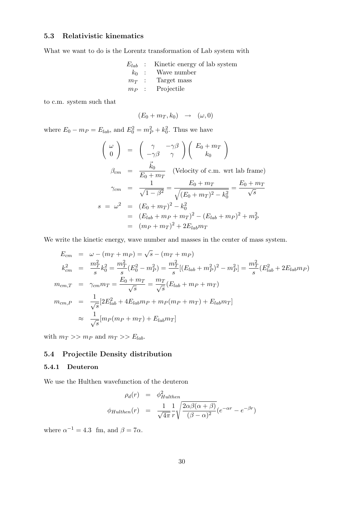#### 5.3 Relativistic kinematics

What we want to do is the Lorentz transformation of Lab system with

|  | $E_{lab}$ : Kinetic energy of lab system |
|--|------------------------------------------|
|  | $k_0$ : Wave number                      |
|  | $m_T$ : Target mass                      |
|  | $m_P$ : Projectile                       |

to c.m. system such that

$$
(E_0 + m_T, k_0) \rightarrow (\omega, 0)
$$

where  $E_0 - m_P = E_{lab}$ , and  $E_0^2 = m_P^2 + k_0^2$ . Thus we have

$$
\begin{pmatrix}\n\omega \\
0\n\end{pmatrix} = \begin{pmatrix}\n\gamma & -\gamma\beta \\
-\gamma\beta & \gamma\n\end{pmatrix} \begin{pmatrix}\nE_0 + m_T \\
k_0\n\end{pmatrix}
$$
\n
$$
\beta_{cm} = \frac{\vec{k}_0}{E_0 + m_T} \quad \text{(Velocity of c.m. wrt lab frame)}
$$
\n
$$
\gamma_{cm} = \frac{1}{\sqrt{1 - \beta^2}} = \frac{E_0 + m_T}{\sqrt{(E_0 + m_T)^2 - k_0^2}} = \frac{E_0 + m_T}{\sqrt{s}}
$$
\n
$$
s = \omega^2 = (E_0 + m_T)^2 - k_0^2
$$
\n
$$
= (E_{lab} + m_P + m_T)^2 - (E_{lab} + m_P)^2 + m_P^2
$$
\n
$$
= (m_P + m_T)^2 + 2E_{lab}m_T
$$

We write the kinetic energy, wave number and masses in the center of mass system.

$$
E_{cm} = \omega - (m_T + m_P) = \sqrt{s} - (m_T + m_P)
$$
  
\n
$$
k_{cm}^2 = \frac{m_T^2}{s} k_0^2 = \frac{m_T^2}{s} (E_0^2 - m_P^2) = \frac{m_T^2}{s} [(E_{lab} + m_P^2)^2 - m_P^2] = \frac{m_T^2}{s} (E_{lab}^2 + 2E_{lab}m_P)
$$
  
\n
$$
m_{cm,T} = \gamma_{cm} m_T = \frac{E_0 + m_T}{\sqrt{s}} = \frac{m_T}{\sqrt{s}} (E_{lab} + m_P + m_T)
$$
  
\n
$$
m_{cm,P} = \frac{1}{\sqrt{s}} [2E_{lab}^2 + 4E_{lab}m_P + m_P(m_P + m_T) + E_{lab}m_T]
$$
  
\n
$$
\approx \frac{1}{\sqrt{s}} [m_P(m_P + m_T) + E_{lab}m_T]
$$

with  $m_T >> m_P$  and  $m_T >> E_{lab}$ .

#### 5.4 Projectile Density distribution

#### 5.4.1 Deuteron

We use the Hulthen wavefunction of the deuteron

$$
\rho_d(r) = \phi_{Hulthen}^2
$$
  

$$
\phi_{Hulthen}(r) = \frac{1}{\sqrt{4\pi}} \frac{1}{r} \sqrt{\frac{2\alpha\beta(\alpha+\beta)}{(\beta-\alpha)^2}} (e^{-\alpha r} - e^{-\beta r})
$$

where  $\alpha^{-1} = 4.3$  fm, and  $\beta = 7\alpha$ .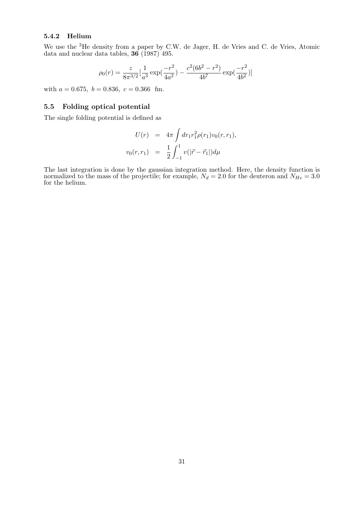#### 5.4.2 Helium

We use the <sup>3</sup>He density from a paper by C.W. de Jager, H. de Vries and C. de Vries, Atomic data and nuclear data tables,  $36 (1987) 495$ .

$$
\rho_0(r) = \frac{z}{8\pi^{3/2}} \left[\frac{1}{a^3} \exp\left(\frac{-r^2}{4a^2}\right) - \frac{c^2 (6b^2 - r^2)}{4b^7} \exp\left(\frac{-r^2}{4b^2}\right)\right]
$$

with  $a = 0.675$ ,  $b = 0.836$ ,  $c = 0.366$  fm.

#### 5.5 Folding optical potential

The single folding potential is defined as

$$
U(r) = 4\pi \int dr_1 r_1^2 \rho(r_1) v_0(r, r_1),
$$
  

$$
v_0(r, r_1) = \frac{1}{2} \int_{-1}^1 v(|\vec{r} - \vec{r}_1|) d\mu
$$

The last integration is done by the gaussian integration method. Here, the density function is normalized to the mass of the projectile; for example,  $N_d = 2.0$  for the deuteron and  $N_{He} = 3.0$ for the helium.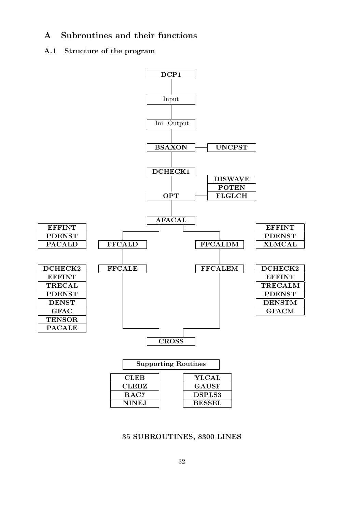### A Subroutines and their functions

#### A.1 Structure of the program



#### 35 SUBROUTINES, 8300 LINES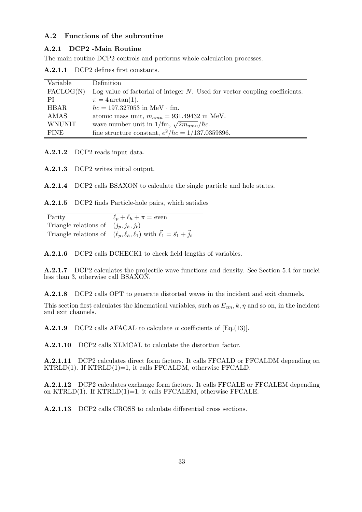#### A.2 Functions of the subroutine

#### A.2.1 DCP2 -Main Routine

The main routine DCP2 controls and performs whole calculation processes.

| $\mathbf{A.2.1.1}$ |  |  | DCP2 defines first constants. |
|--------------------|--|--|-------------------------------|
|--------------------|--|--|-------------------------------|

| Variable           | Definition                                                                     |
|--------------------|--------------------------------------------------------------------------------|
| $\text{FACLOG}(N)$ | Log value of factorial of integer $N$ . Used for vector coupling coefficients. |
| РI                 | $\pi = 4 \arctan(1)$ .                                                         |
| <b>HBAR</b>        | $\hbar c = 197.327053$ in MeV $\cdot$ fm.                                      |
| AMAS               | atomic mass unit, $m_{amu} = 931.49432$ in MeV.                                |
| <b>WNUNIT</b>      | wave number unit in 1/fm, $\sqrt{2m_{amu}}/\hbar c$ .                          |
| <b>FINE</b>        | fine structure constant, $e^2/\hbar c = 1/137.0359896$ .                       |

A.2.1.2 DCP2 reads input data.

A.2.1.3 DCP2 writes initial output.

A.2.1.4 DCP2 calls BSAXON to calculate the single particle and hole states.

A.2.1.5 DCP2 finds Particle-hole pairs, which satisfies

| Parity                                  | $\ell_p + \ell_h + \pi =$ even                                                               |
|-----------------------------------------|----------------------------------------------------------------------------------------------|
| Triangle relations of $(j_p, j_h, j_t)$ |                                                                                              |
|                                         | Triangle relations of $(\ell_p, \ell_h, \ell_1)$ with $\vec{\ell}_1 = \vec{s}_1 + \vec{j}_t$ |

A.2.1.6 DCP2 calls DCHECK1 to check field lengths of variables.

A.2.1.7 DCP2 calculates the projectile wave functions and density. See Section 5.4 for nuclei less than 3, otherwise call BSAXON.

A.2.1.8 DCP2 calls OPT to generate distorted waves in the incident and exit channels.

This section first calculates the kinematical variables, such as  $E_{cm}$ ,  $k$ ,  $\eta$  and so on, in the incident and exit channels.

**A.2.1.9** DCP2 calls AFACAL to calculate  $\alpha$  coefficients of [Eq.(13)].

A.2.1.10 DCP2 calls XLMCAL to calculate the distortion factor.

A.2.1.11 DCP2 calculates direct form factors. It calls FFCALD or FFCALDM depending on  $KTRLD(1)$ . If  $KTRLD(1)=1$ , it calls  $FFCALDM$ , otherwise  $FFCALD$ .

A.2.1.12 DCP2 calculates exchange form factors. It calls FFCALE or FFCALEM depending on  $KTRLD(1)$ . If  $KTRLD(1)=1$ , it calls  $FFCALEM$ , otherwise  $FFCALE$ .

A.2.1.13 DCP2 calls CROSS to calculate differential cross sections.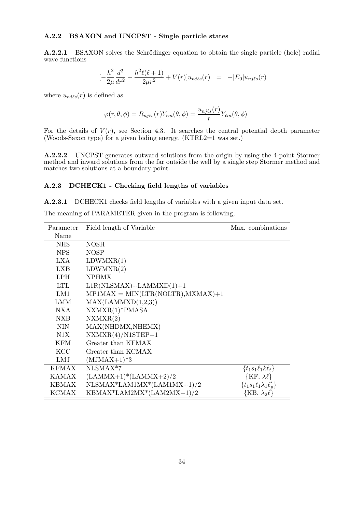#### A.2.2 BSAXON and UNCPST - Single particle states

A.2.2.1 BSAXON solves the Schrödinger equation to obtain the single particle (hole) radial wave functions

$$
\left[-\frac{\hbar^2}{2\mu}\frac{d^2}{dr^2} + \frac{\hbar^2\ell(\ell+1)}{2\mu r^2} + V(r)\right]u_{nj\ell s}(r) = -|E_0|u_{nj\ell s}(r)
$$

where  $u_{nj\ell s}(r)$  is defined as

$$
\varphi(r,\theta,\phi) = R_{nj\ell s}(r) Y_{\ell m}(\theta,\phi) = \frac{u_{nj\ell s}(r)}{r} Y_{\ell m}(\theta,\phi)
$$

For the details of  $V(r)$ , see Section 4.3. It searches the central potential depth parameter (Woods-Saxon type) for a given biding energy.  $(KTRL2=1$  was set.)

A.2.2.2 UNCPST generates outward solutions from the origin by using the 4-point Stormer method and inward solutions from the far outside the well by a single step Stormer method and matches two solutions at a boundary point.

#### A.2.3 DCHECK1 - Checking field lengths of variables

A.2.3.1 DCHECK1 checks field lengths of variables with a given input data set.

The meaning of PARAMETER given in the program is following,

| Parameter    | Field length of Variable              | Max. combinations                  |
|--------------|---------------------------------------|------------------------------------|
| Name         |                                       |                                    |
| <b>NHS</b>   | <b>NOSH</b>                           |                                    |
| NPS          | <b>NOSP</b>                           |                                    |
| LXA.         | LDWMXR(1)                             |                                    |
| LXB          | LDWMXR(2)                             |                                    |
| LPH.         | <b>NPHMX</b>                          |                                    |
| LTL          | $L1R(NLSMAX) + LAMMXD(1) + 1$         |                                    |
| LM1          | $MP1MAX = MIN(LTR(NOITR), MXMAX) + 1$ |                                    |
| <b>LMM</b>   | MAX(LAMMXD(1,2,3))                    |                                    |
| NXA          | $NXMXR(1)*PMASA$                      |                                    |
| <b>NXB</b>   | NXMXR(2)                              |                                    |
| NIN.         | MAX(NHDMX,NHEMX)                      |                                    |
| N1X          | $NXMXR(4)/N1STEP+1$                   |                                    |
| KFM.         | Greater than KFMAX                    |                                    |
| <b>KCC</b>   | Greater than KCMAX                    |                                    |
| LMJ          | $(MJMAX+1)*3$                         |                                    |
| <b>KFMAX</b> | NLSMAX*7                              | $\{t_1s_1\ell_1k\ell_t\}$          |
| <b>KAMAX</b> | $(LAMMX+1)*(LAMMX+2)/2$               | $\{KF, \lambda\ell\}$              |
| KBMAX        | $NLSMAX*LAM1MX*(LAM1MX+1)/2$          | $\{t_1s_1\ell_1\lambda_1\ell'_p\}$ |
| <b>KCMAX</b> | KBMAX*LAM2MX*(LAM2MX+1)/2             | $\{KB, \lambda_2\ell\}$            |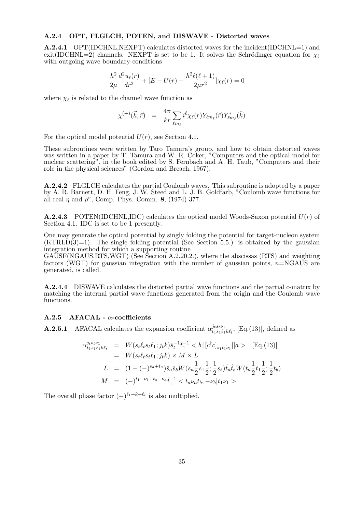#### A.2.4 OPT, FLGLCH, POTEN, and DISWAVE - Distorted waves

A.2.4.1 OPT(IDCHNL,NEXPT) calculates distorted waves for the incident(IDCHNL=1) and exit(IDCHNL=2) channels. NEXPT is set to be 1. It solves the Schrödinger equation for  $\chi_{\ell}$ with outgoing wave boundary conditions

$$
\frac{\hbar^2}{2\mu} \frac{d^2 u_{\ell}(r)}{dr^2} + [E - U(r) - \frac{\hbar^2 \ell(\ell+1)}{2\mu r^2}] \chi_{\ell}(r) = 0
$$

where  $\chi_{\ell}$  is related to the channel wave function as

$$
\chi^{(+)}(\vec{k},\vec{r})\;\;=\;\;\frac{4\pi}{kr}\sum_{\ell m_{\ell}}i^{\ell}\chi_{\ell}(r)Y_{\ell m_{\ell}}(\hat{r})Y_{\ell m_{\ell}}^{*}(\hat{k})
$$

For the optical model potential  $U(r)$ , see Section 4.1.

These subroutines were written by Taro Tamura's group, and how to obtain distorted waves was written in a paper by T. Tamura and W. R. Coker, "Computers and the optical model for nuclear scattering", in the book edited by S. Fernbach and A. H. Taub, "Computers and their role in the physical sciences" (Gordon and Breach, 1967).

A.2.4.2 FLGLCH calculates the partial Coulomb waves. This subroutine is adopted by a paper by A. R. Barnett, D. H. Feng, J. W. Steed and L. J. B. Goldfarb, "Coulomb wave functions for all real  $\eta$  and  $\rho$ ", Comp. Phys. Comm. 8, (1974) 377.

**A.2.4.3** POTEN(IDCHNL,IDC) calculates the optical model Woods-Saxon potential  $U(r)$  of Section 4.1. IDC is set to be 1 presently.

One may generate the optical potential by singly folding the potential for target-nucleon system  $(KTRLD(3)=1)$ . The single folding potential (See Section 5.5.) is obtained by the gaussian integration method for which a supporting routine

GAUSF(NGAUS,RTS,WGT) (See Section A.2.20.2.), where the abscissas (RTS) and weighting factors (WGT) for gaussian integration with the number of gaussian points,  $n=NGAUS$  are generated, is called.

A.2.4.4 DISWAVE calculates the distorted partial wave functions and the partial c-matrix by matching the internal partial wave functions generated from the origin and the Coulomb wave functions.

#### $A.2.5$  AFACAL -  $\alpha$ -coefficients

**A.2.5.1** AFACAL calculates the expansion coefficient  $\alpha_{t,s}^{jts_t\nu_1}$  $t_{1s_1\ell_1k\ell_t}^{jts_t\nu_1}$ , [Eq.(13)], defined as

$$
\alpha_{t_1s_1\ell_1k\ell_t}^{j_1s_1\nu_1} = W(s_t\ell_ts_t\ell_1; j_t k)\hat{s}_t^{-1}\hat{t}_1^{-1} < b||[c^\dagger c]_{s_1t_1\tilde{\nu}_1}||a\rangle \quad \text{[Eq. (13)]}
$$
\n
$$
= W(s_t\ell_ts_t\ell_1; j_t k) \times M \times L
$$
\n
$$
L = (1 - (-)^{s_a + t_a})\hat{s}_a\hat{s}_b W(s_a \frac{1}{2}s_1 \frac{1}{2}; \frac{1}{2}s_b)\hat{t}_a\hat{t}_b W(t_a \frac{1}{2}t_1 \frac{1}{2}; \frac{1}{2}t_b)
$$
\n
$$
M = (-)^{t_1 + \nu_1 + t_a - \nu_a}\hat{t}_1^{-1} < t_a\nu_a t_b, -\nu_b|t_1\nu_1 >
$$

The overall phase factor  $(-)^{\ell_1+k+\ell_t}$  is also multiplied.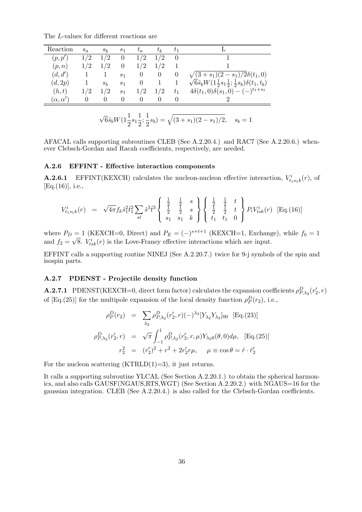The L-values for different reactions are

| Reaction           | $s_a$    | $s_h$ | $s_1$          | $t_a$    | $t_{\small{h}}$ | $t_1$    |                                                                                |
|--------------------|----------|-------|----------------|----------|-----------------|----------|--------------------------------------------------------------------------------|
| (p, p')            | 1/2      | 1/2   | $\theta$       | 1/2      | 1/2             | $\theta$ |                                                                                |
| (p,n)              | 1/2      | 1/2   | 0              | 1/2      | 1/2             |          |                                                                                |
| (d, d')            |          |       | s <sub>1</sub> | $\theta$ | $\theta$        | 0        | $\sqrt{(3+s_1)(2-s_1)/2\delta(t_1,0)}$                                         |
| (d,2p)             |          | $s_b$ | S <sub>1</sub> | $\theta$ |                 |          | $\sqrt{6}\hat{s}_bW(1\frac{1}{2}s_1\frac{1}{2};\frac{1}{2}s_b)\delta(t_1,t_b)$ |
| (h,t)              | 1/2      | 1/2   | s <sub>1</sub> | 1/2      | 1/2             | $t_{1}$  | $4\delta(t_1,0)\delta(s_1,0)-(-)^{t_1+s_1}$                                    |
| $(\alpha,\alpha')$ | $\theta$ | 0     | $\theta$       | $\theta$ | $\theta$        | 0        |                                                                                |

$$
\sqrt{6}\hat{s}_b W(1\frac{1}{2}s_1\frac{1}{2};\frac{1}{2}s_b) = \sqrt{(3+s_1)(2-s_1)/2}, \quad s_b = 1
$$

AFACAL calls supporting subroutines CLEB (See A.2.20.4.) and RAC7 (See A.2.20.6.) whenever Clebsch-Gordan and Racah coefficients, respectively, are needed.

#### A.2.6 EFFINT - Effective interaction components

**A.2.6.1** EFFINT(KEXCH) calculates the nucleon-nucleon effective interaction,  $V_{t_1 s_1 k}^i(r)$ , of [Eq.(16)], i.e.,

$$
V_{t_1s_1k}^i(r) = \sqrt{4\pi} f_k \hat{s}_1^2 \hat{t}_1^2 \sum_{st} \hat{s}^3 \hat{t}^3 \begin{Bmatrix} \frac{1}{2} & \frac{1}{2} & s \\ \frac{1}{2} & \frac{1}{2} & s \\ s_1 & s_1 & k \end{Bmatrix} \begin{Bmatrix} \frac{1}{2} & \frac{1}{2} & t \\ \frac{1}{2} & \frac{1}{2} & t \\ t_1 & t_1 & 0 \end{Bmatrix} P_i V_{tsk}^i(r) \quad \text{[Eq.(16)]}
$$

where  $P_D = 1$  (KEXCH=0, Direct) and  $P_E = (-)^{s+t+1}$  (KEXCH=1, Exchange), while  $f_0 = 1$ and  $f_2 = \sqrt{8}$ .  $V_{tsk}^i(r)$  is the Love-Franey effective interactions which are input.

EFFINT calls a supporting routine NINEJ (See A.2.20.7.) twice for 9-j symbols of the spin and isospin parts.

#### A.2.7 PDENST - Projectile density function

**A.2.7.1** PDENST(KEXCH=0, direct form factor) calculates the expansion coefficients  $\rho_{P,\lambda_2}^D(r_2',r)$ of  $[Eq.(25)]$  for the multipole expansion of the local density function  $\rho_P^D(r_2)$ , i.e.,

$$
\rho_P^D(r_2) = \sum_{\lambda_2} \rho_{P,\lambda_2}^D(r_2', r) (-)^{\lambda_2} [Y_{\lambda_2} Y_{\lambda_2}]_{00} \text{ [Eq. (23)]}
$$

$$
\rho_{P,\lambda_2}^D(r_2', r) = \sqrt{\pi} \int_{-1}^1 \rho_{P,\lambda_2}^D(r_2', r, \mu) Y_{\lambda_2 0}(\theta, 0) d\mu, \text{ [Eq. (25)]}
$$

$$
r_2^2 = (r_2')^2 + r^2 + 2r_2' r \mu, \quad \mu \equiv \cos \theta = \hat{r} \cdot \hat{r}_2'
$$

For the nucleon scattering  $(KTRLD(1)=3)$ , it just returns.

It calls a supporting subroutine YLCAL (See Section A.2.20.1.) to obtain the spherical harmonics, and also calls GAUSF(NGAUS,RTS,WGT) (See Section A.2.20.2.) with NGAUS=16 for the gaussian integration. CLEB (See A.2.20.4.) is also called for the Clebsch-Gordan coefficients.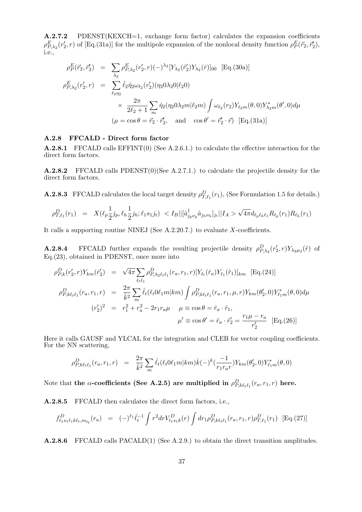A.2.7.2 PDENST(KEXCH=1, exchange form factor) calculates the expansion coefficients  $\rho_{P,\lambda_2}^E(r_2',r)$  of [Eq.(31a)] for the multipole expansion of the nonlocal density function  $\rho_P^E(\vec{r}_2,\vec{r}_2'),$ i.e.,

$$
\rho_P^E(\vec{r}_2, \vec{r}_2') = \sum_{\lambda_2} \rho_{P, \lambda_2}^E(r_2', r) (-)^{\lambda_2} [Y_{\lambda_2}(\hat{r}_2') Y_{\lambda_2}(\hat{r})]_{00} \quad [\text{Eq.}(30a)]
$$
  
\n
$$
\rho_{P, \lambda_2}^E(r_2', r) = \sum_{\ell_2 \eta_2} \hat{\ell}_2 \hat{\eta}_2 \omega_{\ell_2}(r_2') (\eta_2 0 \lambda_2 0 | \ell_2 0)
$$
  
\n
$$
\times \frac{2\pi}{2\ell_2 + 1} \sum_m \hat{\eta}_2(\eta_2 0 \lambda_2 m | \ell_2 m) \int \omega_{\ell_2}(r_2) Y_{\ell_2 m}(\theta, 0) Y_{\lambda_2 m}^*(\theta', 0) d\mu
$$
  
\n
$$
(\mu = \cos \theta = \vec{r}_2 \cdot \vec{r}_2', \text{ and } \cos \theta' = \vec{r}_2' \cdot \vec{r}) \quad [\text{Eq.}(31a)]
$$

#### A.2.8 FFCALD - Direct form factor

A.2.8.1 FFCALD calls EFFINT(0) (See A.2.6.1.) to calculate the effective interaction for the direct form factors.

A.2.8.2 FFCALD calls PDENST(0)(See A.2.7.1.) to calculate the projectile density for the direct form factors.

**A.2.8.3** FFCALD calculates the local target density  $\rho_{T,\ell_1}^D(r_1)$ , (See Formulation 1.5 for details.)

$$
\rho_{T,\ell_1}^D(r_1) = X(\ell_p \frac{1}{2}j_p, \ell_h \frac{1}{2}j_h; \ell_1 s_1 j_t) < I_B || [\hat{a}_{j_p \nu_p}^\dagger \hat{a}_{j_h \nu_h}]_{j_t} || I_A > \sqrt{4\pi} d_{\ell_p \ell_h \ell_1} R_{\ell_p}(r_1) R_{\ell_h}(r_1)
$$

It calls a supporting routine NINEJ (See  $A.2.20.7$ .) to evaluate X-coefficients.

**A.2.8.4** FFCALD further expands the resulting projectile density  $\rho_{P,\lambda_2}^D(r_2',r)Y_{\lambda_2\mu_2}(\hat{r})$  of Eq.(23), obtained in PDENST, once more into

$$
\rho_{P,k}^{D}(r'_{2}, r)Y_{km}(\hat{r}'_{2}) = \sqrt{4\pi} \sum_{\ell_{t}\ell_{1}} \rho_{P,\lambda_{2}\ell_{t}\ell_{1}}^{D}(r_{a}, r_{1}, r)[Y_{\ell_{t}}(\hat{r}_{a})Y_{\ell_{1}}(\hat{r}_{1})]_{km} \text{ [Eq. (24)]}
$$
\n
$$
\rho_{P,k\ell_{t}\ell_{1}}^{D}(r_{a}, r_{1}, r) = \frac{2\pi}{\hat{k}^{2}} \sum_{m} \hat{\ell}_{t}(\ell_{t}0\ell_{1}m|km) \int \rho_{P,k\ell_{t}\ell_{1}}^{D}(r_{a}, r_{1}, \mu, r) Y_{km}(\theta_{2}', 0) Y_{\ell_{1}m}^{*}(\theta, 0) d\mu
$$
\n
$$
(r'_{2})^{2} = r_{1}^{2} + r_{a}^{2} - 2r_{1}r_{a}\mu \quad \mu \equiv \cos \theta = \hat{r}_{a} \cdot \hat{r}_{1},
$$
\n
$$
\mu' \equiv \cos \theta' = \hat{r}_{a} \cdot \hat{r}'_{2} = \frac{r_{1}\mu - r_{a}}{r'_{2}} \text{ [Eq. (26)]}
$$

Here it calls GAUSF and YLCAL for the integration and CLEB for vector coupling coefficients. For the NN scattering,

$$
\rho^D_{P,k\ell_{t}\ell_{1}}(r_{a},r_{1},r) = \frac{2\pi}{\hat{k}^2} \sum_{m} \hat{\ell}_{t}(\ell_{t}0\ell_{1}m|km)\hat{k}(-)^{k}(\frac{-1}{r_{1}r_{a}r})Y_{km}(\theta'_{2},0)Y_{\ell_{1}m}^{*}(\theta,0)
$$

Note that the  $\alpha$ -coefficients (See A.2.5) are multiplied in  $\rho^D_{P,k\ell_t\ell_1}(r_a,r_1,r)$  here.

A.2.8.5 FFCALD then calculates the direct form factors, i.e.,

$$
f_{t_1s_1\ell_1k\ell_t,m_{\ell_t}}^D(r_a) = (-)^{\ell_1} \hat{\ell}_t^{-1} \int r^2 dr V_{t_1s_1k}^D(r) \int dr_1 \rho_{P,k\ell_t\ell_1}^D(r_a,r_1,r) \rho_{T,\ell_1}^D(r_1) \quad \text{[Eq.(27)]}
$$

A.2.8.6 FFCALD calls PACALD(1) (See A.2.9.) to obtain the direct transition amplitudes.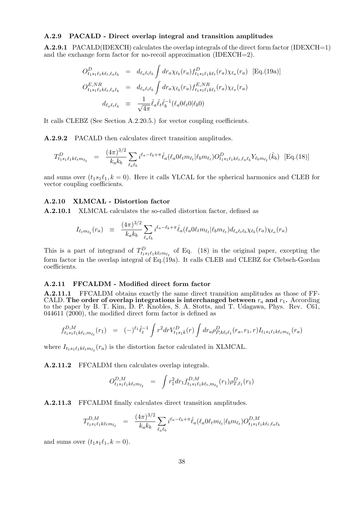#### A.2.9 PACALD - Direct overlap integral and transition amplitudes

A.2.9.1 PACALD(IDEXCH) calculates the overlap integrals of the direct form factor (IDEXCH=1) and the exchange form factor for no-recoil approximation (IDEXCH=2).

$$
O_{t_1s_1\ell_1k\ell_t,\ell_a\ell_b}^D = d_{\ell_a\ell_t\ell_b} \int dr_a \chi_{\ell_b}(r_a) f_{t_1s_1\ell_1k\ell_t}^D(r_a) \chi_{\ell_a}(r_a) \text{ [Eq.(19a)]}
$$
  
\n
$$
O_{t_1s_1\ell_1k\ell_t,\ell_a\ell_b}^{{E, NR}} = d_{\ell_a\ell_t\ell_b} \int dr_a \chi_{\ell_b}(r_a) f_{t_1s_1\ell_1k\ell_t}^{E, NR}(r_a) \chi_{\ell_a}(r_a)
$$
  
\n
$$
d_{\ell_a\ell_t\ell_b} = \frac{1}{\sqrt{4\pi}} \hat{\ell}_a \hat{\ell}_t \hat{\ell}_b^{-1} (\ell_a 0 \ell_t 0 | \ell_b 0)
$$

It calls CLEBZ (See Section A.2.20.5.) for vector coupling coefficients.

A.2.9.2 PACALD then calculates direct transition amplitudes.

$$
T_{t_1 s_1 \ell_1 k \ell_t m_{\ell_t}}^D = \frac{(4\pi)^{3/2}}{k_a k_b} \sum_{\ell_a \ell_b} i^{\ell_a - \ell_b + \pi} \hat{\ell}_a(\ell_a 0 \ell_t m_{\ell_t} | \ell_b m_{\ell_t}) O_{t_1 s_1 \ell_1 k \ell_t, \ell_a \ell_b}^D Y_{\ell_b m_{\ell_t}}(\hat{k}_b) \quad \text{[Eq. (18)]}
$$

and sums over  $(t_1s_1\ell_1, k = 0)$ . Here it calls YLCAL for the spherical harmonics and CLEB for vector coupling coefficients.

#### A.2.10 XLMCAL - Distortion factor

A.2.10.1 XLMCAL calculates the so-called distortion factor, defined as

$$
I_{\ell_t m_{\ell_t}}(r_a) \equiv \frac{(4\pi)^{3/2}}{k_a k_b} \sum_{\ell_a \ell_b} i^{\ell_a - \ell_b + \pi} \hat{\ell}_a(\ell_a 0 \ell_t m_{\ell_t} | \ell_b m_{\ell_t}) d_{\ell_a \ell_t \ell_b} \chi_{\ell_b}(r_a) \chi_{\ell_a}(r_a)
$$

This is a part of integrand of  $T_{t_1s_1\ell_1k\ell_tm_{\ell_t}}^D$  of Eq. (18) in the original paper, excepting the form factor in the overlap integral of Eq.(19a). It calls CLEB and CLEBZ for Clebsch-Gordan coefficients.

#### A.2.11 FFCALDM - Modified direct form factor

A.2.11.1 FFCALDM obtains exactly the same direct transition amplitudes as those of FF-CALD. The order of overlap integrations is interchanged between  $r_a$  and  $r_1$ . According to the paper by B. T. Kim, D. P. Knobles, S. A. Stotts, and T. Udagawa, Phys. Rev. C61, 044611 (2000), the modified direct form factor is defined as

$$
f_{t_1s_1\ell_1k\ell_t,m_{\ell_t}}^{D,M}(r_1) = (-)^{\ell_1} \hat{\ell}_t^{-1} \int r^2 dr V_{t_1s_1k}^D(r) \int dr_a \rho_{P,k\ell_t\ell_1}^D(r_a,r_1,r) I_{t_1s_1\ell_1k\ell_t m_{\ell_t}}(r_a)
$$

where  $I_{t_1s_1\ell_1k\ell_t m_{\ell_t}}(r_a)$  is the distortion factor calculated in XLMCAL.

A.2.11.2 FFCALDM then calculates overlap integrals.

$$
O_{t_1s_1\ell_1k\ell_t m_{\ell_t}}^{D,M} = \int r_1^2 dr_1 f_{t_1s_1\ell_1k\ell_t, m_{\ell_t}}^{D,M}(r_1) \rho_{T,\ell_1}^D(r_1)
$$

A.2.11.3 FFCALDM finally calculates direct transition amplitudes.

$$
T_{t_1s_1\ell_1k\ell_tm_{\ell_t}}^{D,M} = \frac{(4\pi)^{3/2}}{k_a k_b} \sum_{\ell_a \ell_b} i^{\ell_a - \ell_b + \pi} \hat{\ell}_a(\ell_a 0 \ell_t m_{\ell_t} | \ell_b m_{\ell_t}) O_{t_1s_1\ell_1k\ell_t,\ell_a\ell_b}^{D,M}
$$

and sums over  $(t_1s_1\ell_1, k = 0)$ .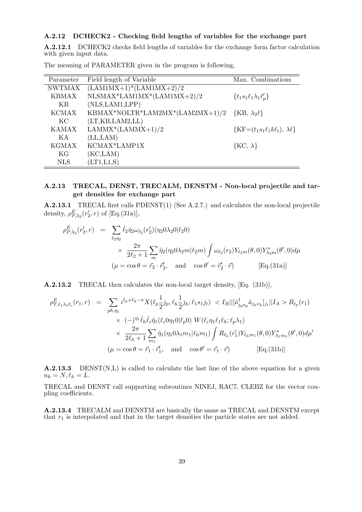#### A.2.12 DCHECK2 - Checking field lengths of variables for the exchange part

A.2.12.1 DCHECK2 checks field lengths of variables for the exchange form factor calculation with given input data.

| Parameter     | Field length of Variable                                | Max. Combinations                           |
|---------------|---------------------------------------------------------|---------------------------------------------|
| <b>NWTMAX</b> | $(LAM1MX+1)*(LAM1MX+2)/2$                               |                                             |
| <b>KBMAX</b>  | $NLSMAX*LAM1MX*(LAM1MX+2)/2$                            | $\{t_1s_1\ell_1\lambda_1\ell'_p\}$          |
| KB            | (NLS, LAM1, LPP)                                        |                                             |
| <b>KCMAX</b>  | KBMAX*NOLTR*LAM2MX*(LAM2MX+1)/2 {KB, $\lambda_2 \ell$ } |                                             |
| KC            | (LT, KB, LAM2, LL)                                      |                                             |
| <b>KAMAX</b>  | $LAMMX*(LAMMX+1)/2$                                     | $\{KF=(t_1s_1\ell_1k\ell_t), \lambda\ell\}$ |
| K A           | (LL, LAM)                                               |                                             |
| <b>KGMAX</b>  | KCMAX*LAMP1X                                            | $\{KC, \lambda\}$                           |
| KG            | (KC, LAM)                                               |                                             |
| <b>NLS</b>    | (LT1,L1,S)                                              |                                             |

The meaning of PARAMETER given in the program is following,

#### A.2.13 TRECAL, DENST, TRECALM, DENSTM - Non-local projectile and target densities for exchange part

A.2.13.1 TRECAL first calls PDENST(1) (See A.2.7.) and calculates the non-local projectile density,  $\rho_{P,\lambda_2}^E(r'_2,r)$  of [Eq.(31a)],

$$
\rho_{P,\lambda_2}^E(r_2', r) = \sum_{\ell_2 \eta_2} \hat{\ell}_2 \hat{\eta}_2 \omega_{\ell_2}(r_2') (\eta_2 0 \lambda_2 0 | \ell_2 0)
$$
  
 
$$
\times \frac{2\pi}{2\ell_2 + 1} \sum_m \hat{\eta}_2(\eta_2 0 \lambda_2 m | \ell_2 m) \int \omega_{\ell_2}(r_2) Y_{\ell_2 m}(\theta, 0) Y_{\lambda_2 m}^*(\theta', 0) d\mu
$$
  
\n
$$
(\mu = \cos \theta = \vec{r}_2 \cdot \vec{r}_2', \text{ and } \cos \theta' = \vec{r}_2' \cdot \vec{r})
$$
 [Eq.(31a)]

A.2.13.2 TRECAL then calculates the non-local target density, [Eq. (31b)],

$$
\rho_{T,\ell_1\lambda_1\ell_c}^E(r_1,r) = \sum_{ph,\eta_1} i^{\ell_p + \ell_h - \pi} X(\ell_p \frac{1}{2} j_p, \ell_h \frac{1}{2} j_h; \ell_1 s_1 j_t) < I_B ||[\hat{a}_{j_p \nu_p}^{\dagger} \hat{a}_{j_h \nu_h}]_{j_t}||I_A > R_{\ell_p}(r_1) \\
\times (-)^{\eta_1} \hat{\ell}_h \hat{\ell}_c \hat{\eta}_1(\ell_c 0 \eta_1 0 | \ell_p 0) \ W(\ell_c \eta_1 \ell_1 \ell_h; \ell_p \lambda_1) \\
\times \frac{2\pi}{2\ell_h + 1} \sum_{m_1} \hat{\eta}_1(\eta_1 0 \lambda_1 m_1 | \ell_h m_1) \int R_{\ell_h}(r'_1) Y_{\ell_h m_1}(\theta, 0) Y_{\lambda_1 m_1}^*(\theta', 0) d\mu'
$$
\n
$$
(\mu = \cos \theta = \vec{r}_1 \cdot \vec{r}_1', \text{ and } \cos \theta' = \vec{r}_1 \cdot \vec{r}) \qquad \text{[Eq.(31b)]}
$$

A.2.13.3 DENST(N,L) is called to calculate the last line of the above equation for a given  $n_h = N, \ell_h = L.$ 

TRECAL and DENST call supporting subroutines NINEJ, RAC7, CLEBZ for the vector coupling coefficients.

A.2.13.4 TRECALM and DENSTM are basically the same as TRECAL and DENSTM except that  $r_1$  is interpolated and that in the target densities the particle states are not added.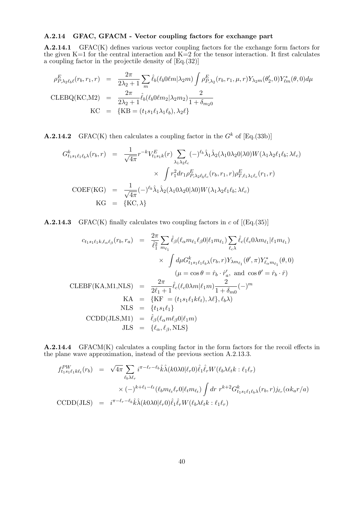#### A.2.14 GFAC, GFACM - Vector coupling factors for exchange part

A.2.14.1 GFAC(K) defines various vector coupling factors for the exchange form factors for the given K=1 for the central interaction and K=2 for the tensor interaction. It first calculates a coupling factor in the projectile density of [Eq.(32)]

$$
\rho_{P,\lambda_2\ell_b\ell}^E(r_b, r_1, r) = \frac{2\pi}{2\lambda_2 + 1} \sum_m \hat{\ell}_b(\ell_b 0\ell m | \lambda_2 m) \int \rho_{P,\lambda_2}^E(r_b, r_1, \mu, r) Y_{\lambda_2 m}(\theta_2', 0) Y_{\ell m}^*(\theta, 0) d\mu
$$
  
CLEBQ(KC,M2) = 
$$
\frac{2\pi}{2\lambda_2 + 1} \hat{\ell}_b(\ell_b 0\ell m_2 | \lambda_2 m_2) \frac{2}{1 + \delta_{m_2 0}}
$$
  
KC = {KB =  $(t_1 s_1 \ell_1 \lambda_1 \ell_b), \lambda_2 \ell$ }

**A.2.14.2** GFAC(K) then calculates a coupling factor in the  $G^k$  of [Eq.(33b)]

$$
G_{t_1s_1\ell_1\ell_b\lambda}^k(r_b, r) = \frac{1}{\sqrt{4\pi}} r^{-k} V_{t_1s_1k}^E(r) \sum_{\lambda_1\lambda_2\ell_c} (-)^{\ell_b} \hat{\lambda}_1 \hat{\lambda}_2(\lambda_1 0 \lambda_2 0 | \lambda 0) W(\lambda_1 \lambda_2 \ell_1 \ell_b; \lambda \ell_c)
$$
  
 
$$
\times \int r_1^2 dr_1 \rho_{P,\lambda_2\ell_b\ell_c}^E(r_b, r_1, r) \rho_{T,\ell_1\lambda_1\ell_c}^E(r_1, r)
$$
  
\n
$$
\text{COEF}(\text{KG}) = \frac{1}{\sqrt{4\pi}} (-)^{\ell_b} \hat{\lambda}_1 \hat{\lambda}_2(\lambda_1 0 \lambda_2 0 | \lambda 0) W(\lambda_1 \lambda_2 \ell_1 \ell_b; \lambda \ell_c)
$$
  
\n
$$
\text{KG} = \{\text{KC}, \lambda\}
$$

**A.2.14.3** GFAC(K) finally calculates two coupling factors in c of  $[(Eq.(35))]$ 

$$
c_{t_1s_1\ell_1k,\ell_{\alpha}\ell_{\beta}}(r_b, r_a) = \frac{2\pi}{\hat{\ell}_1^2} \sum_{m_{\ell_1}} \hat{\ell}_{\beta}(\ell_{\alpha}m_{\ell_1}\ell_{\beta}0|\ell_1m_{\ell_1}) \sum_{\ell_{c}\lambda} \hat{\ell}_{c}(\ell_{c}0\lambda m_{\ell_1}|\ell_1m_{\ell_1})
$$

$$
\times \int d\mu G_{t_1s_1\ell_1\ell_{b}\lambda}^k(r_b, r) Y_{\lambda m_{\ell_1}}(\theta', \pi) Y_{\ell_{\alpha}m_{\ell_1}}^*(\theta, 0)
$$

$$
(\mu = \cos\theta = \hat{r}_b \cdot \hat{r}_a', \text{ and } \cos\theta' = \hat{r}_b \cdot \hat{r})
$$

$$
\text{CLEBF}(\text{KA}, \text{M1}, \text{NLS}) = \frac{2\pi}{2\ell_1 + 1} \hat{\ell}_{c}(\ell_{c}0\lambda m|\ell_1m) \frac{2}{1 + \delta_{m0}}(-)^m
$$

$$
\text{KA} = \{ \text{KF} = (t_1s_1\ell_1k\ell_t), \lambda\ell\}, \ell_b\lambda)
$$

$$
\text{NLS} = \{t_1s_1\ell_1\}
$$

$$
\text{CCDD}(JLS, \text{M1}) = \hat{\ell}_{\beta}(\ell_{\alpha}m\ell_{\beta}0|\ell_1m)
$$

$$
JLS = \{\ell_{\alpha}, \ell_{\beta}, \text{NLS}\}
$$

A.2.14.4 GFACM(K) calculates a coupling factor in the form factors for the recoil effects in the plane wave approximation, instead of the previous section A.2.13.3.

$$
f_{t_1s_1\ell_1k\ell_t}^{PW}(r_b) = \sqrt{4\pi} \sum_{\ell_b\lambda\ell_r} i^{\pi-\ell_r-\ell_b} \hat{k}\hat{\lambda}(k0\lambda0|\ell_r0)\hat{\ell}_1\hat{\ell}_r W(\ell_b\lambda\ell_t k : \ell_1\ell_r) \times (-)^{k+\ell_1-\ell_t} (\ell_b m_{\ell_t}\ell_r0|\ell_t m_{\ell_t}) \int dr \ r^{k+2} G_{t_1s_1\ell_1\ell_b\lambda}^k(r_b, r) j_{\ell_r}(\alpha k_a r/a) \n\text{CCDD(JLS)} = i^{\pi-\ell_r-\ell_b} \hat{k}\hat{\lambda}(k0\lambda0|\ell_r0)\hat{\ell}_1\hat{\ell}_r W(\ell_b\lambda\ell_t k : \ell_1\ell_r)
$$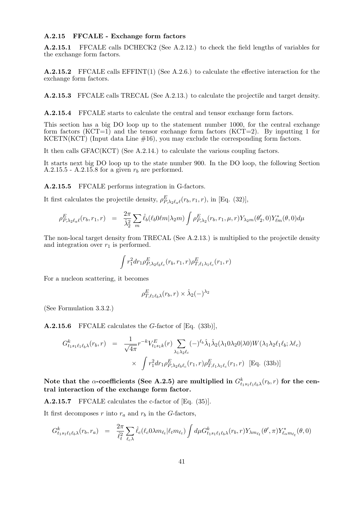#### A.2.15 FFCALE - Exchange form factors

A.2.15.1 FFCALE calls DCHECK2 (See A.2.12.) to check the field lengths of variables for the exchange form factors.

A.2.15.2 FFCALE calls EFFINT(1) (See A.2.6.) to calculate the effective interaction for the exchange form factors.

A.2.15.3 FFCALE calls TRECAL (See A.2.13.) to calculate the projectile and target density.

A.2.15.4 FFCALE starts to calculate the central and tensor exchange form factors.

This section has a big DO loop up to the statement number 1000, for the central exchange form factors  $(KCT=1)$  and the tensor exchange form factors  $(KCT=2)$ . By inputting 1 for KCETN(KCT) (Input data Line  $#16$ ), you may exclude the corresponding form factors.

It then calls GFAC(KCT) (See A.2.14.) to calculate the various coupling factors.

It starts next big DO loop up to the state number 900. In the DO loop, the following Section A.2.15.5 - A.2.15.8 for a given  $r_b$  are performed.

A.2.15.5 FFCALE performs integration in G-factors.

It first calculates the projectile density,  $\rho_{P,\lambda_2\ell_a\ell}^E(r_b,r_1,r)$ , in [Eq. (32)],

$$
\rho_{P,\lambda_2\ell_a\ell}^E(r_b,r_1,r) = \frac{2\pi}{\hat{\lambda}_2^2} \sum_m \hat{\ell}_b(\ell_b 0\ell m | \lambda_2 m) \int \rho_{P,\lambda_2}^E(r_b,r_1,\mu,r) Y_{\lambda_2 m}(\theta_2',0) Y_{\ell m}^*(\theta,0) d\mu
$$

The non-local target density from TRECAL (See A.2.13.) is multiplied to the projectile density and integration over  $r_1$  is performed.

$$
\int r_1^2 dr_1 \rho_{P,\lambda_2\ell_b\ell_c}^E(r_b,r_1,r) \rho_{T,\ell_1\lambda_1\ell_c}^E(r_1,r)
$$

For a nucleon scattering, it becomes

$$
\rho_{T,\ell_1\ell_b\lambda}^E(r_b,r)\times\hat{\lambda}_2(-)^{\lambda_2}
$$

(See Formulation 3.3.2.)

A.2.15.6 FFCALE calculates the G-factor of [Eq. (33b)],

$$
G_{t_1s_1\ell_1\ell_b\lambda}^k(r_b, r) = \frac{1}{\sqrt{4\pi}} r^{-k} V_{t_1s_1k}^E(r) \sum_{\lambda_1\lambda_2\ell_c} (-)^{\ell_b} \hat{\lambda}_1 \hat{\lambda}_2(\lambda_1 0 \lambda_2 0 | \lambda 0) W(\lambda_1 \lambda_2 \ell_1 \ell_b; \lambda \ell_c) \times \int r_1^2 dr_1 \rho_{P, \lambda_2\ell_b\ell_c}^E(r_1, r) \rho_{T, \ell_1\lambda_1\ell_c}^E(r_1, r) \text{ [Eq. (33b)]}
$$

Note that the  $\alpha$ -coefficients (See A.2.5) are multiplied in  $G_{t_1s_1\ell_1\ell_b\lambda}^k(r_b,r)$  for the central interaction of the exchange form factor.

A.2.15.7 FFCALE calculates the c-factor of [Eq. (35)].

It first decomposes r into  $r_a$  and  $r_b$  in the G-factors,

$$
G_{t_1s_1\ell_1\ell_b\lambda}^k(r_b,r_a) = \frac{2\pi}{\hat{\ell}_t^2} \sum_{\ell_c\lambda} \hat{\ell}_c(\ell_c 0\lambda m_{\ell_t}|\ell_t m_{\ell_t}) \int d\mu G_{t_1s_1\ell_1\ell_b\lambda}^k(r_b,r) Y_{\lambda m_{\ell_t}}(\theta',\pi) Y_{\ell_\alpha m_{\ell_t}}^*(\theta,0)
$$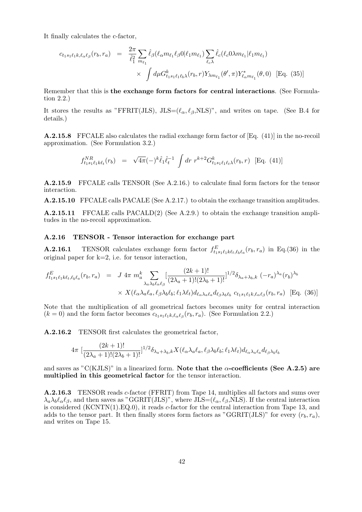It finally calculates the c-factor,

$$
c_{t_1s_1\ell_1k,\ell_{\alpha}\ell_{\beta}}(r_b, r_a) = \frac{2\pi}{\hat{\ell}_1^2} \sum_{m_{\ell_1}} \hat{\ell}_{\beta}(\ell_{\alpha}m_{\ell_1}\ell_{\beta}0|\ell_1m_{\ell_1}) \sum_{\ell_{c}\lambda} \hat{\ell}_{c}(\ell_{c}0\lambda m_{\ell_1}|\ell_1m_{\ell_1})
$$
  
 
$$
\times \int d\mu G_{t_1s_1\ell_1\ell_{b}\lambda}^k(r_b, r) Y_{\lambda m_{\ell_1}}(\theta', \pi) Y_{\ell_{\alpha}m_{\ell_1}}^*(\theta, 0) \quad \text{[Eq. (35)]}
$$

Remember that this is the exchange form factors for central interactions. (See Formulation 2.2.)

It stores the results as "FFRIT(JLS), JLS= $(\ell_{\alpha}, \ell_{\beta}, NLS)$ ", and writes on tape. (See B.4 for details.)

A.2.15.8 FFCALE also calculates the radial exchange form factor of [Eq. (41)] in the no-recoil approximation. (See Formulation 3.2.)

$$
f_{t_1s_1\ell_1k\ell_t}^{NR}(r_b) = \sqrt{4\pi}(-)^k \hat{\ell}_1 \hat{\ell}_t^{-1} \int dr \ r^{k+2} G_{t_1s_1\ell_1\ell_t\lambda}^k(r_b, r) \ [\text{Eq. (41)}]
$$

A.2.15.9 FFCALE calls TENSOR (See A.2.16.) to calculate final form factors for the tensor interaction.

A.2.15.10 FFCALE calls PACALE (See A.2.17.) to obtain the exchange transition amplitudes.

A.2.15.11 FFCALE calls PACALD(2) (See A.2.9.) to obtain the exchange transition amplitudes in the no-recoil approximation.

#### A.2.16 TENSOR - Tensor interaction for exchange part

**A.2.16.1** TENSOR calculates exchange form factor  $f_{t_1s_1\ell_1k\ell_t,\ell_b\ell_a}^E(r_b,r_a)$  in Eq.(36) in the original paper for  $k=2$ , i.e. for tensor interaction,

$$
f_{t_1s_1\ell_1k\ell_t,\ell_b\ell_a}^E(r_b, r_a) = J 4\pi m_a^k \sum_{\lambda_a\lambda_b\ell_\alpha\ell_\beta} \left[ \frac{(2k+1)!}{(2\lambda_a+1)!(2\lambda_b+1)!} \right]^{1/2} \delta_{\lambda_a+\lambda_b,k} (-r_a)^{\lambda_a} (r_b)^{\lambda_b}
$$
  
 
$$
\times X(\ell_a\lambda_a\ell_a, \ell_\beta\lambda_b\ell_b; \ell_1\lambda\ell_t) d_{\ell_a\lambda_a\ell_a} d_{\ell_\beta\lambda_b\ell_b} c_{t_1s_1\ell_1k,\ell_a\ell_\beta}(r_b, r_a) \text{ [Eq. (36)]}
$$

Note that the multiplication of all geometrical factors becomes unity for central interaction  $(k = 0)$  and the form factor becomes  $c_{t_1 s_1 \ell_1 k, \ell_\alpha \ell_\beta}(r_b, r_a)$ . (See Formulation 2.2.)

A.2.16.2 TENSOR first calculates the geometrical factor,

$$
4\pi \left[ \frac{(2k+1)!}{(2\lambda_a+1)!(2\lambda_b+1)!} \right]^{1/2} \delta_{\lambda_a+\lambda_b,k} X(\ell_\alpha \lambda_a \ell_a, \ell_\beta \lambda_b \ell_b; \ell_1 \lambda \ell_t) d_{\ell_\alpha \lambda_a \ell_a} d_{\ell_\beta \lambda_b \ell_b}
$$

and saves as "C(KJLS)" in a linearized form. Note that the  $\alpha$ -coefficients (See A.2.5) are multiplied in this geometrical factor for the tensor interaction.

A.2.16.3 TENSOR reads c-factor (FFRIT) from Tape 14, multiplies all factors and sums over  $\lambda_a \lambda_b \ell_\alpha \ell_\beta$ , and then saves as "GGRIT(JLS)", where JLS=( $\ell_\alpha, \ell_\beta$ ,NLS). If the central interaction is considered  $(KCNTN(1).EQ.0)$ , it reads c-factor for the central interaction from Tape 13, and adds to the tensor part. It then finally stores form factors as "GGRIT(JLS)" for every  $(r_b, r_a)$ , and writes on Tape 15.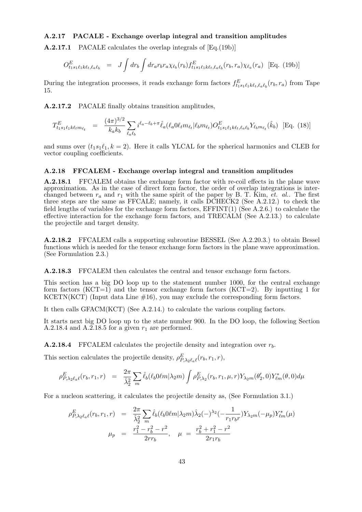#### A.2.17 PACALE - Exchange overlap integral and transition amplitudes

A.2.17.1 PACALE calculates the overlap integrals of [Eq.(19b)]

$$
O_{t_1s_1\ell_1k\ell_t,\ell_a\ell_b}^E = J \int dr_b \int dr_a r_b r_a \chi_{\ell_b}(r_b) f_{t_1s_1\ell_1k\ell_t,\ell_a\ell_b}^E(r_b,r_a) \chi_{\ell_a}(r_a) \text{ [Eq. (19b)]}
$$

During the integration processes, it reads exchange form factors  $f_{t_1s_1\ell_1k\ell_t,\ell_a\ell_b}^E(r_b,r_a)$  from Tape 15.

A.2.17.2 PACALE finally obtains transition amplitudes,

$$
T_{t_1s_1\ell_1k\ell_t m_{\ell_t}}^E = \frac{(4\pi)^{3/2}}{k_a k_b} \sum_{\ell_a \ell_b} i^{\ell_a - \ell_b + \pi} \hat{\ell}_a(\ell_a 0 \ell_t m_{\ell_t} | \ell_b m_{\ell_t}) O_{t_1s_1\ell_1k\ell_t,\ell_a\ell_b}^E Y_{\ell_b m_{\ell_t}}(\hat{k}_b)
$$
 [Eq. (18)]

and sums over  $(t_1s_1\ell_1, k = 2)$ . Here it calls YLCAL for the spherical harmonics and CLEB for vector coupling coefficients.

#### A.2.18 FFCALEM - Exchange overlap integral and transition amplitudes

A.2.18.1 FFCALEM obtains the exchange form factor with re-coil effects in the plane wave approximation. As in the case of direct form factor, the order of overlap integrations is interchanged between  $r_a$  and  $r_1$  with the same spirit of the paper by B. T. Kim, *et. al..* The first three steps are the same as FFCALE; namely, it calls DCHECK2 (See A.2.12.) to check the field lengths of variables for the exchange form factors, EFFINT(1) (See A.2.6.) to calculate the effective interaction for the exchange form factors, and TRECALM (See A.2.13.) to calculate the projectile and target density.

A.2.18.2 FFCALEM calls a supporting subroutine BESSEL (See A.2.20.3.) to obtain Bessel functions which is needed for the tensor exchange form factors in the plane wave approximation. (See Formulation 2.3.)

A.2.18.3 FFCALEM then calculates the central and tensor exchange form factors.

This section has a big DO loop up to the statement number 1000, for the central exchange form factors (KCT=1) and the tensor exchange form factors (KCT=2). By inputting 1 for KCETN(KCT) (Input data Line  $\#16$ ), you may exclude the corresponding form factors.

It then calls GFACM(KCT) (See A.2.14.) to calculate the various coupling factors.

It starts next big DO loop up to the state number 900. In the DO loop, the following Section A.2.18.4 and A.2.18.5 for a given  $r_1$  are performed.

**A.2.18.4** FFCALEM calculates the projectile density and integration over  $r<sub>b</sub>$ .

This section calculates the projectile density,  $\rho_{P,\lambda_2\ell_a\ell}^E(r_b,r_1,r)$ ,

$$
\rho_{P,\lambda_2\ell_a\ell}^E(r_b,r_1,r) = \frac{2\pi}{\hat{\lambda}_2^2} \sum_m \hat{\ell}_b(\ell_b 0 \ell m | \lambda_2 m) \int \rho_{P,\lambda_2}^E(r_b,r_1,\mu,r) Y_{\lambda_2 m}(\theta_2',0) Y_{\ell m}^*(\theta,0) d\mu
$$

For a nucleon scattering, it calculates the projectile density as, (See Formulation 3.1.)

$$
\rho_{P,\lambda_2\ell_a\ell}^E(r_b, r_1, r) = \frac{2\pi}{\hat{\lambda}_2^2} \sum_m \hat{\ell}_b(\ell_b 0 \ell m |\lambda_2 m) \hat{\lambda}_2(-\lambda_2 \ell - \frac{1}{r_1 r_b r}) Y_{\lambda_2 m}(-\mu_p) Y_{\ell m}^*(\mu)
$$

$$
\mu_p = \frac{r_1^2 - r_b^2 - r^2}{2rr_b}, \quad \mu = \frac{r_b^2 + r_1^2 - r^2}{2r_1 r_b}
$$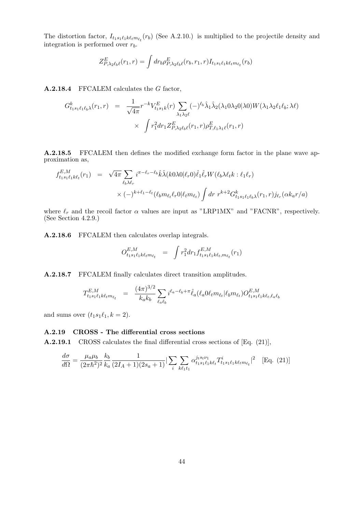The distortion factor,  $I_{t_1s_1\ell_1k\elltm_{\ell_t}}(r_b)$  (See A.2.10.) is multiplied to the projectile density and integration is performed over  $r_b$ .

$$
Z^{E}_{P,\lambda_2\ell_b\ell}(r_1,r)=\int dr_b \rho^E_{P,\lambda_2\ell_b\ell}(r_b,r_1,r)I_{t_1s_1\ell_1k\ell_t m_{\ell_t}}(r_b)
$$

A.2.18.4 FFCALEM calculates the G factor,

$$
G_{t_1s_1\ell_1\ell_b\lambda}^k(r_1,r) = \frac{1}{\sqrt{4\pi}} r^{-k} V_{t_1s_1k}^E(r) \sum_{\lambda_1\lambda_2\ell} (-)^{\ell_b} \hat{\lambda}_1 \hat{\lambda}_2(\lambda_1 0 \lambda_2 0 | \lambda 0) W(\lambda_1 \lambda_2 \ell_1 \ell_b; \lambda \ell) \times \int r_1^2 dr_1 Z_{P,\lambda_2\ell_b\ell}^E(r_1,r) \rho_{T,\ell_1\lambda_1\ell}^E(r_1,r)
$$

A.2.18.5 FFCALEM then defines the modified exchange form factor in the plane wave approximation as,

$$
f_{t_1s_1\ell_1k\ell_t}^{E,M}(r_1) = \sqrt{4\pi} \sum_{\ell_b\lambda\ell_r} i^{\pi-\ell_r-\ell_b} \hat{k}\hat{\lambda}(k0\lambda 0|\ell_r 0) \hat{\ell}_1 \hat{\ell}_r W(\ell_b\lambda\ell_t k : \ell_1\ell_r)
$$
  
 
$$
\times (-)^{k+\ell_1-\ell_t} (\ell_b m_{\ell_t}\ell_r 0|\ell_t m_{\ell_t}) \int dr \ r^{k+2} G_{t_1s_1\ell_1\ell_b\lambda}^k(r_1, r) j_{\ell_r}(\alpha k_a r/a)
$$

where  $\ell_r$  and the recoil factor  $\alpha$  values are input as "LRP1MX" and "FACNR", respectively. (See Section 4.2.9.)

A.2.18.6 FFCALEM then calculates overlap integrals.

$$
O_{t_1 s_1 \ell_1 k \ell_t m_{\ell_t}}^{E, M} = \int r_1^2 dr_1 f_{t_1 s_1 \ell_1 k \ell_t, m_{\ell_t}}^{E, M}(r_1)
$$

A.2.18.7 FFCALEM finally calculates direct transition amplitudes.

$$
T_{t_1s_1\ell_1k\ell_t m_{\ell_t}}^{E,M} \quad = \quad \frac{(4\pi)^{3/2}}{k_ak_b} \sum_{\ell_a\ell_b} i^{\ell_a - \ell_b + \pi} \hat{\ell}_a(\ell_a 0 \ell_t m_{\ell_t} | \ell_b m_{\ell_t}) O_{t_1s_1\ell_1k\ell_t, \ell_a\ell_b}^{E,M}
$$

and sums over  $(t_1s_1\ell_1, k = 2)$ .

#### A.2.19 CROSS - The differential cross sections

A.2.19.1 CROSS calculates the final differential cross sections of [Eq. (21)],

$$
\frac{d\sigma}{d\Omega} = \frac{\mu_a \mu_b}{(2\pi\hbar^2)^2} \frac{k_b}{k_a} \frac{1}{(2I_A + 1)(2s_a + 1)} \left| \sum_i \sum_{k\ell_1 i_1} \alpha_{t_1 s_1 \ell_1 k \ell_t}^{j_t s_t \nu_1} T_{t_1 s_1 \ell_1 k \ell_t m_{\ell_t}}^i \right|^2 \quad \text{[Eq. (21)]}
$$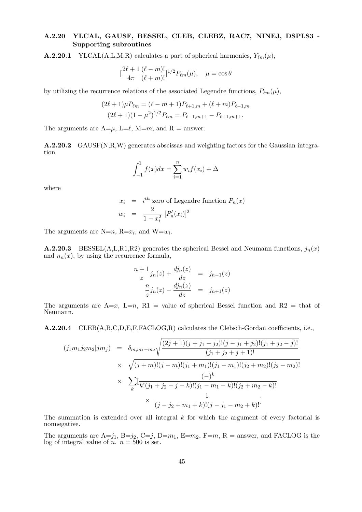#### A.2.20 YLCAL, GAUSF, BESSEL, CLEB, CLEBZ, RAC7, NINEJ, DSPLS3 - Supporting subroutines

**A.2.20.1** YLCAL(A,L,M,R) calculates a part of spherical harmonics,  $Y_{\ell m}(\mu)$ ,

$$
\left[\frac{2\ell+1}{4\pi} \frac{(\ell-m)!}{(\ell+m)!}\right]^{1/2} P_{\ell m}(\mu), \quad \mu = \cos \theta
$$

by utilizing the recurrence relations of the associated Legendre functions,  $P_{\ell m}(\mu)$ ,

$$
(2\ell+1)\mu P_{\ell m} = (\ell - m + 1)P_{\ell+1,m} + (\ell + m)P_{\ell-1,m}
$$
  

$$
(2\ell+1)(1 - \mu^2)^{1/2}P_{\ell m} = P_{\ell-1,m+1} - P_{\ell+1,m+1}.
$$

The arguments are  $A=\mu$ ,  $L=\ell$ ,  $M=m$ , and  $R =$  answer.

A.2.20.2 GAUSF(N,R,W) generates abscissas and weighting factors for the Gaussian integration

$$
\int_{-1}^{1} f(x)dx = \sum_{i=1}^{n} w_i f(x_i) + \Delta
$$

where

$$
x_i = i^{th} \text{ zero of Legendre function } P_n(x)
$$
  

$$
w_i = \frac{2}{1 - x_i^2} [P'_n(x_i)]^2
$$

The arguments are N=n, R= $x_i$ , and W= $w_i$ .

**A.2.20.3** BESSEL(A,L,R1,R2) generates the spherical Bessel and Neumann functions,  $j_n(x)$ and  $n_n(x)$ , by using the recurrence formula,

$$
\frac{n+1}{z}j_n(z) + \frac{dj_n(z)}{dz} = j_{n-1}(z)
$$

$$
\frac{n}{z}j_n(z) - \frac{dj_n(z)}{dz} = j_{n+1}(z)
$$

The arguments are  $A=x$ ,  $L=n$ ,  $R1 =$  value of spherical Bessel function and  $R2 =$  that of Neumann.

A.2.20.4 CLEB(A,B,C,D,E,F,FACLOG,R) calculates the Clebsch-Gordan coefficients, i.e.,

$$
(j_1m_1j_2m_2|jm_j) = \delta_{m,m_1+m_2} \sqrt{\frac{(2j+1)(j+j_1-j_2)!(j-j_1+j_2)!(j_1+j_2-j)!}{(j_1+j_2+j+1)!}}
$$
  
 
$$
\times \sqrt{(j+m)!(j-m)!(j_1+m_1)!(j_1-m_1)!(j_2+m_2)!(j_2-m_2)!}
$$
  
 
$$
\times \sum_{k} \left[ \frac{(-)^k}{k!(j_1+j_2-j-k)!(j_1-m_1-k)!(j_2+m_2-k)!} \right]
$$
  
 
$$
\times \frac{1}{(j-j_2+m_1+k)!(j-j_1-m_2+k)!}
$$

The summation is extended over all integral  $k$  for which the argument of every factorial is nonnegative.

The arguments are  $A=j_1$ ,  $B=j_2$ ,  $C=j$ ,  $D=m_1$ ,  $E=m_2$ ,  $F=m$ ,  $R =$  answer, and FACLOG is the log of integral value of  $n. n = 500$  is set.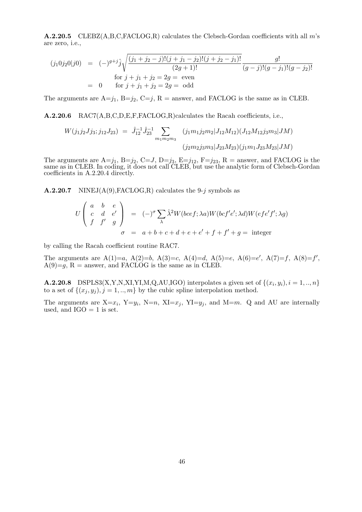**A.2.20.5** CLEBZ( $A, B, C, FACLOG, R$ ) calculates the Clebsch-Gordan coefficients with all m's are zero, i.e.,

$$
(j_1 0j_2 0|j0) = (-)^{g+j} \hat{j} \sqrt{\frac{(j_1 + j_2 - j)!(j + j_1 - j_2)!(j + j_2 - j_1)!}{(2g + 1)!}} \frac{g!}{(g - j)!(g - j_1)!(g - j_2)!}
$$
  
\nfor  $j + j_1 + j_2 = 2g$  = even  
\n
$$
= 0 \quad \text{for } j + j_1 + j_2 = 2g
$$
 = odd

The arguments are  $A=j_1$ ,  $B=j_2$ ,  $C=j$ ,  $R =$  answer, and FACLOG is the same as in CLEB.

A.2.20.6 RAC7(A,B,C,D,E,F,FACLOG,R)calculates the Racah coefficients, i.e.,

$$
W(j_1 j_2 J j_3; j_{12} J_{23}) = \hat{J}_{12}^{-1} \hat{J}_{23}^{-1} \sum_{m_1 m_2 m_3} (j_1 m_1 j_2 m_2 |J_{12} M_{12}) (J_{12} M_{12} j_3 m_3 |JM)
$$
  

$$
(j_2 m_2 j_3 m_3 |J_{23} M_{23}) (j_1 m_1 J_{23} M_{23} |JM)
$$

The arguments are  $A=j_1$ ,  $B=j_2$ ,  $C=J$ ,  $D=j_3$ ,  $E=j_{12}$ ,  $F=j_{23}$ ,  $R =$  answer, and FACLOG is the same as in CLEB. In coding, it does not call CLEB, but use the analytic form of Clebsch-Gordan coefficients in A.2.20.4 directly.

**A.2.20.7** NINEJ $(A(9), \text{FACLOG}, R)$  calculates the 9-j symbols as

$$
U\begin{pmatrix} a & b & e \ c & d & e' \ f & f' & g \end{pmatrix} = (-)^{\sigma} \sum_{\lambda} \hat{\lambda}^{2} W(bcf; \lambda a) W(bcf'e'; \lambda d) W(efe'f'; \lambda g)
$$

$$
\sigma = a + b + c + d + e + e' + f + f' + g = \text{integer}
$$

by calling the Racah coefficient routine RAC7.

The arguments are  $A(1)=a$ ,  $A(2)=b$ ,  $A(3)=c$ ,  $A(4)=d$ ,  $A(5)=e$ ,  $A(6)=e'$ ,  $A(7)=f$ ,  $A(8)=f'$ ,  $A(9)=g$ ,  $R =$  answer, and FACLOG is the same as in CLEB.

**A.2.20.8** DSPLS3(X,Y,N,XI,YI,M,Q,AU,IGO) interpolates a given set of  $\{(x_i, y_i), i = 1, ..., n\}$ to a set of  $\{(x_j, y_j), j = 1, ..., m\}$  by the cubic spline interpolation method.

The arguments are  $X=x_i$ ,  $Y=y_i$ ,  $N=n$ ,  $XI=x_j$ ,  $YI=y_j$ , and  $M=m$ . Q and AU are internally used, and  $IGO = 1$  is set.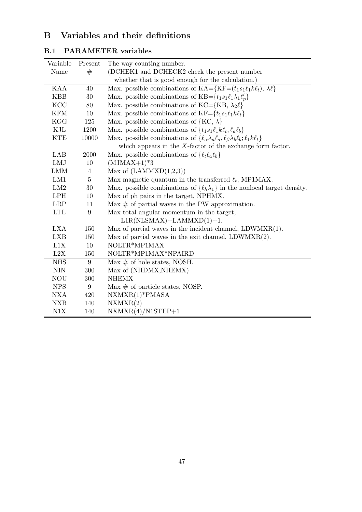## B Variables and their definitions

| Variable    | Present | The way counting number.                                                                                   |
|-------------|---------|------------------------------------------------------------------------------------------------------------|
| Name        | #       | (DCHEK1 and DCHECK2 check the present number                                                               |
|             |         | whether that is good enough for the calculation.)                                                          |
| <b>KAA</b>  | 40      | Max. possible combinations of $KA = \{KF = (t_1s_1\ell_1k\ell_t), \lambda\ell\}$                           |
| <b>KBB</b>  | 30      | Max. possible combinations of KB= $\{t_1s_1\ell_1\lambda_1\ell'_p\}$                                       |
| KCC         | 80      | Max. possible combinations of KC={KB, $\lambda_2 \ell$ }                                                   |
| <b>KFM</b>  | 10      | Max. possible combinations of $KF = \{t_1s_1\ell_1k\ell_t\}$                                               |
| <b>KGG</b>  | 125     | Max. possible combinations of ${KC, \lambda}$                                                              |
| KJL         | 1200    | Max. possible combinations of $\{t_1s_1\ell_1k\ell_t,\ell_a\ell_b\}$                                       |
| <b>KTE</b>  | 10000   | Max. possible combinations of $\{\ell_{\alpha}\lambda_a\ell_a,\ell_{\beta}\lambda_b\ell_b;\ell_1k\ell_t\}$ |
|             |         | which appears in the $X$ -factor of the exchange form factor.                                              |
| LAB         | 2000    | Max. possible combinations of $\{\ell_t\ell_a\ell_b\}$                                                     |
| LMJ         | 10      | $(MJMAX+1)*3$                                                                                              |
| <b>LMM</b>  | 4       | Max of $(LAMMXD(1,2,3))$                                                                                   |
| LM1         | $\bf 5$ | Max magnetic quantum in the transferred $\ell_t$ , MP1MAX.                                                 |
| LM2         | 30      | Max. possible combinations of $\{\ell_h \lambda_1\}$ in the nonlocal target density.                       |
| <b>LPH</b>  | 10      | Max of ph pairs in the target, NPHMX.                                                                      |
| <b>LRP</b>  | 11      | Max $\#$ of partial waves in the PW approximation.                                                         |
| ${\rm LTL}$ | 9       | Max total angular momentum in the target,                                                                  |
|             |         | $L1R(NLSMAX) + LAMMXD(1) + 1.$                                                                             |
| <b>LXA</b>  | 150     | Max of partial waves in the incident channel, $LDWMXR(1)$ .                                                |
| <b>LXB</b>  | 150     | Max of partial waves in the exit channel, $LDWMXR(2)$ .                                                    |
| L1X         | 10      | NOLTR*MP1MAX                                                                                               |
| L2X         | 150     | NOLTR*MP1MAX*NPAIRD                                                                                        |
| <b>NHS</b>  | 9       | $\overline{\text{Max}}$ # of hole states, NOSH.                                                            |
| <b>NIN</b>  | 300     | Max of (NHDMX, NHEMX)                                                                                      |
| <b>NOU</b>  | 300     | <b>NHEMX</b>                                                                                               |
| <b>NPS</b>  | 9       | Max $\#$ of particle states, NOSP.                                                                         |
| <b>NXA</b>  | 420     | $NXMXR(1)*PMASA$                                                                                           |
| <b>NXB</b>  | 140     | NXMXR(2)                                                                                                   |
| N1X         | 140     | $NXMXR(4)/N1STEP+1$                                                                                        |

### B.1 PARAMETER variables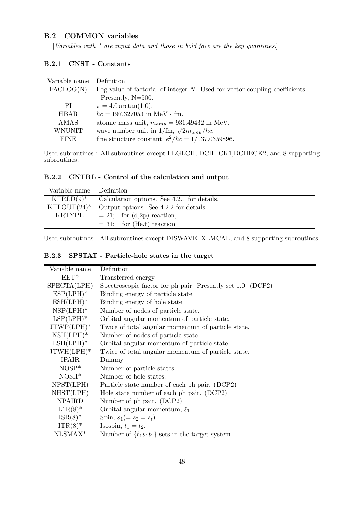#### B.2 COMMON variables

[Variables with  $*$  are input data and those in bold face are the key quantities.]

| Variable name      | Definition                                                                     |
|--------------------|--------------------------------------------------------------------------------|
| $\text{FACLOG}(N)$ | Log value of factorial of integer $N$ . Used for vector coupling coefficients. |
|                    | Presently, N=500.                                                              |
| РI                 | $\pi = 4.0 \arctan(1.0).$                                                      |
| <b>HBAR</b>        | $\hbar c = 197.327053$ in MeV $\cdot$ fm.                                      |
| AMAS               | atomic mass unit, $m_{amu} = 931.49432$ in MeV.                                |
| <b>WNUNIT</b>      | wave number unit in 1/fm, $\sqrt{2m_{amu}}/\hbar c$ .                          |
| <b>FINE</b>        | fine structure constant, $e^2/\hbar c = 1/137.0359896$ .                       |

#### B.2.1 CNST - Constants

Used subroutines : All subroutines except FLGLCH, DCHECK1,DCHECK2, and 8 supporting subroutines.

B.2.2 CNTRL - Control of the calculation and output

| Variable name Definition |                                             |
|--------------------------|---------------------------------------------|
| $KTRLD(9)^*$             | Calculation options. See 4.2.1 for details. |
| $KTLOUT(24)^*$           | Output options. See 4.2.2 for details.      |
| <b>KRTYPE</b>            | $= 21$ ; for $(d,2p)$ reaction,             |
|                          | $= 31$ : for (He,t) reaction                |

Used subroutines : All subroutines except DISWAVE, XLMCAL, and 8 supporting subroutines.

|  | B.2.3 SPSTAT - Particle-hole states in the target |  |  |  |
|--|---------------------------------------------------|--|--|--|
|  |                                                   |  |  |  |

| Variable name | Definition                                                  |
|---------------|-------------------------------------------------------------|
| $EET^*$       | Transferred energy                                          |
| SPECTA(LPH)   | Spectroscopic factor for ph pair. Presently set 1.0. (DCP2) |
| $ESP(LPH)^*$  | Binding energy of particle state.                           |
| $ESH(LPH)^*$  | Binding energy of hole state.                               |
| $NSP(LPH)^*$  | Number of nodes of particle state.                          |
| $LSP(LPH)^*$  | Orbital angular momentum of particle state.                 |
| $JTWP(LPH)^*$ | Twice of total angular momentum of particle state.          |
| $NSH(LPH)^*$  | Number of nodes of particle state.                          |
| $LSH(LPH)^*$  | Orbital angular momentum of particle state.                 |
| $JTWH(LPH)^*$ | Twice of total angular momentum of particle state.          |
| <b>IPAIR</b>  | Dummy                                                       |
| $NOSP^*$      | Number of particle states.                                  |
| $NOSH*$       | Number of hole states.                                      |
| NPST(LPH)     | Particle state number of each ph pair. (DCP2)               |
| NHST(LPH)     | Hole state number of each ph pair. (DCP2)                   |
| <b>NPAIRD</b> | Number of ph pair. (DCP2)                                   |
| $L1R(8)$ *    | Orbital angular momentum, $\ell_1$ .                        |
| $ISR(8)^*$    | Spin, $s_1 (= s_2 = s_t)$ .                                 |
| $ITR(8)$ *    | Isospin, $t_1 = t_2$ .                                      |
| $NLSMAX*$     | Number of $\{\ell_1s_1t_1\}$ sets in the target system.     |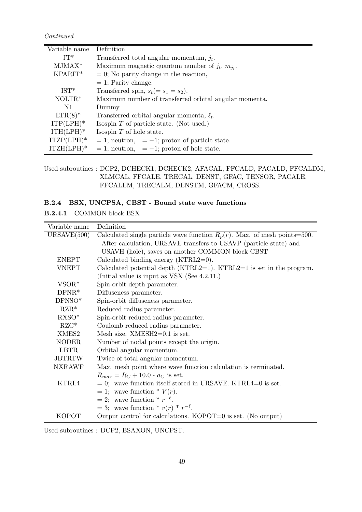Continued

| Variable name     | Definition                                             |
|-------------------|--------------------------------------------------------|
| $JT^*$            | Transferred total angular momentum, $j_t$ .            |
| $MJMAX*$          | Maximum magnetic quantum number of $j_t$ , $m_{jt}$ .  |
| KPARIT*           | $= 0$ ; No parity change in the reaction,              |
|                   | $= 1$ ; Parity change.                                 |
| $IST*$            | Transferred spin, $s_t (= s_1 = s_2)$ .                |
| $NOLTR*$          | Maximum number of transferred orbital angular momenta. |
| N1                | Dummy                                                  |
| $\text{LTR}(8)^*$ | Transferred orbital angular momenta, $\ell_t$ .        |
| $ITP(LPH)^*$      | Isospin $T$ of particle state. (Not used.)             |
| $ITH(LPH)*$       | Isospin $T$ of hole state.                             |
| $ITZP(LPH)^*$     | $= 1$ ; neutron, $= -1$ ; proton of particle state.    |
| $ITZH(LPH)^*$     | $= 1$ ; neutron, $= -1$ ; proton of hole state.        |

Used subroutines : DCP2, DCHECK1, DCHECK2, AFACAL, FFCALD, PACALD, FFCALDM, XLMCAL, FFCALE, TRECAL, DENST, GFAC, TENSOR, PACALE, FFCALEM, TRECALM, DENSTM, GFACM, CROSS.

### B.2.4 BSX, UNCPSA, CBST - Bound state wave functions

B.2.4.1 COMMON block BSX

| Variable name | Definition                                                                   |
|---------------|------------------------------------------------------------------------------|
| URSAVE(500)   | Calculated single particle wave function $R_p(r)$ . Max. of mesh points=500. |
|               | After calculation, URSAVE transfers to USAVP (particle state) and            |
|               | USAVH (hole), saves on another COMMON block CBST                             |
| <b>ENEPT</b>  | Calculated binding energy $(KTRL2=0)$ .                                      |
| <b>VNEPT</b>  | Calculated potential depth ( $KTRL2=1$ ). $KTRL2=1$ is set in the program.   |
|               | (Initial value is input as VSX (See 4.2.11.)                                 |
| $VSOR*$       | Spin-orbit depth parameter.                                                  |
| $DFNR^*$      | Diffuseness parameter.                                                       |
| $DFNSO*$      | Spin-orbit diffuseness parameter.                                            |
| $RZR^*$       | Reduced radius parameter.                                                    |
| $RXSO^*$      | Spin-orbit reduced radius parameter.                                         |
| $RZC^*$       | Coulomb reduced radius parameter.                                            |
| XMES2         | Mesh size. $XMESH2=0.1$ is set.                                              |
| <b>NODER</b>  | Number of nodal points except the origin.                                    |
| <b>LBTR</b>   | Orbital angular momentum.                                                    |
| <b>JBTRTW</b> | Twice of total angular momentum.                                             |
| <b>NXRAWF</b> | Max. mesh point where wave function calculation is terminated.               |
|               | $R_{max} = R_C + 10.0 * a_C$ is set.                                         |
| KTRL4         | $= 0$ ; wave function itself stored in URSAVE. KTRL4=0 is set.               |
|               | $= 1$ ; wave function $* V(r)$ .                                             |
|               | $= 2$ ; wave function $* r^{-\ell}$ .                                        |
|               | $=$ 3; wave function * $v(r)$ * $r^{-\ell}$ .                                |
| <b>KOPOT</b>  | Output control for calculations. $KOPOT=0$ is set. (No output)               |

Used subroutines : DCP2, BSAXON, UNCPST.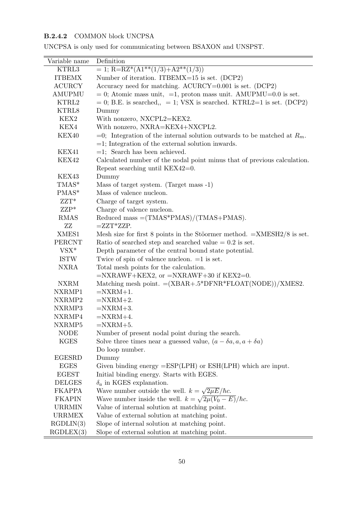### B.2.4.2 COMMON block UNCPSA

| Variable name | Definition                                                                    |
|---------------|-------------------------------------------------------------------------------|
| KTRL3         | $= 1$ ; R=RZ*(A1**(1/3)+A2**(1/3))                                            |
| <b>ITBEMX</b> | Number of iteration. ITBEMX=15 is set. (DCP2)                                 |
| <b>ACURCY</b> | Accuracy need for matching. $ACURCY=0.001$ is set. $(DCP2)$                   |
| AMUPMU        | $= 0$ ; Atomic mass unit, $=1$ , proton mass unit. AMUPMU=0.0 is set.         |
| KTRL2         | $= 0$ ; B.E. is searched, $= 1$ ; VSX is searched. KTRL2=1 is set. (DCP2)     |
| KTRL8         | Dummy                                                                         |
| KEX2          | With nonzero, NXCPL2=KEX2.                                                    |
| KEX4          | With nonzero, NXRA=KEX4+NXCPL2.                                               |
| KEX40         | $=0$ ; Integration of the internal solution outwards to be matched at $R_m$ . |
|               | $=$ 1; Integration of the external solution inwards.                          |
| KEX41         | $=1$ ; Search has been achieved.                                              |
| KEX42         | Calculated number of the nodal point minus that of previous calculation.      |
|               | Repeat searching until KEX42=0.                                               |
| KEX43         | Dummy                                                                         |
| TMAS*         | Mass of target system. (Target mass -1)                                       |
| PMAS*         | Mass of valence nucleon.                                                      |
| $ZZT^*$       | Charge of target system.                                                      |
| $ZZP*$        | Charge of valence nucleon.                                                    |
| <b>RMAS</b>   | Reduced mass $=(\text{TMAS*PMAS})/(\text{TMAS}+\text{PMAS}).$                 |
| ZZ            | $=ZZT^*ZZP$                                                                   |
| XMES1         | Mesh size for first 8 points in the Stöormer method. $=XMESH2/8$ is set.      |
| PERCNT        | Ratio of searched step and searched value $= 0.2$ is set.                     |
| $VSX*$        | Depth parameter of the central bound state potential.                         |
| <b>ISTW</b>   | Twice of spin of valence nucleon. $=1$ is set.                                |
| <b>NXRA</b>   | Total mesh points for the calculation.                                        |
|               | $=NXRAWF+KEX2$ , or $=NXRAWF+30$ if $KEX2=0$ .                                |
| <b>NXRM</b>   | Matching mesh point. $=(XBAR+.5*DFNR*FLOAT(NODE))/XMES2$ .                    |
| NXRMP1        | $=NXRM+1.$                                                                    |
| NXRMP2        | $=NXRM+2.$                                                                    |
| NXRMP3        | $=NXRM+3.$                                                                    |
| NXRMP4        | $=NXRM+4.$                                                                    |
| NXRMP5        | $=NXRM+5.$                                                                    |
| <b>NODE</b>   | Number of present nodal point during the search.                              |
| <b>KGES</b>   | Solve three times near a guessed value, $(a - \delta a, a, a + \delta a)$     |
|               | Do loop number.                                                               |
| EGESRD        | Dummy                                                                         |
| <b>EGES</b>   | Given binding energy $=$ ESP(LPH) or ESH(LPH) which are input.                |
| <b>EGEST</b>  | Initial binding energy. Starts with EGES.                                     |
| <b>DELGES</b> | $\delta_a$ in KGES explanation.                                               |
| <b>FKAPPA</b> | Wave number outside the well. $k = \sqrt{2\mu E}/\hbar c$ .                   |
| <b>FKAPIN</b> | Wave number inside the well. $k = \sqrt{2\mu(V_0 - E)}/\hbar c$ .             |
| <b>URRMIN</b> | Value of internal solution at matching point.                                 |
| URRMEX        | Value of external solution at matching point.                                 |
| RGDLIN(3)     | Slope of internal solution at matching point.                                 |
| RGDLEX(3)     | Slope of external solution at matching point.                                 |

UNCPSA is only used for communicating between BSAXON and UNSPST.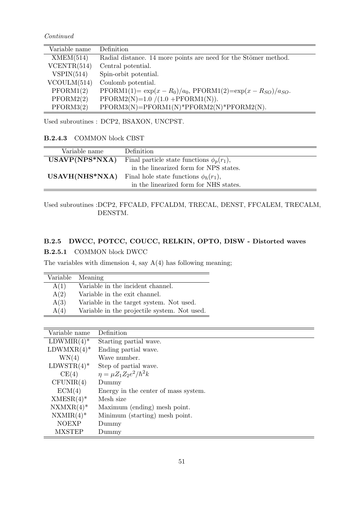Continued

| Variable name | Definition                                                                          |
|---------------|-------------------------------------------------------------------------------------|
| XMEM(514)     | Radial distance. 14 more points are need for the Stömer method.                     |
| VCENTR(514)   | Central potential.                                                                  |
| VSPIN(514)    | Spin-orbit potential.                                                               |
| VCOULM(514)   | Coulomb potential.                                                                  |
| PFORM1(2)     | $\text{PFORM1}(1) = \exp(x - R_0)/a_0, \text{PFORM1}(2) = \exp(x - R_{SO})/a_{SO}.$ |
| PFORM2(2)     | $PFORM2(N)=1.0 / (1.0 + PFORM1(N)).$                                                |
| PFORM3(2)     | $PFORM3(N)=PFORM1(N)*PFORM2(N)*PFORM2(N).$                                          |

Used subroutines : DCP2, BSAXON, UNCPST.

B.2.4.3 COMMON block CBST

| Variable name    | Definition                                     |
|------------------|------------------------------------------------|
| $USAVP(NPS*NXA)$ | Final particle state functions $\phi_p(r_1)$ , |
|                  | in the linearized form for NPS states.         |
| $USAVH(NHS*NXA)$ | Final hole state functions $\phi_h(r_1)$ ,     |
|                  | in the linearized form for NHS states.         |

#### Used subroutines :DCP2, FFCALD, FFCALDM, TRECAL, DENST, FFCALEM, TRECALM, DENSTM.

### B.2.5 DWCC, POTCC, COUCC, RELKIN, OPTO, DISW - Distorted waves

B.2.5.1 COMMON block DWCC

The variables with dimension 4, say  $A(4)$  has following meaning;

| Variable | Meaning                                      |
|----------|----------------------------------------------|
| A(1)     | Variable in the incident channel.            |
| A(2)     | Variable in the exit channel.                |
| A(3)     | Variable in the target system. Not used.     |
| A(4)     | Variable in the projectile system. Not used. |
|          |                                              |

| $LDWMIR(4)$ <sup>*</sup><br>Starting partial wave.<br>$LDWMXR(4)$ *<br>Ending partial wave.<br>WN(4)<br>Wave number.<br>$LDWSTR(4)$ *<br>Step of partial wave.<br>$\eta = \mu Z_1 Z_2 e^2/\hbar^2 k$<br>CE(4)<br>CFUNIR(4)<br>Dummy<br>ECM(4)<br>Energy in the center of mass system. |
|---------------------------------------------------------------------------------------------------------------------------------------------------------------------------------------------------------------------------------------------------------------------------------------|
|                                                                                                                                                                                                                                                                                       |
|                                                                                                                                                                                                                                                                                       |
|                                                                                                                                                                                                                                                                                       |
|                                                                                                                                                                                                                                                                                       |
|                                                                                                                                                                                                                                                                                       |
|                                                                                                                                                                                                                                                                                       |
|                                                                                                                                                                                                                                                                                       |
| $XMESR(4)$ <sup>*</sup><br>Mesh size                                                                                                                                                                                                                                                  |
| $NXMXR(4)*$<br>Maximum (ending) mesh point.                                                                                                                                                                                                                                           |
| $NXMIR(4)$ <sup>*</sup><br>Minimum (starting) mesh point.                                                                                                                                                                                                                             |
| <b>NOEXP</b><br>Dummy                                                                                                                                                                                                                                                                 |
| <b>MXSTEP</b><br>Dummy                                                                                                                                                                                                                                                                |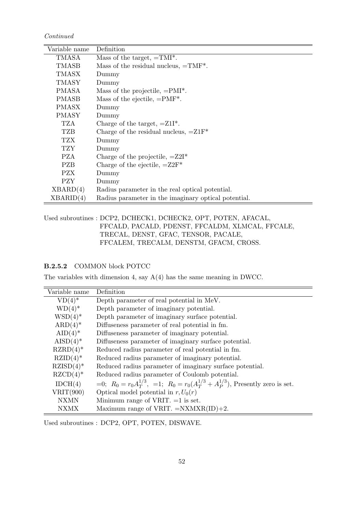Continued

| Variable name | Definition                                           |
|---------------|------------------------------------------------------|
| TMASA         | Mass of the target, $=TMI^*$ .                       |
| TMASB         | Mass of the residual nucleus, $=TMF^*$ .             |
| TMASX         | Dummy                                                |
| TMASY         | Dummy                                                |
| PMASA         | Mass of the projectile, $=PMI^*$ .                   |
| PMASB         | Mass of the ejectile, $=PMF^*$ .                     |
| <b>PMASX</b>  | Dummy                                                |
| <b>PMASY</b>  | Dummy                                                |
| TZA           | Charge of the target, $=Z1I^*$ .                     |
| TZB           | Charge of the residual nucleus, $=Z1F^*$             |
| TZX           | Dummy                                                |
| TZY.          | Dummy                                                |
| <b>PZA</b>    | Charge of the projectile, $=Z2I^*$                   |
| <b>PZB</b>    | Charge of the ejectile, $=Z2F^*$                     |
| <b>PZX</b>    | Dummy                                                |
| <b>PZY</b>    | Dummy                                                |
| XBARD(4)      | Radius parameter in the real optical potential.      |
| XBARID(4)     | Radius parameter in the imaginary optical potential. |

Used subroutines : DCP2, DCHECK1, DCHECK2, OPT, POTEN, AFACAL, FFCALD, PACALD, PDENST, FFCALDM, XLMCAL, FFCALE, TRECAL, DENST, GFAC, TENSOR, PACALE, FFCALEM, TRECALM, DENSTM, GFACM, CROSS.

B.2.5.2 COMMON block POTCC

The variables with dimension 4, say A(4) has the same meaning in DWCC.

| Variable name          | Definition                                                                                         |
|------------------------|----------------------------------------------------------------------------------------------------|
| $VD(4)$ *              | Depth parameter of real potential in MeV.                                                          |
| $WD(4)$ <sup>*</sup>   | Depth parameter of imaginary potential.                                                            |
| $WSD(4)$ *             | Depth parameter of imaginary surface potential.                                                    |
| $ARD(4)^*$             | Diffuseness parameter of real potential in fm.                                                     |
| $AID(4)$ <sup>*</sup>  | Diffuseness parameter of imaginary potential.                                                      |
| $AISD(4)^*$            | Diffuseness parameter of imaginary surface potential.                                              |
| $RZRD(4)$ *            | Reduced radius parameter of real potential in fm.                                                  |
| $RZID(4)$ *            | Reduced radius parameter of imaginary potential.                                                   |
| $RZISD(4)$ *           | Reduced radius parameter of imaginary surface potential.                                           |
| $RZCD(4)$ <sup>*</sup> | Reduced radius parameter of Coulomb potential.                                                     |
| IDCH(4)                | $=0$ ; $R_0 = r_0 A_T^{1/3}$ , $=1$ ; $R_0 = r_0 (A_T^{1/3} + A_P^{1/3})$ , Presently zero is set. |
| VRIT(900)              | Optical model potential in $r, U_0(r)$                                                             |
| <b>NXMN</b>            | Minimum range of VRIT. $=1$ is set.                                                                |
| <b>NXMX</b>            | Maximum range of VRIT. $=NXMXR(ID)+2$ .                                                            |

Used subroutines : DCP2, OPT, POTEN, DISWAVE.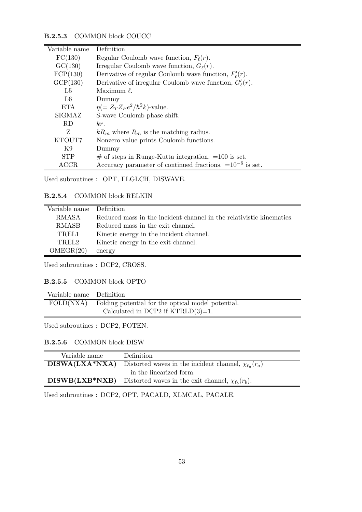#### B.2.5.3 COMMON block COUCC

| Variable name  | Definition                                                      |
|----------------|-----------------------------------------------------------------|
| FC(130)        | Regular Coulomb wave function, $F_{\ell}(r)$ .                  |
| GC(130)        | Irregular Coulomb wave function, $G_{\ell}(r)$ .                |
| FCP(130)       | Derivative of regular Coulomb wave function, $F'_{\ell}(r)$ .   |
| GCP(130)       | Derivative of irregular Coulomb wave function, $G'_{\ell}(r)$ . |
| L <sub>5</sub> | Maximum $\ell$ .                                                |
| L6             | Dummy                                                           |
| <b>ETA</b>     | $\eta = Z_T Z_P e^2/\hbar^2 k$ -value.                          |
| SIGMAZ         | S-wave Coulomb phase shift.                                     |
| RD             | kr.                                                             |
| Z              | $kR_m$ where $R_m$ is the matching radius.                      |
| KTOUT7         | Nonzero value prints Coulomb functions.                         |
| K9             | Dummy                                                           |
| <b>STP</b>     | $\#$ of steps in Runge-Kutta integration. $=100$ is set.        |
| $\rm{ACCR}$    | Accuracy parameter of continued fractions. $=10^{-6}$ is set.   |

Used subroutines : OPT, FLGLCH, DISWAVE.

B.2.5.4 COMMON block RELKIN

| Variable name Definition |                                                                      |
|--------------------------|----------------------------------------------------------------------|
| RMASA                    | Reduced mass in the incident channel in the relativistic kinematics. |
| RMASB                    | Reduced mass in the exit channel.                                    |
| TREL1                    | Kinetic energy in the incident channel.                              |
| TREL2                    | Kinetic energy in the exit channel.                                  |
| OMEGR(20)                | energy                                                               |

Used subroutines : DCP2, CROSS.

#### B.2.5.5 COMMON block OPTO

| Variable name Definition |                                                    |
|--------------------------|----------------------------------------------------|
| FOLD(NXA)                | Folding potential for the optical model potential. |
|                          | Calculated in DCP2 if $KTRLD(3)=1$ .               |

Used subroutines : DCP2, POTEN.

B.2.5.6 COMMON block DISW

| Variable name    | Definition                                                                          |
|------------------|-------------------------------------------------------------------------------------|
|                  | <b>DISWA(LXA*NXA)</b> Distorted waves in the incident channel, $\chi_{\ell_a}(r_a)$ |
|                  | in the linearized form.                                                             |
| $DISWB(LXB*NXB)$ | Distorted waves in the exit channel, $\chi_{\ell_b}(r_b)$ .                         |

Used subroutines : DCP2, OPT, PACALD, XLMCAL, PACALE.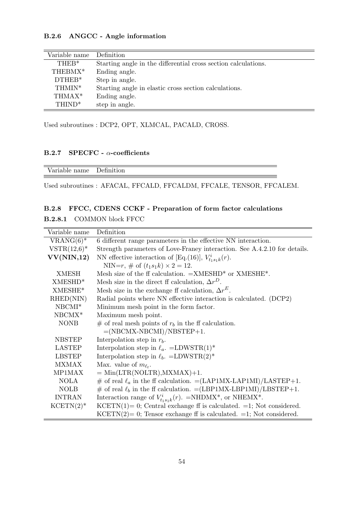#### B.2.6 ANGCC - Angle information

| $\overline{\text{Variable}}$ name | Definition                                                     |
|-----------------------------------|----------------------------------------------------------------|
| THE <sub>R</sub> *                | Starting angle in the differential cross section calculations. |
| THEBMX*                           | Ending angle.                                                  |
| $DTHEB*$                          | Step in angle.                                                 |
| THMIN*                            | Starting angle in elastic cross section calculations.          |
| THMAX <sup>*</sup>                | Ending angle.                                                  |
| THIND <sup>*</sup>                | step in angle.                                                 |

Used subroutines : DCP2, OPT, XLMCAL, PACALD, CROSS.

#### B.2.7 SPECFC -  $\alpha$ -coefficients

| --<br>. |
|---------|
|---------|

Used subroutines : AFACAL, FFCALD, FFCALDM, FFCALE, TENSOR, FFCALEM.

#### B.2.8 FFCC, CDENS CCKF - Preparation of form factor calculations

#### B.2.8.1 COMMON block FFCC

| Variable name       | Definition                                                                              |  |  |  |
|---------------------|-----------------------------------------------------------------------------------------|--|--|--|
| $VRANG(6)^*$        | 6 different range parameters in the effective NN interaction.                           |  |  |  |
| $VSTR(12,6)^*$      | Strength parameters of Love-Franey interaction. See A.4.2.10 for details.               |  |  |  |
| VV(NIN,12)          | NN effective interaction of [Eq.(16)], $V_{t_1s_1k}^i(r)$ .                             |  |  |  |
|                     | NIN=r, # of $(t_1s_1k) \times 2 = 12$ .                                                 |  |  |  |
| XMESH               | Mesh size of the ff calculation. $=\text{XMESHD}^*$ or $\text{XMESHE}^*$ .              |  |  |  |
| XMESHD <sup>*</sup> | Mesh size in the direct ff calculation, $\Delta r^D$ .                                  |  |  |  |
| XMESHE*             | Mesh size in the exchange ff calculation, $\Delta r^E$ .                                |  |  |  |
| RHED(NIN)           | Radial points where NN effective interaction is calculated. (DCP2)                      |  |  |  |
| $NBCMI*$            | Minimum mesh point in the form factor.                                                  |  |  |  |
| $NBCMX*$            | Maximum mesh point.                                                                     |  |  |  |
| <b>NONB</b>         | # of real mesh points of $r_b$ in the ff calculation.                                   |  |  |  |
|                     | $=(NBCMX-NBCMI)/NBSTEP+1.$                                                              |  |  |  |
| <b>NBSTEP</b>       | Interpolation step in $r_b$ .                                                           |  |  |  |
| <b>LASTEP</b>       | Interpolation step in $\ell_a$ . =LDWSTR(1)*                                            |  |  |  |
| <b>LBSTEP</b>       | Interpolation step in $\ell_b$ . =LDWSTR(2)*                                            |  |  |  |
| <b>MXMAX</b>        | Max. value of $m_{\ell_t}$ .                                                            |  |  |  |
| MP1MAX              | $=$ Min(LTR(NOLTR), MXMAX)+1.                                                           |  |  |  |
| <b>NOLA</b>         | $\#$ of real $\ell_a$ in the ff calculation. $=(LAP1MX-LAP1MI)/LASTEP+1$ .              |  |  |  |
| <b>NOLB</b>         | # of real $\ell_b$ in the ff calculation. = (LBP1MX-LBP1MI)/LBSTEP+1.                   |  |  |  |
| <b>INTRAN</b>       | Interaction range of $V_{t_1s_1k}^i(r)$ . =NHDMX <sup>*</sup> , or NHEMX <sup>*</sup> . |  |  |  |
| $KCENTN(2)$ *       | $KCENT(1) = 0$ ; Central exchange ff is calculated. =1; Not considered.                 |  |  |  |
|                     | $KCENT(2) = 0$ ; Tensor exchange ff is calculated. =1; Not considered.                  |  |  |  |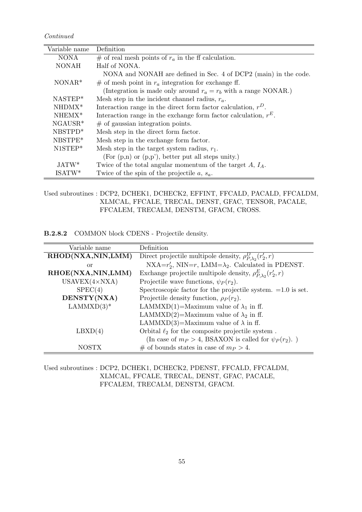Continued

| Variable name | Definition                                                         |
|---------------|--------------------------------------------------------------------|
| <b>NONA</b>   | # of real mesh points of $r_a$ in the ff calculation.              |
| <b>NONAH</b>  | Half of NONA.                                                      |
|               | NONA and NONAH are defined in Sec. 4 of DCP2 (main) in the code.   |
| $NONAR*$      | # of mesh point in $r_a$ integration for exchange ff.              |
|               | (Integration is made only around $r_a = r_b$ with a range NONAR.)  |
| $NASTEP*$     | Mesh step in the incident channel radius, $r_a$ .                  |
| $NHDMX^*$     | Interaction range in the direct form factor calculation, $r^D$ .   |
| $NHEMX*$      | Interaction range in the exchange form factor calculation, $r^E$ . |
| $NGAUSR*$     | $\#$ of gaussian integration points.                               |
| NBSTPD*       | Mesh step in the direct form factor.                               |
| NBSTPE*       | Mesh step in the exchange form factor.                             |
| N1STEP*       | Mesh step in the target system radius, $r_1$ .                     |
|               | (For $(p,n)$ or $(p,p')$ , better put all steps unity.)            |
| JATW*         | Twice of the total angular momentum of the target $A, I_A$ .       |
| $ISATW^*$     | Twice of the spin of the projectile $a, s_a$ .                     |

Used subroutines : DCP2, DCHEK1, DCHECK2, EFFINT, FFCALD, PACALD, FFCALDM, XLMCAL, FFCALE, TRECAL, DENST, GFAC, TENSOR, PACALE, FFCALEM, TRECALM, DENSTM, GFACM, CROSS.

B.2.8.2 COMMON block CDENS - Projectile density.

| Variable name         | Definition                                                            |
|-----------------------|-----------------------------------------------------------------------|
| RHOD(NXA,NIN,LMM)     | Direct projectile multipole density, $\rho_{P,\lambda_2}^D(r_2',r)$   |
| or                    | NXA= $r'_2$ , NIN= $r$ , LMM= $\lambda_2$ . Calculated in PDENST.     |
| RHOE(NXA,NIN,LMM)     | Exchange projectile multipole density, $\rho_{P\lambda_2}^E(r_2', r)$ |
| $USAVEX(4\times NXA)$ | Projectile wave functions, $\psi_P(r_2)$ .                            |
| SPEC(4)               | Spectroscopic factor for the projectile system. $=1.0$ is set.        |
| DENSTY(NXA)           | Projectile density function, $\rho_P(r_2)$ .                          |
| $LAMMXD(3)^*$         | LAMMXD(1)=Maximum value of $\lambda_1$ in ff.                         |
|                       | LAMMXD(2)=Maximum value of $\lambda_2$ in ff.                         |
|                       | LAMMXD(3)=Maximum value of $\lambda$ in ff.                           |
| $L\text{BXD}(4)$      | Orbital $\ell_2$ for the composite projectile system.                 |
|                       | (In case of $m_P > 4$ , BSAXON is called for $\psi_P(r_2)$ .)         |
| <b>NOSTX</b>          | # of bounds states in case of $m_P > 4$ .                             |

Used subroutines : DCP2, DCHEK1, DCHECK2, PDENST, FFCALD, FFCALDM, XLMCAL, FFCALE, TRECAL, DENST, GFAC, PACALE, FFCALEM, TRECALM, DENSTM, GFACM.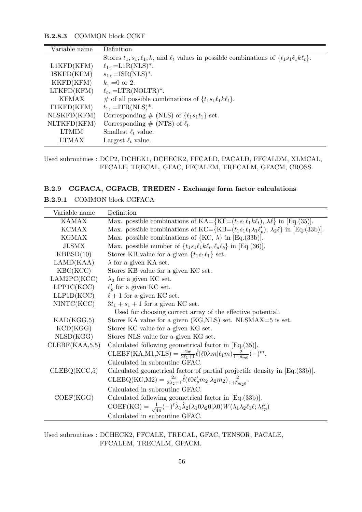#### B.2.8.3 COMMON block CCKF

| Variable name | Definition                                                                                                |
|---------------|-----------------------------------------------------------------------------------------------------------|
|               | Stores $t_1, s_1, \ell_1, k$ , and $\ell_t$ values in possible combinations of $\{t_1s_1\ell_1k\ell_t\}.$ |
| L1KFD(KFM)    | $\ell_1$ , =L1R(NLS) <sup>*</sup> .                                                                       |
| ISKFD(KFM)    | $s_1$ , =ISR(NLS) <sup>*</sup> .                                                                          |
| KKFD(KFM)     | $k, =0$ or 2.                                                                                             |
| LTKFD(KFM)    | $\ell_t$ , =LTR(NOLTR)*.                                                                                  |
| <b>KFMAX</b>  | # of all possible combinations of $\{t_1s_1\ell_1k\ell_t\}.$                                              |
| ITKFD(KFM)    | $t_1$ , =ITR(NLS) <sup>*</sup> .                                                                          |
| NLSKFD(KFM)   | Corresponding # (NLS) of $\{\ell_1s_1t_1\}$ set.                                                          |
| NLTKFD(KFM)   | Corresponding $\#$ (NTS) of $\ell_t$ .                                                                    |
| <b>LTMIM</b>  | Smallest $\ell_t$ value.                                                                                  |
| LTMAX         | Largest $\ell_t$ value.                                                                                   |

#### Used subroutines : DCP2, DCHEK1, DCHECK2, FFCALD, PACALD, FFCALDM, XLMCAL, FFCALE, TRECAL, GFAC, FFCALEM, TRECALM, GFACM, CROSS.

#### B.2.9 CGFACA, CGFACB, TREDEN - Exchange form factor calculations

| B.2.9.1 | <b>COMMON block CGFACA</b> |  |
|---------|----------------------------|--|
|         |                            |  |

| Variable name  | Definition                                                                                                                                               |
|----------------|----------------------------------------------------------------------------------------------------------------------------------------------------------|
| <b>KAMAX</b>   | Max. possible combinations of $KA = \{KF = (t_1s_1\ell_1k\ell_t), \lambda\ell\}$ in [Eq.(35)].                                                           |
| <b>KCMAX</b>   | Max. possible combinations of KC={KB= $(t_1s_1\ell_1\lambda_1\ell'_n)$ , $\lambda_2\ell$ } in [Eq.(33b)].                                                |
| <b>KGMAX</b>   | Max. possible combinations of ${KC, \lambda}$ in [Eq.(33b)].                                                                                             |
| <b>JLSMX</b>   | Max. possible number of $\{t_1s_1\ell_1k\ell_t,\ell_a\ell_b\}$ in [Eq.(36)].                                                                             |
| KBBSD(10)      | Stores KB value for a given $\{t_1s_1\ell_1\}$ set.                                                                                                      |
| LAND(KAA)      | $\lambda$ for a given KA set.                                                                                                                            |
| KBC(KCC)       | Stores KB value for a given KC set.                                                                                                                      |
| LAM2PC(KCC)    | $\lambda_2$ for a given KC set.                                                                                                                          |
| LPP1C(KCC)     | $\ell'_p$ for a given KC set.                                                                                                                            |
| LLP1D(KCC)     | $\ell+1$ for a given KC set.                                                                                                                             |
| NINTC(KCC)     | $3t_1 + s_1 + 1$ for a given KC set.                                                                                                                     |
|                | Used for choosing correct array of the effective potential.                                                                                              |
| KAD(KGG, 5)    | Stores KA value for a given (KG,NLS) set. NLSMAX=5 is set.                                                                                               |
| KCD(KGG)       | Stores KC value for a given KG set.                                                                                                                      |
| NLSD(KGG)      | Stores NLS value for a given KG set.                                                                                                                     |
| CLEBF(KAA,5,5) | Calculated following geometrical factor in $Eq.(35)$ .                                                                                                   |
|                | CLEBF(KA,M1,NLS) = $\frac{2\pi}{2\ell_1+1}\hat{\ell}(\ell_0\lambda m \ell_1 m) \frac{2}{1+\delta_{\min}}(-)^m$ .                                         |
|                | Calculated in subroutine GFAC.                                                                                                                           |
| CLEBQ(KCC,5)   | Calculated geometrical factor of partial projectile density in [Eq.(33b)].                                                                               |
|                | $\mathrm{CLEBQ(KC,M2)} = \frac{2\pi}{2\lambda_2+1}\hat{\ell}(\ell 0\ell'_p m_2 \lambda_2 m_2) \frac{2}{1+\delta_{\max}}.$                                |
|                | Calculated in subroutine GFAC.                                                                                                                           |
| COEF(KGG)      | Calculated following geometrical factor in $[Eq.(33b)].$                                                                                                 |
|                | COEF(KG) = $\frac{1}{\sqrt{4\pi}}(-)^{\ell}\hat{\lambda}_1\hat{\lambda}_2(\lambda_10\lambda_20 \lambda_0)W(\lambda_1\lambda_2\ell_1\ell;\lambda\ell'_p)$ |
|                | Calculated in subroutine GFAC.                                                                                                                           |

Used subroutines : DCHECK2, FFCALE, TRECAL, GFAC, TENSOR, PACALE, FFCALEM, TRECALM, GFACM.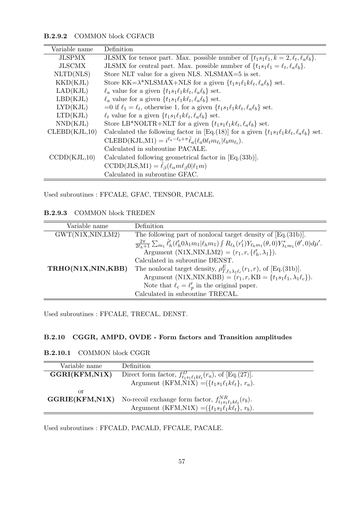#### B.2.9.2 COMMON block CGFACB

| Variable name            | Definition                                                                                            |
|--------------------------|-------------------------------------------------------------------------------------------------------|
| <b>JLSPMX</b>            | JLSMX for tensor part. Max. possible number of $\{t_1s_1\ell_1, k=2, \ell_t, \ell_a\ell_b\}.$         |
| <b>JLSCMX</b>            | JLSMX for central part. Max. possible number of $\{t_1s_1\ell_1 = \ell_t, \ell_a\ell_b\}.$            |
| NLTD(NLS)                | Store NLT value for a given NLS. NLSMAX=5 is set.                                                     |
| $\text{KKD}(\text{KJL})$ | Store KK= $\lambda^*$ NLSMAX+NLS for a given $\{t_1s_1\ell_1k\ell_t,\ell_a\ell_b\}$ set.              |
| LAD(KJL)                 | $\ell_a$ value for a given $\{t_1s_1\ell_1k\ell_t,\ell_a\ell_b\}$ set.                                |
| LBD(KJL)                 | $\ell_a$ value for a given $\{t_1s_1\ell_1k\ell_t,\ell_a\ell_b\}$ set.                                |
| LYD(KJL)                 | =0 if $\ell_1 = \ell_t$ , otherwise 1, for a given $\{t_1s_1\ell_1k\ell_t, \ell_a\ell_b\}$ set.       |
| LTD(KJL)                 | $\ell_t$ value for a given $\{t_1s_1\ell_1k\ell_t,\ell_a\ell_b\}$ set.                                |
| NND(KJL)                 | Store LB*NOLTR+NLT for a given $\{t_1s_1\ell_1k\ell_t,\ell_a\ell_b\}$ set.                            |
| CLEBD(KJL,10)            | Calculated the following factor in [Eq.(18)] for a given $\{t_1s_1\ell_1k\ell_t,\ell_a\ell_b\}$ set.  |
|                          | CLEBD(KJL,M1) = $i^{\ell_a-\ell_b+\pi} \hat{\ell}_a(\ell_a 0 \ell_t m_{\ell_t}   \ell_b m_{\ell_t}).$ |
|                          | Calculated in subroutine PACALE.                                                                      |
| CCDD(KJL,10)             | Calculated following geometrical factor in $Eq.(33b)$ .                                               |
|                          | $CCDD(JLS,M1) = \hat{\ell}_{\beta}(\ell_{\alpha}m\ell_{\beta}0 \ell_{1}m)$                            |
|                          | Calculated in subroutine GFAC.                                                                        |

Used subroutines : FFCALE, GFAC, TENSOR, PACALE.

#### B.2.9.3 COMMON block TREDEN

| Variable name     | Definition                                                                                                                                                       |
|-------------------|------------------------------------------------------------------------------------------------------------------------------------------------------------------|
| GWT(N1X,NIN,LM2)  | The following part of nonlocal target density of $Eq.(31b)$ .                                                                                                    |
|                   | $\frac{2\pi}{2\ell_b+1}\sum_{m_1}\hat{\ell}'_h(\ell'_h0\lambda_1m_1 \ell_h m_1)\int R_{\ell_h}(r'_1)Y_{\ell_h m_1}(\theta,0)Y_{\lambda_1m_1}^*(\theta',0)d\mu'.$ |
|                   | Argument (N1X,NIN,LM2) = $(r_1, r, \{\ell'_h, \lambda_1\})$ .                                                                                                    |
|                   | Calculated in subroutine DENST.                                                                                                                                  |
| TRHO(N1X,NIN,KBB) | The nonlocal target density, $\rho_{T,\ell_1\lambda_1\ell_c}^E(r_1,r)$ , of [Eq.(31b)].                                                                          |
|                   | Argument (N1X,NIN,KBB) = $(r_1, r, KB = \{t_1s_1\ell_1, \lambda_1\ell_c\}).$                                                                                     |
|                   | Note that $\ell_c = \ell'_p$ in the original paper.                                                                                                              |
|                   | Calculated in subroutine TRECAL.                                                                                                                                 |

Used subroutines : FFCALE, TRECAL, DENST.

#### B.2.10 CGGR, AMPD, OVDE - Form factors and Transition amplitudes

#### B.2.10.1 COMMON block CGGR

| Variable name | Definition                                                                                  |
|---------------|---------------------------------------------------------------------------------------------|
| GGRI(KFM,N1X) | Direct form factor, $f_{t_1 s_1 \ell_1 k \ell_t}^D(r_a)$ , of [Eq.(27)].                    |
|               | Argument (KFM, N1X) = $({t_1s_1t_1k\ell_t}, r_a)$ .                                         |
| or            |                                                                                             |
|               | <b>GGRIE(KFM,N1X)</b> No-recoil exchange form factor, $f_{t_1s_1\ell_1k\ell_t}^{NR}(r_b)$ . |
|               | Argument (KFM,N1X) = $({t_1s_1t_1k\ell_t}, r_b)$ .                                          |

Used subroutines : FFCALD, PACALD, FFCALE, PACALE.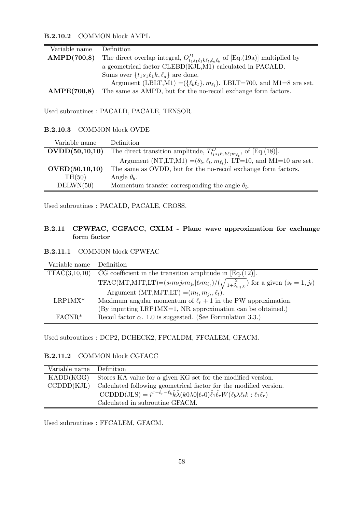B.2.10.2 COMMON block AMPL

| Variable name | Definition                                                                                        |
|---------------|---------------------------------------------------------------------------------------------------|
| AMPD(700,8)   | The direct overlap integral, $O_{t_1s_1\ell_1k\ell_t,\ell_a\ell_b}^D$ of [Eq.(19a)] multiplied by |
|               | a geometrical factor CLEBD(KJL,M1) calculated in PACALD.                                          |
|               | Sums over $\{t_1s_1\ell_1k, \ell_a\}$ are done.                                                   |
|               | Argument (LBLT,M1) = $({\ell_b \ell_t}, m_{\ell_t})$ . LBLT=700, and M1=8 are set.                |
| AMPE(700,8)   | The same as AMPD, but for the no-recoil exchange form factors.                                    |

Used subroutines : PACALD, PACALE, TENSOR.

B.2.10.3 COMMON block OVDE

| Variable name    | Definition                                                                              |
|------------------|-----------------------------------------------------------------------------------------|
| OVDD(50,10,10)   | The direct transition amplitude, $T_{t_1s_1\ell_1k\ell_t m_{\ell_t}}^D$ , of [Eq.(18)]. |
|                  | Argument (NT,LT,M1) = $(\theta_b, \ell_t, m_{\ell_t})$ . LT=10, and M1=10 are set.      |
| OVED(50, 10, 10) | The same as OVDD, but for the no-recoil exchange form factors.                          |
| TH(50)           | Angle $\theta_b$ .                                                                      |
| DELWN(50)        | Momentum transfer corresponding the angle $\theta_b$ .                                  |

Used subroutines : PACALD, PACALE, CROSS.

#### B.2.11 CPWFAC, CGFACC, CXLM - Plane wave approximation for exchange form factor

| <b>B.2.11.1</b> | <b>COMMON block CPWFAC</b> |  |  |
|-----------------|----------------------------|--|--|
|                 |                            |  |  |

| Variable name | Definition                                                                                                                      |
|---------------|---------------------------------------------------------------------------------------------------------------------------------|
| TFAC(3,10,10) | CG coefficient in the transition amplitude in $Eq.(12)$ .                                                                       |
|               | TFAC(MT,MJT,LT)= $(s_t m_t j_t m_{j_t}   \ell_t m_{\ell_t}) / (\sqrt{\frac{2}{1+\delta_{m_t,0}}})$ for a given $(s_t = 1, j_t)$ |
|               | Argument (MT,MJT,LT) = $(m_t, m_{i_t}, \ell_t)$ .                                                                               |
| $LRP1MX*$     | Maximum angular momentum of $\ell_r + 1$ in the PW approximation.                                                               |
|               | (By inputting LRP1MX=1, NR approximation can be obtained.)                                                                      |
| $FACTR*$      | Recoil factor $\alpha$ . 1.0 is suggested. (See Formulation 3.3.)                                                               |

Used subroutines : DCP2, DCHECK2, FFCALDM, FFCALEM, GFACM.

B.2.11.2 COMMON block CGFACC

| Variable name | Definition                                                                                                                                                         |
|---------------|--------------------------------------------------------------------------------------------------------------------------------------------------------------------|
| KADD(KGG)     | Stores KA value for a given KG set for the modified version.                                                                                                       |
| CCDDD(KJL)    | Calculated following geometrical factor for the modified version.                                                                                                  |
|               | $\text{CCDDD}(JLS) = i^{\pi - \ell_r - \ell_b} \hat{k} \hat{\lambda}(k0\lambda 0   \ell_r 0) \hat{\ell}_1 \hat{\ell}_r W(\ell_b \lambda \ell_t k : \ell_1 \ell_r)$ |
|               | Calculated in subroutine GFACM.                                                                                                                                    |

Used subroutines : FFCALEM, GFACM.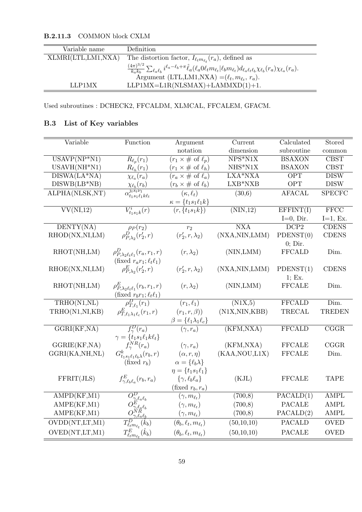| Variable name      | Definition                                                                                                                                                                                      |
|--------------------|-------------------------------------------------------------------------------------------------------------------------------------------------------------------------------------------------|
| XLMRI(LTL,LM1,NXA) | The distortion factor, $I_{\ell_t m_{\ell_t}}(r_a)$ , defined as                                                                                                                                |
|                    | $\frac{(4\pi)^{3/2}}{k_\alpha k_b}\sum_{\ell_a\ell_b}i^{\ell_a-\ell_b+\pi}\hat{\ell}_a(\ell_a 0\ell_t m_{\ell_t} \ell_b m_{\ell_t})d_{\ell_a\ell_t\ell_b}\chi_{\ell_b}(r_a)\chi_{\ell_a}(r_a).$ |
|                    | Argument (LTL, LM1, NXA) = $(\ell_t, m_{\ell_t}, r_a)$ .                                                                                                                                        |
| LLP1MX             | $LLP1MX=LIR(NLSMAX)+LAMMXD(1)+1.$                                                                                                                                                               |

B.2.11.3 COMMON block CXLM

Used subroutines : DCHECK2, FFCALDM, XLMCAL, FFCALEM, GFACM.

### B.3 List of Key variables

| Variable                                        | Function                                                                                      | Argument                                        | Current                      |                          | Stored                   |
|-------------------------------------------------|-----------------------------------------------------------------------------------------------|-------------------------------------------------|------------------------------|--------------------------|--------------------------|
|                                                 |                                                                                               | notation<br>dimension                           |                              | Calculated<br>subroutine | common                   |
| $\overline{\text{USAVP}(\text{NP}^*\text{N1})}$ | $R_{\ell_p}(r_1)$                                                                             | $(r_1 \times \# \text{ of } \ell_p)$            | $NPS^*N1X$                   | <b>BSAXON</b>            | <b>CBST</b>              |
| $USAVH(NH*N1)$                                  | $R_{\ell_h}(r_1)$                                                                             | $(r_1 \times \# \text{ of } \ell_h)$            | $NHS*N1X$                    | <b>BSAXON</b>            | $C\mathrm{BST}$          |
| $DISWA(LA*NA)$                                  | $\chi_{\ell_a}(r_a)$                                                                          | $(r_a \times \# \text{ of } \ell_a)$<br>LXA*NXA |                              | <b>OPT</b>               | <b>DISW</b>              |
| $DISWB(LB*NB)$                                  |                                                                                               | LXB*NXB<br>$(r_b \times \# \text{ of } \ell_b)$ |                              | <b>OPT</b>               | <b>DISW</b>              |
| ALPHA(NLSK,NT)                                  | $\frac{\chi_{\ell_b}(r_b)}{\alpha_{t_1s_1\ell_1k\ell_t}^{j_{t s_t \nu_1}}}$                   | $(\kappa, \ell_t)$                              | (30,6)                       |                          | <b>SPECFC</b>            |
|                                                 |                                                                                               | $\kappa = \{t_1s_1\ell_1k\}$                    |                              |                          |                          |
| VV(NI,12)                                       | $V_{t_1s_1k}^i(r)$                                                                            | $(r, \{t_1s_1k\})$                              | $\overline{\text{(NIN,12)}}$ | EFFINT(I)                | $\overline{\text{FFCC}}$ |
|                                                 |                                                                                               |                                                 |                              | $I=0$ , Dir.             | $I=1$ , Ex.              |
| DEFTY(NA)                                       | $\rho_P(r_2)$                                                                                 | r <sub>2</sub>                                  | $\overline{\text{NXA}}$      | DCP2                     | <b>CDENS</b>             |
| RHOD(NX,NI,LM)                                  | $\rho_{P,\lambda_2}^D(r_2',r)$                                                                | $(r'_2, r, \lambda_2)$                          | (NXA, NIN, LMM)              | PDENST(0)                | <b>CDENS</b>             |
|                                                 |                                                                                               |                                                 |                              | $0;$ Dir.                |                          |
| RHOT(NH,LM)                                     | $\rho_{P,\lambda_2\ell_t\ell_1}^D(r_a,r_1,r)$                                                 | $(r, \lambda_2)$                                | (NIN, LMM)                   | <b>FFCALD</b>            | Dim.                     |
|                                                 | (fixed $r_a r_1$ ; $\ell_t \ell_1$ )                                                          |                                                 |                              |                          |                          |
| RHOE(NX,NI,LM)                                  | $\rho_{P,\lambda_2}^E(r_2',r)$                                                                | $(r'_2, r, \lambda_2)$                          | (NXA, NIN, LMM)              | PDENST(1)                | <b>CDENS</b>             |
|                                                 |                                                                                               |                                                 |                              | 1; Ex.                   |                          |
| RHOT(NH,LM)                                     | $\rho_{P,\lambda_2\ell_t\ell_1}^E(r_b,r_1,r)$                                                 | $(r, \lambda_2)$                                | (NIN, LMM)                   | <b>FFCALE</b>            | Dim.                     |
|                                                 | (fixed $r_b r_1$ ; $\ell_t \ell_1$ )                                                          |                                                 |                              |                          |                          |
| $TRHO(N1,\overline{NL})$                        | $\rho^D_{T,\ell_1}(r_1)$                                                                      | $(r_1,\ell_1)$                                  | (N1X,5)                      | <b>FFCALD</b>            | Dim.                     |
| TRHO(N1,NI,KB)                                  | $\rho_{T,\ell_1\lambda_1\ell_c}^E(r_1,r)$                                                     | $(r_1,r,\beta))$                                | (N1X,NIN,KBB)                | <b>TRECAL</b>            | <b>TREDEN</b>            |
|                                                 |                                                                                               | $\beta = \{\ell_1 \lambda_1 \ell_c\}$           |                              |                          |                          |
| GGRI(KF, NA)                                    | $f_{\gamma}^D(r_a)$                                                                           | $(\gamma, r_a)$                                 | (KFM, NXA)                   | <b>FFCALD</b>            | $\overline{\text{CGGR}}$ |
|                                                 | $\gamma = \{t_1s_1\ell_1k\ell_t\}$                                                            |                                                 |                              |                          |                          |
| GGRIE(KF, NA)                                   | $f_\gamma^{NR}(r_a)$                                                                          | $(\gamma, r_a)$                                 | (KFM, NXA)                   | <b>FFCALE</b>            | CGGR                     |
| GGRI(KA,NH,NL)                                  | $G_{t_1s_1\ell_1\ell_b\lambda}^k(r_b,r)$                                                      | $(\alpha, r, \eta)$                             | (KAA, NOU, L1X)              | <b>FFCALE</b>            | Dim.                     |
|                                                 | (fixed $r_b$ )                                                                                | $\alpha = {\ell_b \lambda}$                     |                              |                          |                          |
|                                                 |                                                                                               | $\eta = \{t_1s_1\ell_1\}$                       |                              |                          |                          |
| FFRIT(JLS)                                      | $f_{\gamma,\ell_b\ell_a}^E(r_b,r_a)$                                                          | $\{\gamma, \ell_b \ell_a\}$                     | (KJL)                        | <b>FFCALE</b>            | <b>TAPE</b>              |
|                                                 |                                                                                               | (fixed $r_b, r_a$ )                             |                              |                          |                          |
| AMPD(KF, M1)                                    |                                                                                               | $(\gamma, m_{\ell_t})$                          | (700, 8)                     | PACALD(1)                | <b>AMPL</b>              |
| AMPE(KF, M1)                                    |                                                                                               | $(\gamma, m_{\ell_t})$                          | (700, 8)                     | <b>PACALE</b>            | <b>AMPL</b>              |
| AMPE(KF, M1)                                    | $\overline{O^D_{\gamma,\ell_a\ell_b}^{\Sigma_{\ell_a\ell_b}}\over O^E_{\gamma,\ell_a\ell_b}}$ | $(\gamma,m_{\ell_t})$                           | (700, 8)                     | PACALD(2)                | <b>AMPL</b>              |
| OVDD(NT,LT,M1)                                  | $T^{D}_{\ell_{t}m_{\ell_{\tau}}}(\ddot{k}_{b})$                                               | $(\theta_b, \ell_t, m_{\ell_t})$                | (50,10,10)                   | <b>PACALD</b>            | <b>OVED</b>              |
| OVED(NT,LT,M1)                                  | $T_{\ell_{t}m_{\ell_{t}}}^{E}(\hat{k}_{b})$                                                   | $(\theta_b, \ell_t, m_{\ell_t})$                | (50,10,10)                   | <b>PACALE</b>            | <b>OVED</b>              |
|                                                 |                                                                                               |                                                 |                              |                          |                          |